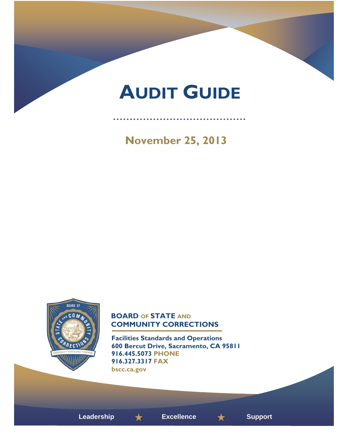# **AUDIT GUIDE**

. . . . . . . . . . . . . . . . . . .

 **November 25, 2013** 



# **BOARD OF STATE AND COMMUNITY CORRECTIONS**

**Facilities Standards and Operations 600 Bercut Drive, Sacramento, CA 95811 916.445.5073 PHONE 916.327.3317 FAX bscc.ca.gov** 



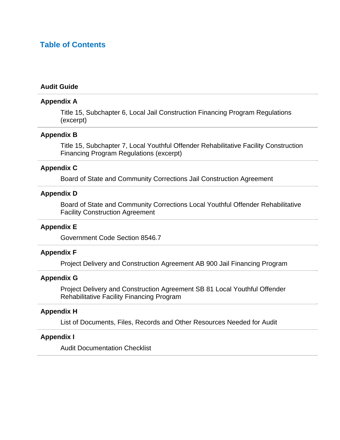# **Table of Contents**

#### **Audit Guide**

#### **Appendix A**

Title 15, Subchapter 6, Local Jail Construction Financing Program Regulations (excerpt)

#### **Appendix B**

Title 15, Subchapter 7, Local Youthful Offender Rehabilitative Facility Construction Financing Program Regulations (excerpt)

# **Appendix C**

Board of State and Community Corrections Jail Construction Agreement

# **Appendix D**

Board of State and Community Corrections Local Youthful Offender Rehabilitative Facility Construction Agreement

#### **Appendix E**

Government Code Section 8546.7

#### **Appendix F**

Project Delivery and Construction Agreement AB 900 Jail Financing Program

#### **Appendix G**

Project Delivery and Construction Agreement SB 81 Local Youthful Offender Rehabilitative Facility Financing Program

## **Appendix H**

List of Documents, Files, Records and Other Resources Needed for Audit

#### **Appendix I**

Audit Documentation Checklist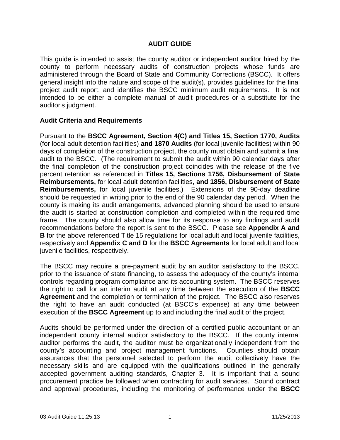# **AUDIT GUIDE**

This guide is intended to assist the county auditor or independent auditor hired by the county to perform necessary audits of construction projects whose funds are administered through the Board of State and Community Corrections (BSCC). It offers general insight into the nature and scope of the audit(s), provides guidelines for the final project audit report, and identifies the BSCC minimum audit requirements. It is not intended to be either a complete manual of audit procedures or a substitute for the auditor's judgment.

# **Audit Criteria and Requirements**

Pursuant to the **BSCC Agreement, Section 4(C) and Titles 15, Section 1770, Audits**  (for local adult detention facilities) **and 1870 Audits** (for local juvenile facilities) within 90 days of completion of the construction project, the county must obtain and submit a final audit to the BSCC. (The requirement to submit the audit within 90 calendar days after the final completion of the construction project coincides with the release of the five percent retention as referenced in **Titles 15, Sections 1756, Disbursement of State Reimbursements,** for local adult detention facilities, **and 1856, Disbursement of State Reimbursements,** for local juvenile facilities.) Extensions of the 90-day deadline should be requested in writing prior to the end of the 90 calendar day period. When the county is making its audit arrangements, advanced planning should be used to ensure the audit is started at construction completion and completed within the required time frame. The county should also allow time for its response to any findings and audit recommendations before the report is sent to the BSCC. Please see **Appendix A and B** for the above referenced Title 15 regulations for local adult and local juvenile facilities, respectively and **Appendix C and D** for the **BSCC Agreements** for local adult and local juvenile facilities, respectively.

The BSCC may require a pre-payment audit by an auditor satisfactory to the BSCC, prior to the issuance of state financing, to assess the adequacy of the county's internal controls regarding program compliance and its accounting system. The BSCC reserves the right to call for an interim audit at any time between the execution of the **BSCC Agreement** and the completion or termination of the project. The BSCC also reserves the right to have an audit conducted (at BSCC's expense) at any time between execution of the **BSCC Agreement** up to and including the final audit of the project.

Audits should be performed under the direction of a certified public accountant or an independent county internal auditor satisfactory to the BSCC. If the county internal auditor performs the audit, the auditor must be organizationally independent from the county's accounting and project management functions. Counties should obtain assurances that the personnel selected to perform the audit collectively have the necessary skills and are equipped with the qualifications outlined in the generally accepted government auditing standards, Chapter 3. It is important that a sound procurement practice be followed when contracting for audit services. Sound contract and approval procedures, including the monitoring of performance under the **BSCC**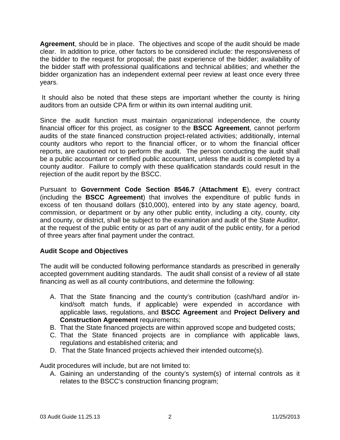**Agreement**, should be in place. The objectives and scope of the audit should be made clear. In addition to price, other factors to be considered include: the responsiveness of the bidder to the request for proposal; the past experience of the bidder; availability of the bidder staff with professional qualifications and technical abilities; and whether the bidder organization has an independent external peer review at least once every three years.

 It should also be noted that these steps are important whether the county is hiring auditors from an outside CPA firm or within its own internal auditing unit.

Since the audit function must maintain organizational independence, the county financial officer for this project, as cosigner to the **BSCC Agreement**, cannot perform audits of the state financed construction project-related activities; additionally, internal county auditors who report to the financial officer, or to whom the financial officer reports, are cautioned not to perform the audit. The person conducting the audit shall be a public accountant or certified public accountant, unless the audit is completed by a county auditor. Failure to comply with these qualification standards could result in the rejection of the audit report by the BSCC.

Pursuant to **Government Code Section 8546.7** (**Attachment E**), every contract (including the **BSCC Agreement**) that involves the expenditure of public funds in excess of ten thousand dollars (\$10,000), entered into by any state agency, board, commission, or department or by any other public entity, including a city, county, city and county, or district, shall be subject to the examination and audit of the State Auditor, at the request of the public entity or as part of any audit of the public entity, for a period of three years after final payment under the contract.

# **Audit Scope and Objectives**

The audit will be conducted following performance standards as prescribed in generally accepted government auditing standards. The audit shall consist of a review of all state financing as well as all county contributions, and determine the following:

- A. That the State financing and the county's contribution (cash/hard and/or inkind/soft match funds, if applicable) were expended in accordance with applicable laws, regulations, and **BSCC Agreement** and **Project Delivery and Construction Agreement** requirements;
- B. That the State financed projects are within approved scope and budgeted costs;
- C. That the State financed projects are in compliance with applicable laws, regulations and established criteria; and
- D. That the State financed projects achieved their intended outcome(s).

Audit procedures will include, but are not limited to:

A. Gaining an understanding of the county's system(s) of internal controls as it relates to the BSCC's construction financing program;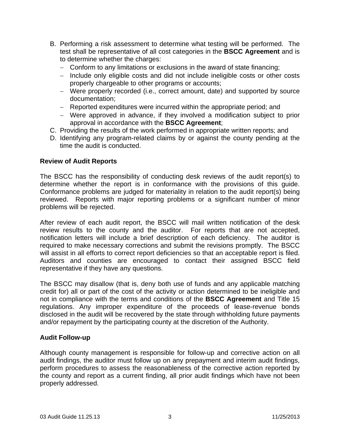- B. Performing a risk assessment to determine what testing will be performed. The test shall be representative of all cost categories in the **BSCC Agreement** and is to determine whether the charges:
	- − Conform to any limitations or exclusions in the award of state financing;
	- − Include only eligible costs and did not include ineligible costs or other costs properly chargeable to other programs or accounts;
	- − Were properly recorded (i.e., correct amount, date) and supported by source documentation;
	- − Reported expenditures were incurred within the appropriate period; and
	- − Were approved in advance, if they involved a modification subject to prior approval in accordance with the **BSCC Agreement**;
- C. Providing the results of the work performed in appropriate written reports; and
- D. Identifying any program-related claims by or against the county pending at the time the audit is conducted.

# **Review of Audit Reports**

The BSCC has the responsibility of conducting desk reviews of the audit report(s) to determine whether the report is in conformance with the provisions of this guide. Conformance problems are judged for materiality in relation to the audit report(s) being reviewed. Reports with major reporting problems or a significant number of minor problems will be rejected.

After review of each audit report, the BSCC will mail written notification of the desk review results to the county and the auditor. For reports that are not accepted, notification letters will include a brief description of each deficiency. The auditor is required to make necessary corrections and submit the revisions promptly. The BSCC will assist in all efforts to correct report deficiencies so that an acceptable report is filed. Auditors and counties are encouraged to contact their assigned BSCC field representative if they have any questions.

The BSCC may disallow (that is, deny both use of funds and any applicable matching credit for) all or part of the cost of the activity or action determined to be ineligible and not in compliance with the terms and conditions of the **BSCC Agreement** and Title 15 regulations. Any improper expenditure of the proceeds of lease-revenue bonds disclosed in the audit will be recovered by the state through withholding future payments and/or repayment by the participating county at the discretion of the Authority.

# **Audit Follow-up**

Although county management is responsible for follow-up and corrective action on all audit findings, the auditor must follow up on any prepayment and interim audit findings, perform procedures to assess the reasonableness of the corrective action reported by the county and report as a current finding, all prior audit findings which have not been properly addressed.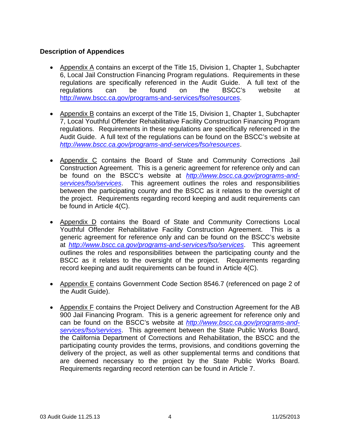# **Description of Appendices**

- Appendix A contains an excerpt of the Title 15, Division 1, Chapter 1, Subchapter 6, Local Jail Construction Financing Program regulations. Requirements in these regulations are specifically referenced in the Audit Guide. A full text of the regulations can be found on the BSCC's website at <http://www.bscc.ca.gov/programs-and-services/fso/resources>.
- Appendix B contains an excerpt of the Title 15, Division 1, Chapter 1, Subchapter 7, Local Youthful Offender Rehabilitative Facility Construction Financing Program regulations. Requirements in these regulations are specifically referenced in the Audit Guide. A full text of the regulations can be found on the BSCC's website at *<http://www.bscc.ca.gov/programs-and-services/fso/resources>*.
- Appendix C contains the Board of State and Community Corrections Jail Construction Agreement. This is a generic agreement for reference only and can be found on the BSCC's website at *[http://www.bscc.ca.gov/programs-and](http://www.bscc.ca.gov/programs-and-services/fso/services)[services/fso/services](http://www.bscc.ca.gov/programs-and-services/fso/services)*. This agreement outlines the roles and responsibilities between the participating county and the BSCC as it relates to the oversight of the project. Requirements regarding record keeping and audit requirements can be found in Article 4(C).
- Appendix D contains the Board of State and Community Corrections Local Youthful Offender Rehabilitative Facility Construction Agreement. This is a generic agreement for reference only and can be found on the BSCC's website at *<http://www.bscc.ca.gov/programs-and-services/fso/services>*. This agreement outlines the roles and responsibilities between the participating county and the BSCC as it relates to the oversight of the project. Requirements regarding record keeping and audit requirements can be found in Article 4(C).
- Appendix E contains Government Code Section 8546.7 (referenced on page 2 of the Audit Guide).
- Appendix F contains the Project Delivery and Construction Agreement for the AB 900 Jail Financing Program. This is a generic agreement for reference only and can be found on the BSCC's website at *[http://www.bscc.ca.gov/programs-and](http://www.bscc.ca.gov/programs-and-services/fso/services)[services/fso/services](http://www.bscc.ca.gov/programs-and-services/fso/services)*. This agreement between the State Public Works Board, the California Department of Corrections and Rehabilitation, the BSCC and the participating county provides the terms, provisions, and conditions governing the delivery of the project, as well as other supplemental terms and conditions that are deemed necessary to the project by the State Public Works Board. Requirements regarding record retention can be found in Article 7.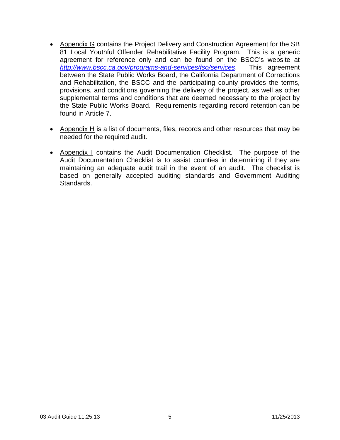- Appendix G contains the Project Delivery and Construction Agreement for the SB 81 Local Youthful Offender Rehabilitative Facility Program. This is a generic agreement for reference only and can be found on the BSCC's website at *<http://www.bscc.ca.gov/programs-and-services/fso/services>*. This agreement between the State Public Works Board, the California Department of Corrections and Rehabilitation, the BSCC and the participating county provides the terms, provisions, and conditions governing the delivery of the project, as well as other supplemental terms and conditions that are deemed necessary to the project by the State Public Works Board. Requirements regarding record retention can be found in Article 7.
- Appendix H is a list of documents, files, records and other resources that may be needed for the required audit.
- Appendix I contains the Audit Documentation Checklist. The purpose of the Audit Documentation Checklist is to assist counties in determining if they are maintaining an adequate audit trail in the event of an audit. The checklist is based on generally accepted auditing standards and Government Auditing Standards.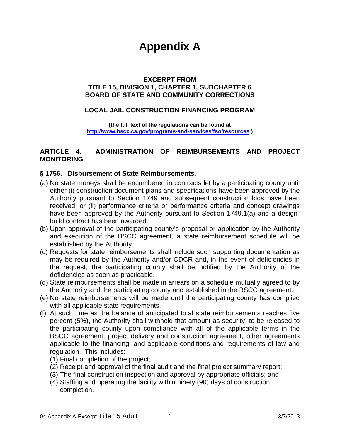# **Appendix A**

# **EXCERPT FROM TITLE 15, DIVISION 1, CHAPTER 1, SUBCHAPTER 6 BOARD OF STATE AND COMMUNITY CORRECTIONS**

# **LOCAL JAIL CONSTRUCTION FINANCING PROGRAM**

**(the full text of the regulations can be found at <http://www.bscc.ca.gov/programs-and-services/fso/resources> )** 

# **ARTICLE 4. ADMINISTRATION OF REIMBURSEMENTS AND PROJECT MONITORING**

# **§ 1756. Disbursement of State Reimbursements.**

- (a) No state moneys shall be encumbered in contracts let by a participating county until either (i) construction document plans and specifications have been approved by the Authority pursuant to Section 1749 and subsequent construction bids have been received, or (ii) performance criteria or performance criteria and concept drawings have been approved by the Authority pursuant to Section 1749.1(a) and a designbuild contract has been awarded.
- (b) Upon approval of the participating county's proposal or application by the Authority and execution of the BSCC agreement, a state reimbursement schedule will be established by the Authority.
- (c) Requests for state reimbursements shall include such supporting documentation as may be required by the Authority and/or CDCR and, in the event of deficiencies in the request, the participating county shall be notified by the Authority of the deficiencies as soon as practicable.
- (d) State reimbursements shall be made in arrears on a schedule mutually agreed to by the Authority and the participating county and established in the BSCC agreement.
- (e) No state reimbursements will be made until the participating county has complied with all applicable state requirements.
- (f) At such time as the balance of anticipated total state reimbursements reaches five percent (5%), the Authority shall withhold that amount as security, to be released to the participating county upon compliance with all of the applicable terms in the BSCC agreement, project delivery and construction agreement, other agreements applicable to the financing, and applicable conditions and requirements of law and regulation. This includes:
	- (1) Final completion of the project;
	- (2) Receipt and approval of the final audit and the final project summary report;
	- (3) The final construction inspection and approval by appropriate officials; and
	- (4) Staffing and operating the facility within ninety (90) days of construction completion.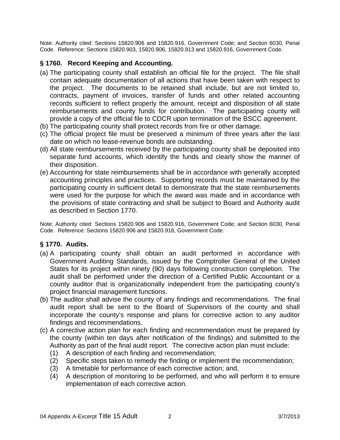Note: Authority cited: Sections 15820.906 and 15820.916, Government Code; and Section 6030, Penal Code. Reference: Sections 15820.903, 15820.906, 15820.913 and 15820.916, Government Code.

# **§ 1760. Record Keeping and Accounting.**

- (a) The participating county shall establish an official file for the project. The file shall contain adequate documentation of all actions that have been taken with respect to the project. The documents to be retained shall include, but are not limited to, contracts, payment of invoices, transfer of funds and other related accounting records sufficient to reflect properly the amount, receipt and disposition of all state reimbursements and county funds for contribution. The participating county will provide a copy of the official file to CDCR upon termination of the BSCC agreement.
- (b) The participating county shall protect records from fire or other damage.
- (c) The official project file must be preserved a minimum of three years after the last date on which no lease-revenue bonds are outstanding.
- (d) All state reimbursements received by the participating county shall be deposited into separate fund accounts, which identify the funds and clearly show the manner of their disposition.
- (e) Accounting for state reimbursements shall be in accordance with generally accepted accounting principles and practices. Supporting records must be maintained by the participating county in sufficient detail to demonstrate that the state reimbursements were used for the purpose for which the award was made and in accordance with the provisions of state contracting and shall be subject to Board and Authority audit as described in Section 1770.

Note: Authority cited: Sections 15820.906 and 15820.916, Government Code; and Section 6030, Penal Code. Reference: Sections 15820.906 and 15820.916, Government Code.

# **§ 1770. Audits.**

- (a) A participating county shall obtain an audit performed in accordance with Government Auditing Standards, issued by the Comptroller General of the United States for its project within ninety (90) days following construction completion. The audit shall be performed under the direction of a Certified Public Accountant or a county auditor that is organizationally independent from the participating county's project financial management functions.
- (b) The auditor shall advise the county of any findings and recommendations. The final audit report shall be sent to the Board of Supervisors of the county and shall incorporate the county's response and plans for corrective action to any auditor findings and recommendations.
- (c) A corrective action plan for each finding and recommendation must be prepared by the county (within ten days after notification of the findings) and submitted to the Authority as part of the final audit report. The corrective action plan must include:
	- (1) A description of each finding and recommendation;
	- (2) Specific steps taken to remedy the finding or implement the recommendation;
	- (3) A timetable for performance of each corrective action; and,
	- (4) A description of monitoring to be performed, and who will perform it to ensure implementation of each corrective action.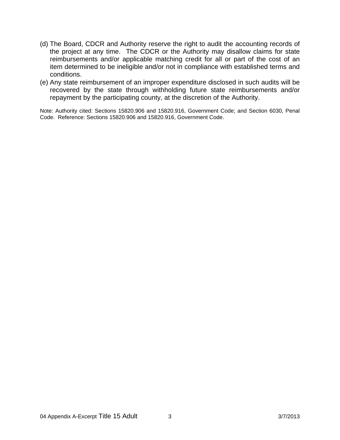- (d) The Board, CDCR and Authority reserve the right to audit the accounting records of the project at any time. The CDCR or the Authority may disallow claims for state reimbursements and/or applicable matching credit for all or part of the cost of an item determined to be ineligible and/or not in compliance with established terms and conditions.
- (e) Any state reimbursement of an improper expenditure disclosed in such audits will be recovered by the state through withholding future state reimbursements and/or repayment by the participating county, at the discretion of the Authority.

Note: Authority cited: Sections 15820.906 and 15820.916, Government Code; and Section 6030, Penal Code. Reference: Sections 15820.906 and 15820.916, Government Code.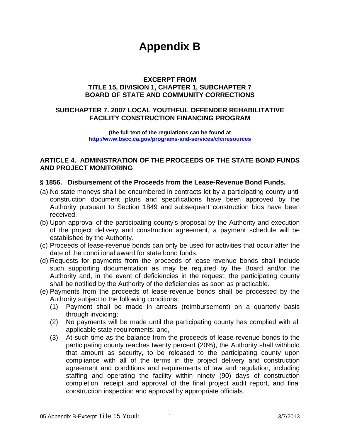# **Appendix B**

# **EXCERPT FROM TITLE 15, DIVISION 1, CHAPTER 1, SUBCHAPTER 7 BOARD OF STATE AND COMMUNITY CORRECTIONS**

# **SUBCHAPTER 7. 2007 LOCAL YOUTHFUL OFFENDER REHABILITATIVE FACILITY CONSTRUCTION FINANCING PROGRAM**

**(the full text of the regulations can be found at <http://www.bscc.ca.gov/programs-and-services/cfc/resources>**

# **ARTICLE 4. ADMINISTRATION OF THE PROCEEDS OF THE STATE BOND FUNDS AND PROJECT MONITORING**

# **§ 1856. Disbursement of the Proceeds from the Lease-Revenue Bond Funds.**

- (a) No state moneys shall be encumbered in contracts let by a participating county until construction document plans and specifications have been approved by the Authority pursuant to Section 1849 and subsequent construction bids have been received.
- (b) Upon approval of the participating county's proposal by the Authority and execution of the project delivery and construction agreement, a payment schedule will be established by the Authority.
- (c) Proceeds of lease-revenue bonds can only be used for activities that occur after the date of the conditional award for state bond funds.
- (d) Requests for payments from the proceeds of lease-revenue bonds shall include such supporting documentation as may be required by the Board and/or the Authority and, in the event of deficiencies in the request, the participating county shall be notified by the Authority of the deficiencies as soon as practicable.
- (e) Payments from the proceeds of lease-revenue bonds shall be processed by the Authority subject to the following conditions:
	- (1) Payment shall be made in arrears (reimbursement) on a quarterly basis through invoicing;
	- (2) No payments will be made until the participating county has complied with all applicable state requirements; and,
	- (3) At such time as the balance from the proceeds of lease-revenue bonds to the participating county reaches twenty percent (20%), the Authority shall withhold that amount as security, to be released to the participating county upon compliance with all of the terms in the project delivery and construction agreement and conditions and requirements of law and regulation, including staffing and operating the facility within ninety (90) days of construction completion, receipt and approval of the final project audit report, and final construction inspection and approval by appropriate officials.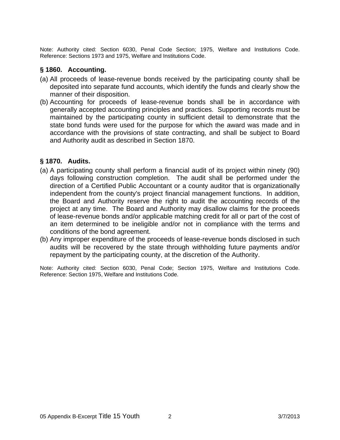Note: Authority cited: Section 6030, Penal Code Section; 1975, Welfare and Institutions Code. Reference: Sections 1973 and 1975, Welfare and Institutions Code.

# **§ 1860. Accounting.**

- (a) All proceeds of lease-revenue bonds received by the participating county shall be deposited into separate fund accounts, which identify the funds and clearly show the manner of their disposition.
- (b) Accounting for proceeds of lease-revenue bonds shall be in accordance with generally accepted accounting principles and practices. Supporting records must be maintained by the participating county in sufficient detail to demonstrate that the state bond funds were used for the purpose for which the award was made and in accordance with the provisions of state contracting, and shall be subject to Board and Authority audit as described in Section 1870.

# **§ 1870. Audits.**

- (a) A participating county shall perform a financial audit of its project within ninety (90) days following construction completion. The audit shall be performed under the direction of a Certified Public Accountant or a county auditor that is organizationally independent from the county's project financial management functions. In addition, the Board and Authority reserve the right to audit the accounting records of the project at any time. The Board and Authority may disallow claims for the proceeds of lease-revenue bonds and/or applicable matching credit for all or part of the cost of an item determined to be ineligible and/or not in compliance with the terms and conditions of the bond agreement.
- (b) Any improper expenditure of the proceeds of lease-revenue bonds disclosed in such audits will be recovered by the state through withholding future payments and/or repayment by the participating county, at the discretion of the Authority.

Note: Authority cited: Section 6030, Penal Code; Section 1975, Welfare and Institutions Code. Reference: Section 1975, Welfare and Institutions Code.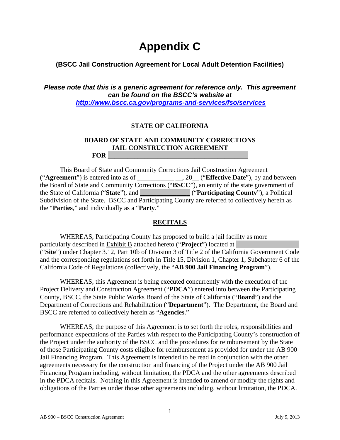# **Appendix C**

# **(BSCC Jail Construction Agreement for Local Adult Detention Facilities)**

*Please note that this is a generic agreement for reference only. This agreement can be found on the BSCC's website at <http://www.bscc.ca.gov/programs-and-services/fso/services>*

# **STATE OF CALIFORNIA**

# **BOARD OF STATE AND COMMUNITY CORRECTIONS JAIL CONSTRUCTION AGREEMENT FOR \_\_\_\_\_\_\_\_\_\_\_\_\_\_\_\_\_\_\_\_\_\_\_\_\_\_\_\_\_\_\_\_\_\_\_\_\_\_\_\_\_\_**

This Board of State and Community Corrections Jail Construction Agreement ("**Agreement**") is entered into as of  $\qquad \qquad$ , 20. ("**Effective Date**"), by and between the Board of State and Community Corrections ("**BSCC**"), an entity of the state government of the State of California ("**State**"), and \_\_\_\_\_\_\_\_\_\_\_\_\_\_\_ ("**Participating County**"), a Political Subdivision of the State. BSCC and Participating County are referred to collectively herein as the "**Parties**," and individually as a "**Party**."

# **RECITALS**

WHEREAS, Participating County has proposed to build a jail facility as more particularly described in Exhibit B attached hereto ("**Project**") located at ("**Site**") under Chapter 3.12, Part 10b of Division 3 of Title 2 of the California Government Code and the corresponding regulations set forth in Title 15, Division 1, Chapter 1, Subchapter 6 of the California Code of Regulations (collectively, the "**AB 900 Jail Financing Program**").

WHEREAS, this Agreement is being executed concurrently with the execution of the Project Delivery and Construction Agreement ("**PDCA**") entered into between the Participating County, BSCC, the State Public Works Board of the State of California ("**Board**") and the Department of Corrections and Rehabilitation ("**Department**"). The Department, the Board and BSCC are referred to collectively herein as "**Agencies**."

WHEREAS, the purpose of this Agreement is to set forth the roles, responsibilities and performance expectations of the Parties with respect to the Participating County's construction of the Project under the authority of the BSCC and the procedures for reimbursement by the State of those Participating County costs eligible for reimbursement as provided for under the AB 900 Jail Financing Program. This Agreement is intended to be read in conjunction with the other agreements necessary for the construction and financing of the Project under the AB 900 Jail Financing Program including, without limitation, the PDCA and the other agreements described in the PDCA recitals. Nothing in this Agreement is intended to amend or modify the rights and obligations of the Parties under those other agreements including, without limitation, the PDCA.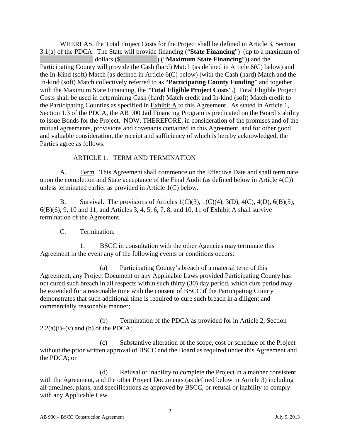WHEREAS, the Total Project Costs for the Project shall be defined in Article 3, Section 3.1(a) of the PDCA. The State will provide financing ("**State Financing**") (up to a maximum of \_\_\_\_\_\_\_\_\_\_\_\_\_\_\_\_ dollars (\$\_\_\_\_\_\_\_\_\_\_\_) ("**Maximum State Financing**")) and the Participating County will provide the Cash (hard) Match (as defined in Article 6(C) below) and the In-Kind (soft) Match (as defined in Article 6(C) below) (with the Cash (hard) Match and the In-kind (soft) Match collectively referred to as "**Participating County Funding**" and together with the Maximum State Financing, the "**Total Eligible Project Costs**".) Total Eligible Project Costs shall be used in determining Cash (hard) Match credit and In-kind (soft) Match credit to the Participating Counties as specified in Exhibit A to this Agreement. As stated in Article 1, Section 1.3 of the PDCA, the AB 900 Jail Financing Program is predicated on the Board's ability to issue Bonds for the Project. NOW, THEREFORE, in consideration of the promises and of the mutual agreements, provisions and covenants contained in this Agreement, and for other good and valuable consideration, the receipt and sufficiency of which is hereby acknowledged, the Parties agree as follows:

# ARTICLE 1. TERM AND TERMINATION

A. Term. This Agreement shall commence on the Effective Date and shall terminate upon the completion and State acceptance of the Final Audit (as defined below in Article 4(C)) unless terminated earlier as provided in Article 1(C) below.

B. Survival. The provisions of Articles  $1(C)(3)$ ,  $1(C)(4)$ ,  $3(D)$ ,  $4(C)$ ,  $4(D)$ ,  $6(B)(5)$ , 6(B)(6), 9, 10 and 11, and Articles 3, 4, 5, 6, 7, 8, and 10, 11 of Exhibit A shall survive termination of the Agreement.

# C. Termination.

1. BSCC in consultation with the other Agencies may terminate this Agreement in the event any of the following events or conditions occurs:

(a) Participating County's breach of a material term of this Agreement, any Project Document or any Applicable Laws provided Participating County has not cured such breach in all respects within such thirty (30) day period, which cure period may be extended for a reasonable time with the consent of BSCC if the Participating County demonstrates that such additional time is required to cure such breach in a diligent and commercially reasonable manner;

(b) Termination of the PDCA as provided for in Article 2, Section  $2.2(a)(i)$ –(v) and (b) of the PDCA;

(c) Substantive alteration of the scope, cost or schedule of the Project without the prior written approval of BSCC and the Board as required under this Agreement and the PDCA; or

(d) Refusal or inability to complete the Project in a manner consistent with the Agreement, and the other Project Documents (as defined below in Article 3) including all timelines, plans, and specifications as approved by BSCC, or refusal or inability to comply with any Applicable Law.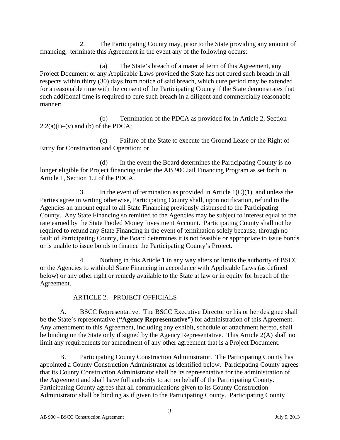2. The Participating County may, prior to the State providing any amount of financing, terminate this Agreement in the event any of the following occurs:

(a) The State's breach of a material term of this Agreement, any Project Document or any Applicable Laws provided the State has not cured such breach in all respects within thirty (30) days from notice of said breach, which cure period may be extended for a reasonable time with the consent of the Participating County if the State demonstrates that such additional time is required to cure such breach in a diligent and commercially reasonable manner;

(b) Termination of the PDCA as provided for in Article 2, Section  $2.2(a)(i)$ –(v) and (b) of the PDCA;

(c) Failure of the State to execute the Ground Lease or the Right of Entry for Construction and Operation; or

(d) In the event the Board determines the Participating County is no longer eligible for Project financing under the AB 900 Jail Financing Program as set forth in Article 1, Section 1.2 of the PDCA.

3. In the event of termination as provided in Article  $1(C)(1)$ , and unless the Parties agree in writing otherwise, Participating County shall, upon notification, refund to the Agencies an amount equal to all State Financing previously disbursed to the Participating County. Any State Financing so remitted to the Agencies may be subject to interest equal to the rate earned by the State Pooled Money Investment Account. Participating County shall not be required to refund any State Financing in the event of termination solely because, through no fault of Participating County, the Board determines it is not feasible or appropriate to issue bonds or is unable to issue bonds to finance the Participating County's Project.

4. Nothing in this Article 1 in any way alters or limits the authority of BSCC or the Agencies to withhold State Financing in accordance with Applicable Laws (as defined below) or any other right or remedy available to the State at law or in equity for breach of the Agreement.

# ARTICLE 2. PROJECT OFFICIALS

A. BSCC Representative. The BSCC Executive Director or his or her designee shall be the State's representative (**"Agency Representative"**) for administration of this Agreement. Any amendment to this Agreement, including any exhibit, schedule or attachment hereto, shall be binding on the State only if signed by the Agency Representative. This Article 2(A) shall not limit any requirements for amendment of any other agreement that is a Project Document.

B. Participating County Construction Administrator. The Participating County has appointed a County Construction Administrator as identified below. Participating County agrees that its County Construction Administrator shall be its representative for the administration of the Agreement and shall have full authority to act on behalf of the Participating County. Participating County agrees that all communications given to its County Construction Administrator shall be binding as if given to the Participating County. Participating County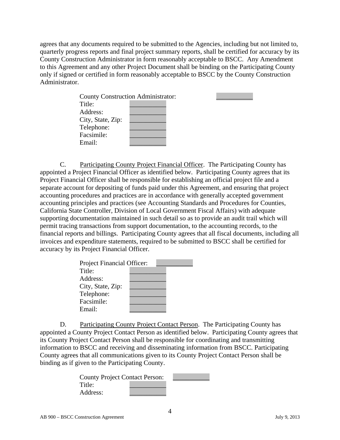agrees that any documents required to be submitted to the Agencies, including but not limited to, quarterly progress reports and final project summary reports, shall be certified for accuracy by its County Construction Administrator in form reasonably acceptable to BSCC. Any Amendment to this Agreement and any other Project Document shall be binding on the Participating County only if signed or certified in form reasonably acceptable to BSCC by the County Construction Administrator.

|  | <b>County Construction Administrator:</b> |
|--|-------------------------------------------|

C. Participating County Project Financial Officer. The Participating County has appointed a Project Financial Officer as identified below. Participating County agrees that its Project Financial Officer shall be responsible for establishing an official project file and a separate account for depositing of funds paid under this Agreement, and ensuring that project accounting procedures and practices are in accordance with generally accepted government accounting principles and practices (see Accounting Standards and Procedures for Counties, California State Controller, Division of Local Government Fiscal Affairs) with adequate supporting documentation maintained in such detail so as to provide an audit trail which will permit tracing transactions from support documentation, to the accounting records, to the financial reports and billings. Participating County agrees that all fiscal documents, including all invoices and expenditure statements, required to be submitted to BSCC shall be certified for accuracy by its Project Financial Officer.

| Project Financial Officer: |  |
|----------------------------|--|
| Title:                     |  |
| Address:                   |  |
| City, State, Zip:          |  |
| Telephone:                 |  |
| Facsimile:                 |  |
| Email:                     |  |

D. Participating County Project Contact Person. The Participating County has appointed a County Project Contact Person as identified below. Participating County agrees that its County Project Contact Person shall be responsible for coordinating and transmitting information to BSCC and receiving and disseminating information from BSCC. Participating County agrees that all communications given to its County Project Contact Person shall be binding as if given to the Participating County.

| <b>County Project Contact Person:</b> |  |
|---------------------------------------|--|
| Title:                                |  |
| Address:                              |  |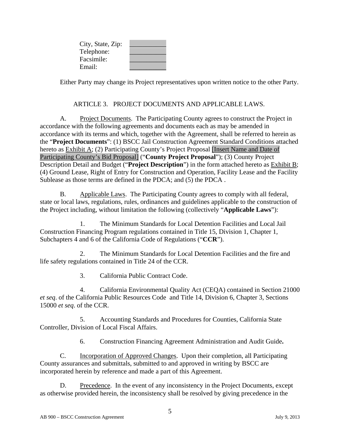| City, State, Zip: |  |
|-------------------|--|
| Telephone:        |  |
| Facsimile:        |  |
| Email:            |  |

Either Party may change its Project representatives upon written notice to the other Party.

#### ARTICLE 3. PROJECT DOCUMENTS AND APPLICABLE LAWS.

A. Project Documents. The Participating County agrees to construct the Project in accordance with the following agreements and documents each as may be amended in accordance with its terms and which, together with the Agreement, shall be referred to herein as the "**Project Documents**": (1) BSCC Jail Construction Agreement Standard Conditions attached hereto as **Exhibit A**; (2) Participating County's Project Proposal [Insert Name and Date of Participating County's Bid Proposal] ("**County Project Proposal**"); (3) County Project Description Detail and Budget ("**Project Description**") in the form attached hereto as Exhibit B; (4) Ground Lease, Right of Entry for Construction and Operation, Facility Lease and the Facility Sublease as those terms are defined in the PDCA; and (5) the PDCA .

B. Applicable Laws. The Participating County agrees to comply with all federal, state or local laws, regulations, rules, ordinances and guidelines applicable to the construction of the Project including, without limitation the following (collectively "**Applicable Laws**"):

1. The Minimum Standards for Local Detention Facilities and Local Jail Construction Financing Program regulations contained in Title 15, Division 1, Chapter 1, Subchapters 4 and 6 of the California Code of Regulations ("**CCR**").

2. The Minimum Standards for Local Detention Facilities and the fire and life safety regulations contained in Title 24 of the CCR.

3. California Public Contract Code.

4. California Environmental Quality Act (CEQA) contained in Section 21000 *et seq*. of the California Public Resources Code and Title 14, Division 6, Chapter 3, Sections 15000 *et seq*. of the CCR.

5. Accounting Standards and Procedures for Counties, California State Controller, Division of Local Fiscal Affairs.

6. Construction Financing Agreement Administration and Audit Guide**.** 

C. Incorporation of Approved Changes. Upon their completion, all Participating County assurances and submittals, submitted to and approved in writing by BSCC are incorporated herein by reference and made a part of this Agreement.

D. Precedence. In the event of any inconsistency in the Project Documents, except as otherwise provided herein, the inconsistency shall be resolved by giving precedence in the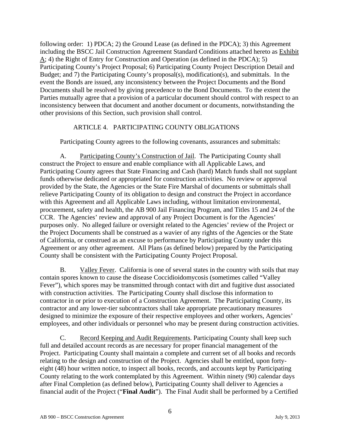following order: 1) PDCA; 2) the Ground Lease (as defined in the PDCA); 3) this Agreement including the BSCC Jail Construction Agreement Standard Conditions attached hereto as Exhibit  $\overline{A}$ ; 4) the Right of Entry for Construction and Operation (as defined in the PDCA); 5) Participating County's Project Proposal; 6) Participating County Project Description Detail and Budget; and 7) the Participating County's proposal(s), modification(s), and submittals. In the event the Bonds are issued, any inconsistency between the Project Documents and the Bond Documents shall be resolved by giving precedence to the Bond Documents. To the extent the Parties mutually agree that a provision of a particular document should control with respect to an inconsistency between that document and another document or documents, notwithstanding the other provisions of this Section, such provision shall control.

# ARTICLE 4. PARTICIPATING COUNTY OBLIGATIONS

Participating County agrees to the following covenants, assurances and submittals:

A. Participating County's Construction of Jail. The Participating County shall construct the Project to ensure and enable compliance with all Applicable Laws, and Participating County agrees that State Financing and Cash (hard) Match funds shall not supplant funds otherwise dedicated or appropriated for construction activities. No review or approval provided by the State, the Agencies or the State Fire Marshal of documents or submittals shall relieve Participating County of its obligation to design and construct the Project in accordance with this Agreement and all Applicable Laws including, without limitation environmental, procurement, safety and health, the AB 900 Jail Financing Program, and Titles 15 and 24 of the CCR. The Agencies' review and approval of any Project Document is for the Agencies' purposes only. No alleged failure or oversight related to the Agencies' review of the Project or the Project Documents shall be construed as a wavier of any rights of the Agencies or the State of California, or construed as an excuse to performance by Participating County under this Agreement or any other agreement. All Plans (as defined below) prepared by the Participating County shall be consistent with the Participating County Project Proposal.

B. Valley Fever. California is one of several states in the country with soils that may contain spores known to cause the disease Coccidioidomycosis (sometimes called "Valley Fever"), which spores may be transmitted through contact with dirt and fugitive dust associated with construction activities. The Participating County shall disclose this information to contractor in or prior to execution of a Construction Agreement. The Participating County, its contractor and any lower-tier subcontractors shall take appropriate precautionary measures designed to minimize the exposure of their respective employees and other workers, Agencies' employees, and other individuals or personnel who may be present during construction activities.

C. Record Keeping and Audit Requirements. Participating County shall keep such full and detailed account records as are necessary for proper financial management of the Project. Participating County shall maintain a complete and current set of all books and records relating to the design and construction of the Project. Agencies shall be entitled, upon fortyeight (48) hour written notice, to inspect all books, records, and accounts kept by Participating County relating to the work contemplated by this Agreement. Within ninety (90) calendar days after Final Completion (as defined below), Participating County shall deliver to Agencies a financial audit of the Project ("**Final Audit**"). The Final Audit shall be performed by a Certified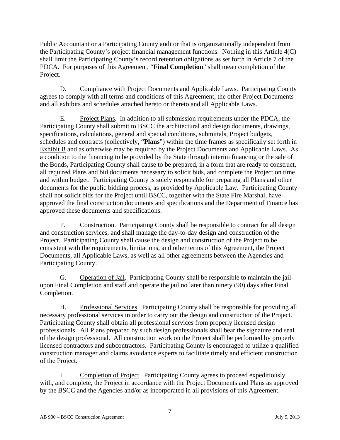Public Accountant or a Participating County auditor that is organizationally independent from the Participating County's project financial management functions. Nothing in this Article 4(C) shall limit the Participating County's record retention obligations as set forth in Article 7 of the PDCA. For purposes of this Agreement, "**Final Completion**" shall mean completion of the Project.

D. Compliance with Project Documents and Applicable Laws. Participating County agrees to comply with all terms and conditions of this Agreement, the other Project Documents and all exhibits and schedules attached hereto or thereto and all Applicable Laws.

E. Project Plans. In addition to all submission requirements under the PDCA, the Participating County shall submit to BSCC the architectural and design documents, drawings, specifications, calculations, general and special conditions, submittals, Project budgets, schedules and contracts (collectively, "**Plans**") within the time frames as specifically set forth in Exhibit B and as otherwise may be required by the Project Documents and Applicable Laws. As a condition to the financing to be provided by the State through interim financing or the sale of the Bonds, Participating County shall cause to be prepared, in a form that are ready to construct, all required Plans and bid documents necessary to solicit bids, and complete the Project on time and within budget. Participating County is solely responsible for preparing all Plans and other documents for the public bidding process, as provided by Applicable Law. Participating County shall not solicit bids for the Project until BSCC, together with the State Fire Marshal, have approved the final construction documents and specifications and the Department of Finance has approved these documents and specifications.

F. Construction. Participating County shall be responsible to contract for all design and construction services, and shall manage the day-to-day design and construction of the Project. Participating County shall cause the design and construction of the Project to be consistent with the requirements, limitations, and other terms of this Agreement, the Project Documents, all Applicable Laws, as well as all other agreements between the Agencies and Participating County.

G. Operation of Jail. Participating County shall be responsible to maintain the jail upon Final Completion and staff and operate the jail no later than ninety (90) days after Final Completion.

H. Professional Services. Participating County shall be responsible for providing all necessary professional services in order to carry out the design and construction of the Project. Participating County shall obtain all professional services from properly licensed design professionals. All Plans prepared by such design professionals shall bear the signature and seal of the design professional. All construction work on the Project shall be performed by properly licensed contractors and subcontractors. Participating County is encouraged to utilize a qualified construction manager and claims avoidance experts to facilitate timely and efficient construction of the Project.

I. Completion of Project. Participating County agrees to proceed expeditiously with, and complete, the Project in accordance with the Project Documents and Plans as approved by the BSCC and the Agencies and/or as incorporated in all provisions of this Agreement.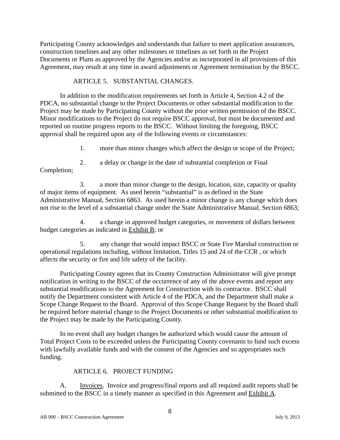Participating County acknowledges and understands that failure to meet application assurances, construction timelines and any other milestones or timelines as set forth in the Project Documents or Plans as approved by the Agencies and/or as incorporated in all provisions of this Agreement, may result at any time in award adjustments or Agreement termination by the BSCC.

# ARTICLE 5. SUBSTANTIAL CHANGES.

In addition to the modification requirements set forth in Article 4, Section 4.2 of the PDCA, no substantial change to the Project Documents or other substantial modification to the Project may be made by Participating County without the prior written permission of the BSCC. Minor modifications to the Project do not require BSCC approval, but must be documented and reported on routine progress reports to the BSCC. Without limiting the foregoing, BSCC approval shall be required upon any of the following events or circumstances:

1. more than minor changes which affect the design or scope of the Project;

2. a delay or change in the date of substantial completion or Final

Completion;

3. a more than minor change to the design, location, size, capacity or quality of major items of equipment. As used herein "substantial" is as defined in the State Administrative Manual, Section 6863. As used herein a minor change is any change which does not rise to the level of a substantial change under the State Administrative Manual, Section 6863;

4. a change in approved budget categories, or movement of dollars between budget categories as indicated in Exhibit B; or

5. any change that would impact BSCC or State Fire Marshal construction or operational regulations including, without limitation, Titles 15 and 24 of the CCR , or which affects the security or fire and life safety of the facility.

Participating County agrees that its County Construction Administrator will give prompt notification in writing to the BSCC of the occurrence of any of the above events and report any substantial modifications to the Agreement for Construction with its contractor. BSCC shall notify the Department consistent with Article 4 of the PDCA, and the Department shall make a Scope Change Request to the Board. Approval of this Scope Change Request by the Board shall be required before material change to the Project Documents or other substantial modification to the Project may be made by the Participating County.

In no event shall any budget changes be authorized which would cause the amount of Total Project Costs to be exceeded unless the Participating County covenants to fund such excess with lawfully available funds and with the consent of the Agencies and so appropriates such funding.

# ARTICLE 6. PROJECT FUNDING

A. Invoices. Invoice and progress/final reports and all required audit reports shall be submitted to the BSCC in a timely manner as specified in this Agreement and Exhibit A.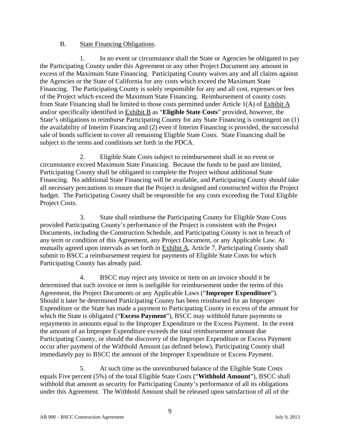# B. State Financing Obligations.

1. In no event or circumstance shall the State or Agencies be obligated to pay the Participating County under this Agreement or any other Project Document any amount in excess of the Maximum State Financing. Participating County waives any and all claims against the Agencies or the State of California for any costs which exceed the Maximum State Financing. The Participating County is solely responsible for any and all cost, expenses or fees of the Project which exceed the Maximum State Financing. Reimbursement of county costs from State Financing shall be limited to those costs permitted under Article 1(A) of Exhibit A and/or specifically identified in Exhibit B as "**Eligible State Costs**" provided, however, the State's obligations to reimburse Participating County for any State Financing is contingent on (1) the availability of Interim Financing and (2) even if Interim Financing is provided, the successful sale of bonds sufficient to cover all remaining Eligible State Costs. State Financing shall be subject to the terms and conditions set forth in the PDCA.

2. Eligible State Costs subject to reimbursement shall in no event or circumstance exceed Maximum State Financing. Because the funds to be paid are limited, Participating County shall be obligated to complete the Project without additional State Financing. No additional State Financing will be available, and Participating County should take all necessary precautions to ensure that the Project is designed and constructed within the Project budget. The Participating County shall be responsible for any costs exceeding the Total Eligible Project Costs.

3. State shall reimburse the Participating County for Eligible State Costs provided Participating County's performance of the Project is consistent with the Project Documents, including the Construction Schedule, and Participating County is not in breach of any term or condition of this Agreement, any Project Document, or any Applicable Law. At mutually agreed upon intervals as set forth in Exhibit A, Article 7, Participating County shall submit to BSCC a reimbursement request for payments of Eligible State Costs for which Participating County has already paid.

4. BSCC may reject any invoice or item on an invoice should it be determined that such invoice or item is ineligible for reimbursement under the terms of this Agreement, the Project Documents or any Applicable Laws ("**Improper Expenditure**"). Should it later be determined Participating County has been reimbursed for an Improper Expenditure or the State has made a payment to Participating County in excess of the amount for which the State is obligated ("**Excess Payment**"), BSCC may withhold future payments or repayments in amounts equal to the Improper Expenditure or the Excess Payment. In the event the amount of an Improper Expenditure exceeds the total reimbursement amount due Participating County, or should the discovery of the Improper Expenditure or Excess Payment occur after payment of the Withhold Amount (as defined below), Participating County shall immediately pay to BSCC the amount of the Improper Expenditure or Excess Payment.

5. At such time as the unreimbursed balance of the Eligible State Costs equals Five percent (5%) of the total Eligible State Costs ("**Withhold Amount**"), BSCC shall withhold that amount as security for Participating County's performance of all its obligations under this Agreement. The Withhold Amount shall be released upon satisfaction of all of the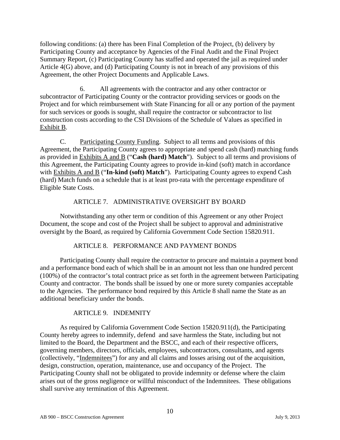following conditions: (a) there has been Final Completion of the Project, (b) delivery by Participating County and acceptance by Agencies of the Final Audit and the Final Project Summary Report, (c) Participating County has staffed and operated the jail as required under Article 4(G) above, and (d) Participating County is not in breach of any provisions of this Agreement, the other Project Documents and Applicable Laws.

6. All agreements with the contractor and any other contractor or subcontractor of Participating County or the contractor providing services or goods on the Project and for which reimbursement with State Financing for all or any portion of the payment for such services or goods is sought, shall require the contractor or subcontractor to list construction costs according to the CSI Divisions of the Schedule of Values as specified in Exhibit B.

C. Participating County Funding. Subject to all terms and provisions of this Agreement, the Participating County agrees to appropriate and spend cash (hard) matching funds as provided in Exhibits A and B ("**Cash (hard) Match**"). Subject to all terms and provisions of this Agreement, the Participating County agrees to provide in-kind (soft) match in accordance with **Exhibits A and B** ("**In-kind (soft) Match**"). Participating County agrees to expend Cash (hard) Match funds on a schedule that is at least pro-rata with the percentage expenditure of Eligible State Costs.

# ARTICLE 7. ADMINISTRATIVE OVERSIGHT BY BOARD

Notwithstanding any other term or condition of this Agreement or any other Project Document, the scope and cost of the Project shall be subject to approval and administrative oversight by the Board, as required by California Government Code Section 15820.911.

# ARTICLE 8. PERFORMANCE AND PAYMENT BONDS

Participating County shall require the contractor to procure and maintain a payment bond and a performance bond each of which shall be in an amount not less than one hundred percent (100%) of the contractor's total contract price as set forth in the agreement between Participating County and contractor. The bonds shall be issued by one or more surety companies acceptable to the Agencies. The performance bond required by this Article 8 shall name the State as an additional beneficiary under the bonds.

# ARTICLE 9. INDEMNITY

As required by California Government Code Section 15820.911(d), the Participating County hereby agrees to indemnify, defend and save harmless the State, including but not limited to the Board, the Department and the BSCC, and each of their respective officers, governing members, directors, officials, employees, subcontractors, consultants, and agents (collectively, "Indemnitees") for any and all claims and losses arising out of the acquisition, design, construction, operation, maintenance, use and occupancy of the Project. The Participating County shall not be obligated to provide indemnity or defense where the claim arises out of the gross negligence or willful misconduct of the Indemnitees. These obligations shall survive any termination of this Agreement.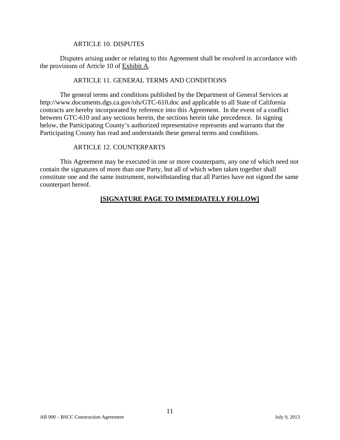#### ARTICLE 10. DISPUTES

Disputes arising under or relating to this Agreement shall be resolved in accordance with the provisions of Article 10 of Exhibit A.

#### ARTICLE 11. GENERAL TERMS AND CONDITIONS

The general terms and conditions published by the Department of General Services at http://www.documents.dgs.ca.gov/ols/GTC-610.doc and applicable to all State of California contracts are hereby incorporated by reference into this Agreement. In the event of a conflict between GTC-610 and any sections herein, the sections herein take precedence. In signing below, the Participating County's authorized representative represents and warrants that the Participating County has read and understands these general terms and conditions.

#### ARTICLE 12. COUNTERPARTS

This Agreement may be executed in one or more counterparts, any one of which need not contain the signatures of more than one Party, but all of which when taken together shall constitute one and the same instrument, notwithstanding that all Parties have not signed the same counterpart hereof.

# **[SIGNATURE PAGE TO IMMEDIATELY FOLLOW]**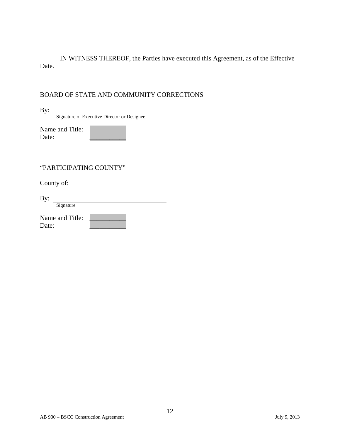IN WITNESS THEREOF, the Parties have executed this Agreement, as of the Effective Date.

# BOARD OF STATE AND COMMUNITY CORRECTIONS

| Signature of Executive Director or Designee |  |
|---------------------------------------------|--|

| Name and Title: |  |
|-----------------|--|
| Date:           |  |

# "PARTICIPATING COUNTY"

County of:

By:

By: Signature

| Name and Title: |  |
|-----------------|--|
| Date:           |  |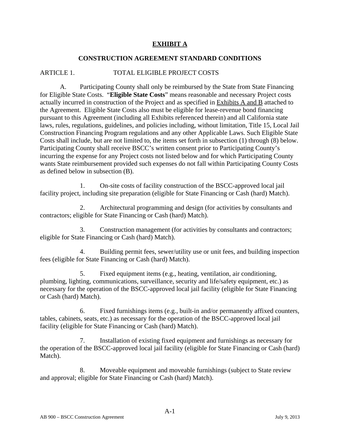# **EXHIBIT A**

### **CONSTRUCTION AGREEMENT STANDARD CONDITIONS**

# ARTICLE 1. TOTAL ELIGIBLE PROJECT COSTS

A. Participating County shall only be reimbursed by the State from State Financing for Eligible State Costs. "**Eligible State Costs**" means reasonable and necessary Project costs actually incurred in construction of the Project and as specified in Exhibits A and B attached to the Agreement. Eligible State Costs also must be eligible for lease-revenue bond financing pursuant to this Agreement (including all Exhibits referenced therein) and all California state laws, rules, regulations, guidelines, and policies including, without limitation, Title 15, Local Jail Construction Financing Program regulations and any other Applicable Laws. Such Eligible State Costs shall include, but are not limited to, the items set forth in subsection (1) through (8) below. Participating County shall receive BSCC's written consent prior to Participating County's incurring the expense for any Project costs not listed below and for which Participating County wants State reimbursement provided such expenses do not fall within Participating County Costs as defined below in subsection (B).

1. On-site costs of facility construction of the BSCC-approved local jail facility project, including site preparation (eligible for State Financing or Cash (hard) Match).

2. Architectural programming and design (for activities by consultants and contractors; eligible for State Financing or Cash (hard) Match).

3. Construction management (for activities by consultants and contractors; eligible for State Financing or Cash (hard) Match).

4. Building permit fees, sewer/utility use or unit fees, and building inspection fees (eligible for State Financing or Cash (hard) Match).

5. Fixed equipment items (e.g., heating, ventilation, air conditioning, plumbing, lighting, communications, surveillance, security and life/safety equipment, etc.) as necessary for the operation of the BSCC-approved local jail facility (eligible for State Financing or Cash (hard) Match).

6. Fixed furnishings items (e.g., built-in and/or permanently affixed counters, tables, cabinets, seats, etc.) as necessary for the operation of the BSCC-approved local jail facility (eligible for State Financing or Cash (hard) Match).

7. Installation of existing fixed equipment and furnishings as necessary for the operation of the BSCC-approved local jail facility (eligible for State Financing or Cash (hard) Match).

8. Moveable equipment and moveable furnishings (subject to State review and approval; eligible for State Financing or Cash (hard) Match).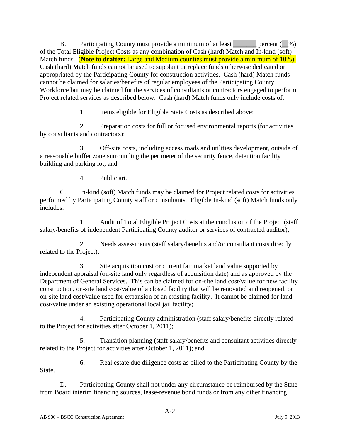B. Participating County must provide a minimum of at least percent  $(\_\% )$ of the Total Eligible Project Costs as any combination of Cash (hard) Match and In-kind (soft) Match funds. (**Note to drafter:** Large and Medium counties must provide a minimum of 10%). Cash (hard) Match funds cannot be used to supplant or replace funds otherwise dedicated or appropriated by the Participating County for construction activities. Cash (hard) Match funds cannot be claimed for salaries/benefits of regular employees of the Participating County Workforce but may be claimed for the services of consultants or contractors engaged to perform Project related services as described below. Cash (hard) Match funds only include costs of:

1. Items eligible for Eligible State Costs as described above;

2. Preparation costs for full or focused environmental reports (for activities by consultants and contractors);

3. Off-site costs, including access roads and utilities development, outside of a reasonable buffer zone surrounding the perimeter of the security fence, detention facility building and parking lot; and

4. Public art.

C. In-kind (soft) Match funds may be claimed for Project related costs for activities performed by Participating County staff or consultants. Eligible In-kind (soft) Match funds only includes:

1. Audit of Total Eligible Project Costs at the conclusion of the Project (staff salary/benefits of independent Participating County auditor or services of contracted auditor);

2. Needs assessments (staff salary/benefits and/or consultant costs directly related to the Project);

3. Site acquisition cost or current fair market land value supported by independent appraisal (on-site land only regardless of acquisition date) and as approved by the Department of General Services. This can be claimed for on-site land cost/value for new facility construction, on-site land cost/value of a closed facility that will be renovated and reopened, or on-site land cost/value used for expansion of an existing facility. It cannot be claimed for land cost/value under an existing operational local jail facility;

4. Participating County administration (staff salary/benefits directly related to the Project for activities after October 1, 2011);

5. Transition planning (staff salary/benefits and consultant activities directly related to the Project for activities after October 1, 2011); and

6. Real estate due diligence costs as billed to the Participating County by the State.

D. Participating County shall not under any circumstance be reimbursed by the State from Board interim financing sources, lease-revenue bond funds or from any other financing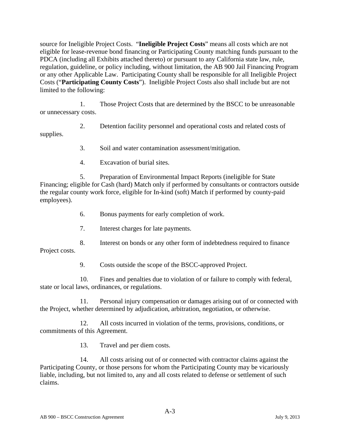source for Ineligible Project Costs. "**Ineligible Project Costs**" means all costs which are not eligible for lease-revenue bond financing or Participating County matching funds pursuant to the PDCA (including all Exhibits attached thereto) or pursuant to any California state law, rule, regulation, guideline, or policy including, without limitation, the AB 900 Jail Financing Program or any other Applicable Law. Participating County shall be responsible for all Ineligible Project Costs ("**Participating County Costs**"). Ineligible Project Costs also shall include but are not limited to the following:

1. Those Project Costs that are determined by the BSCC to be unreasonable or unnecessary costs.

2. Detention facility personnel and operational costs and related costs of supplies.

3. Soil and water contamination assessment/mitigation.

4. Excavation of burial sites.

5. Preparation of Environmental Impact Reports (ineligible for State Financing; eligible for Cash (hard) Match only if performed by consultants or contractors outside the regular county work force, eligible for In-kind (soft) Match if performed by county-paid employees).

6. Bonus payments for early completion of work.

7. Interest charges for late payments.

8. Interest on bonds or any other form of indebtedness required to finance Project costs.

9. Costs outside the scope of the BSCC-approved Project.

10. Fines and penalties due to violation of or failure to comply with federal, state or local laws, ordinances, or regulations.

11. Personal injury compensation or damages arising out of or connected with the Project, whether determined by adjudication, arbitration, negotiation, or otherwise.

12. All costs incurred in violation of the terms, provisions, conditions, or commitments of this Agreement.

13. Travel and per diem costs.

14. All costs arising out of or connected with contractor claims against the Participating County, or those persons for whom the Participating County may be vicariously liable, including, but not limited to, any and all costs related to defense or settlement of such claims.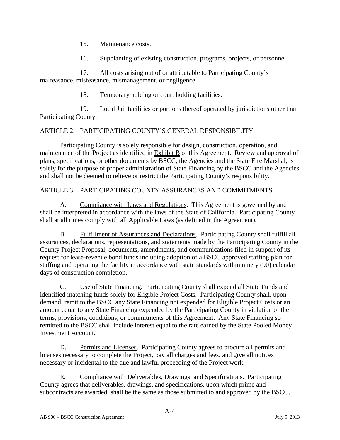- 15. Maintenance costs.
- 16. Supplanting of existing construction, programs, projects, or personnel.

17. All costs arising out of or attributable to Participating County's malfeasance, misfeasance, mismanagement, or negligence.

18. Temporary holding or court holding facilities.

19. Local Jail facilities or portions thereof operated by jurisdictions other than Participating County.

# ARTICLE 2. PARTICIPATING COUNTY'S GENERAL RESPONSIBILITY

Participating County is solely responsible for design, construction, operation, and maintenance of the Project as identified in Exhibit B of this Agreement. Review and approval of plans, specifications, or other documents by BSCC, the Agencies and the State Fire Marshal, is solely for the purpose of proper administration of State Financing by the BSCC and the Agencies and shall not be deemed to relieve or restrict the Participating County's responsibility.

# ARTICLE 3. PARTICIPATING COUNTY ASSURANCES AND COMMITMENTS

A. Compliance with Laws and Regulations. This Agreement is governed by and shall be interpreted in accordance with the laws of the State of California. Participating County shall at all times comply with all Applicable Laws (as defined in the Agreement).

B. Fulfillment of Assurances and Declarations. Participating County shall fulfill all assurances, declarations, representations, and statements made by the Participating County in the County Project Proposal, documents, amendments, and communications filed in support of its request for lease-revenue bond funds including adoption of a BSCC approved staffing plan for staffing and operating the facility in accordance with state standards within ninety (90) calendar days of construction completion.

C. Use of State Financing. Participating County shall expend all State Funds and identified matching funds solely for Eligible Project Costs. Participating County shall, upon demand, remit to the BSCC any State Financing not expended for Eligible Project Costs or an amount equal to any State Financing expended by the Participating County in violation of the terms, provisions, conditions, or commitments of this Agreement. Any State Financing so remitted to the BSCC shall include interest equal to the rate earned by the State Pooled Money Investment Account.

D. Permits and Licenses. Participating County agrees to procure all permits and licenses necessary to complete the Project, pay all charges and fees, and give all notices necessary or incidental to the due and lawful proceeding of the Project work.

E. Compliance with Deliverables, Drawings, and Specifications. Participating County agrees that deliverables, drawings, and specifications, upon which prime and subcontracts are awarded, shall be the same as those submitted to and approved by the BSCC.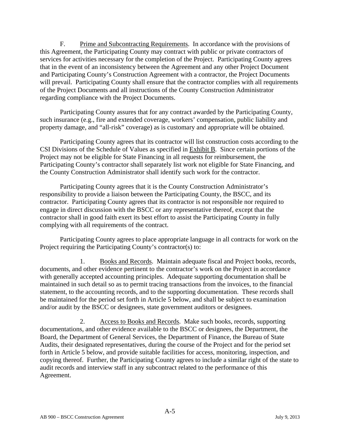F. Prime and Subcontracting Requirements. In accordance with the provisions of this Agreement, the Participating County may contract with public or private contractors of services for activities necessary for the completion of the Project. Participating County agrees that in the event of an inconsistency between the Agreement and any other Project Document and Participating County's Construction Agreement with a contractor, the Project Documents will prevail. Participating County shall ensure that the contractor complies with all requirements of the Project Documents and all instructions of the County Construction Administrator regarding compliance with the Project Documents.

Participating County assures that for any contract awarded by the Participating County, such insurance (e.g., fire and extended coverage, workers' compensation, public liability and property damage, and "all-risk" coverage) as is customary and appropriate will be obtained.

Participating County agrees that its contractor will list construction costs according to the CSI Divisions of the Schedule of Values as specified in Exhibit B. Since certain portions of the Project may not be eligible for State Financing in all requests for reimbursement, the Participating County's contractor shall separately list work not eligible for State Financing, and the County Construction Administrator shall identify such work for the contractor.

Participating County agrees that it is the County Construction Administrator's responsibility to provide a liaison between the Participating County, the BSCC, and its contractor. Participating County agrees that its contractor is not responsible nor required to engage in direct discussion with the BSCC or any representative thereof, except that the contractor shall in good faith exert its best effort to assist the Participating County in fully complying with all requirements of the contract.

Participating County agrees to place appropriate language in all contracts for work on the Project requiring the Participating County's contractor(s) to:

1. Books and Records. Maintain adequate fiscal and Project books, records, documents, and other evidence pertinent to the contractor's work on the Project in accordance with generally accepted accounting principles. Adequate supporting documentation shall be maintained in such detail so as to permit tracing transactions from the invoices, to the financial statement, to the accounting records, and to the supporting documentation. These records shall be maintained for the period set forth in Article 5 below, and shall be subject to examination and/or audit by the BSCC or designees, state government auditors or designees.

2. Access to Books and Records. Make such books, records, supporting documentations, and other evidence available to the BSCC or designees, the Department, the Board, the Department of General Services, the Department of Finance, the Bureau of State Audits, their designated representatives, during the course of the Project and for the period set forth in Article 5 below, and provide suitable facilities for access, monitoring, inspection, and copying thereof. Further, the Participating County agrees to include a similar right of the state to audit records and interview staff in any subcontract related to the performance of this Agreement.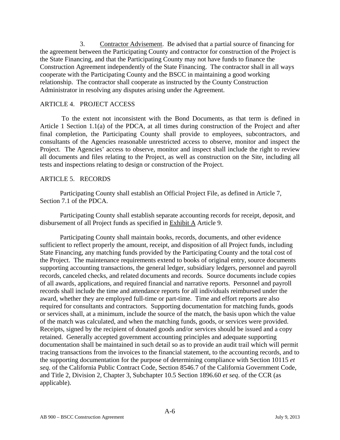3. Contractor Advisement. Be advised that a partial source of financing for the agreement between the Participating County and contractor for construction of the Project is the State Financing, and that the Participating County may not have funds to finance the Construction Agreement independently of the State Financing. The contractor shall in all ways cooperate with the Participating County and the BSCC in maintaining a good working relationship. The contractor shall cooperate as instructed by the County Construction Administrator in resolving any disputes arising under the Agreement.

#### ARTICLE 4. PROJECT ACCESS

 To the extent not inconsistent with the Bond Documents, as that term is defined in Article 1 Section 1.1(a) of the PDCA, at all times during construction of the Project and after final completion, the Participating County shall provide to employees, subcontractors, and consultants of the Agencies reasonable unrestricted access to observe, monitor and inspect the Project. The Agencies' access to observe, monitor and inspect shall include the right to review all documents and files relating to the Project, as well as construction on the Site, including all tests and inspections relating to design or construction of the Project.

#### ARTICLE 5. RECORDS

Participating County shall establish an Official Project File, as defined in Article 7, Section 7.1 of the PDCA.

Participating County shall establish separate accounting records for receipt, deposit, and disbursement of all Project funds as specified in Exhibit A Article 9.

Participating County shall maintain books, records, documents, and other evidence sufficient to reflect properly the amount, receipt, and disposition of all Project funds, including State Financing, any matching funds provided by the Participating County and the total cost of the Project. The maintenance requirements extend to books of original entry, source documents supporting accounting transactions, the general ledger, subsidiary ledgers, personnel and payroll records, canceled checks, and related documents and records. Source documents include copies of all awards, applications, and required financial and narrative reports. Personnel and payroll records shall include the time and attendance reports for all individuals reimbursed under the award, whether they are employed full-time or part-time. Time and effort reports are also required for consultants and contractors. Supporting documentation for matching funds, goods or services shall, at a minimum, include the source of the match, the basis upon which the value of the match was calculated, and when the matching funds, goods, or services were provided. Receipts, signed by the recipient of donated goods and/or services should be issued and a copy retained. Generally accepted government accounting principles and adequate supporting documentation shall be maintained in such detail so as to provide an audit trail which will permit tracing transactions from the invoices to the financial statement, to the accounting records, and to the supporting documentation for the purpose of determining compliance with Section 10115 *et seq*. of the California Public Contract Code, Section 8546.7 of the California Government Code, and Title 2, Division 2, Chapter 3, Subchapter 10.5 Section 1896.60 *et seq*. of the CCR (as applicable).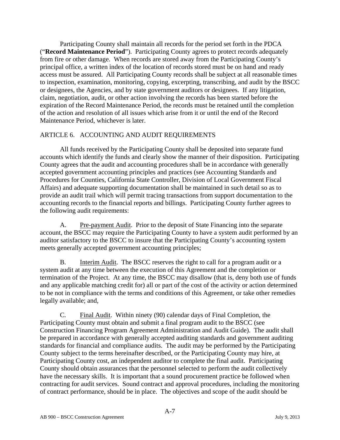Participating County shall maintain all records for the period set forth in the PDCA ("**Record Maintenance Period**"). Participating County agrees to protect records adequately from fire or other damage. When records are stored away from the Participating County's principal office, a written index of the location of records stored must be on hand and ready access must be assured. All Participating County records shall be subject at all reasonable times to inspection, examination, monitoring, copying, excerpting, transcribing, and audit by the BSCC or designees, the Agencies, and by state government auditors or designees. If any litigation, claim, negotiation, audit, or other action involving the records has been started before the expiration of the Record Maintenance Period, the records must be retained until the completion of the action and resolution of all issues which arise from it or until the end of the Record Maintenance Period, whichever is later.

# ARTICLE 6. ACCOUNTING AND AUDIT REQUIREMENTS

All funds received by the Participating County shall be deposited into separate fund accounts which identify the funds and clearly show the manner of their disposition. Participating County agrees that the audit and accounting procedures shall be in accordance with generally accepted government accounting principles and practices (see Accounting Standards and Procedures for Counties, California State Controller, Division of Local Government Fiscal Affairs) and adequate supporting documentation shall be maintained in such detail so as to provide an audit trail which will permit tracing transactions from support documentation to the accounting records to the financial reports and billings. Participating County further agrees to the following audit requirements:

A. Pre-payment Audit. Prior to the deposit of State Financing into the separate account, the BSCC may require the Participating County to have a system audit performed by an auditor satisfactory to the BSCC to insure that the Participating County's accounting system meets generally accepted government accounting principles;

B. Interim Audit. The BSCC reserves the right to call for a program audit or a system audit at any time between the execution of this Agreement and the completion or termination of the Project. At any time, the BSCC may disallow (that is, deny both use of funds and any applicable matching credit for) all or part of the cost of the activity or action determined to be not in compliance with the terms and conditions of this Agreement, or take other remedies legally available; and,

C. Final Audit. Within ninety (90) calendar days of Final Completion, the Participating County must obtain and submit a final program audit to the BSCC (see Construction Financing Program Agreement Administration and Audit Guide). The audit shall be prepared in accordance with generally accepted auditing standards and government auditing standards for financial and compliance audits. The audit may be performed by the Participating County subject to the terms hereinafter described, or the Participating County may hire, at Participating County cost, an independent auditor to complete the final audit. Participating County should obtain assurances that the personnel selected to perform the audit collectively have the necessary skills. It is important that a sound procurement practice be followed when contracting for audit services. Sound contract and approval procedures, including the monitoring of contract performance, should be in place. The objectives and scope of the audit should be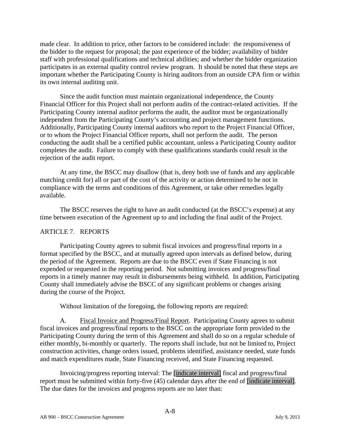made clear. In addition to price, other factors to be considered include: the responsiveness of the bidder to the request for proposal; the past experience of the bidder; availability of bidder staff with professional qualifications and technical abilities; and whether the bidder organization participates in an external quality control review program. It should be noted that these steps are important whether the Participating County is hiring auditors from an outside CPA firm or within its own internal auditing unit.

Since the audit function must maintain organizational independence, the County Financial Officer for this Project shall not perform audits of the contract-related activities. If the Participating County internal auditor performs the audit, the auditor must be organizationally independent from the Participating County's accounting and project management functions. Additionally, Participating County internal auditors who report to the Project Financial Officer, or to whom the Project Financial Officer reports, shall not perform the audit. The person conducting the audit shall be a certified public accountant, unless a Participating County auditor completes the audit. Failure to comply with these qualifications standards could result in the rejection of the audit report.

At any time, the BSCC may disallow (that is, deny both use of funds and any applicable matching credit for) all or part of the cost of the activity or action determined to be not in compliance with the terms and conditions of this Agreement, or take other remedies legally available.

The BSCC reserves the right to have an audit conducted (at the BSCC's expense) at any time between execution of the Agreement up to and including the final audit of the Project.

# ARTICLE 7. REPORTS

Participating County agrees to submit fiscal invoices and progress/final reports in a format specified by the BSCC, and at mutually agreed upon intervals as defined below, during the period of the Agreement. Reports are due to the BSCC even if State Financing is not expended or requested in the reporting period. Not submitting invoices and progress/final reports in a timely manner may result in disbursements being withheld. In addition, Participating County shall immediately advise the BSCC of any significant problems or changes arising during the course of the Project.

Without limitation of the foregoing, the following reports are required:

A. Fiscal Invoice and Progress/Final Report. Participating County agrees to submit fiscal invoices and progress/final reports to the BSCC on the appropriate form provided to the Participating County during the term of this Agreement and shall do so on a regular schedule of either monthly, bi-monthly or quarterly. The reports shall include, but not be limited to, Project construction activities, change orders issued, problems identified, assistance needed, state funds and match expenditures made, State Financing received, and State Financing requested.

Invoicing/progress reporting interval: The [indicate interval] fiscal and progress/final report must be submitted within forty-five (45) calendar days after the end of [indicate interval]. The due dates for the invoices and progress reports are no later than: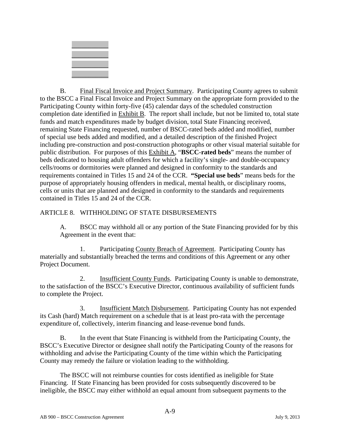

B. Final Fiscal Invoice and Project Summary. Participating County agrees to submit to the BSCC a Final Fiscal Invoice and Project Summary on the appropriate form provided to the Participating County within forty-five (45) calendar days of the scheduled construction completion date identified in Exhibit B. The report shall include, but not be limited to, total state funds and match expenditures made by budget division, total State Financing received, remaining State Financing requested, number of BSCC-rated beds added and modified, number of special use beds added and modified, and a detailed description of the finished Project including pre-construction and post-construction photographs or other visual material suitable for public distribution. For purposes of this Exhibit A, "**BSCC**-**rated beds**" means the number of beds dedicated to housing adult offenders for which a facility's single- and double-occupancy cells/rooms or dormitories were planned and designed in conformity to the standards and requirements contained in Titles 15 and 24 of the CCR. **"Special use beds**" means beds for the purpose of appropriately housing offenders in medical, mental health, or disciplinary rooms, cells or units that are planned and designed in conformity to the standards and requirements contained in Titles 15 and 24 of the CCR.

ARTICLE 8. WITHHOLDING OF STATE DISBURSEMENTS

A. BSCC may withhold all or any portion of the State Financing provided for by this Agreement in the event that:

1. Participating County Breach of Agreement. Participating County has materially and substantially breached the terms and conditions of this Agreement or any other Project Document.

2. Insufficient County Funds. Participating County is unable to demonstrate, to the satisfaction of the BSCC's Executive Director, continuous availability of sufficient funds to complete the Project.

3. Insufficient Match Disbursement. Participating County has not expended its Cash (hard) Match requirement on a schedule that is at least pro-rata with the percentage expenditure of, collectively, interim financing and lease-revenue bond funds.

 B. In the event that State Financing is withheld from the Participating County, the BSCC's Executive Director or designee shall notify the Participating County of the reasons for withholding and advise the Participating County of the time within which the Participating County may remedy the failure or violation leading to the withholding.

The BSCC will not reimburse counties for costs identified as ineligible for State Financing. If State Financing has been provided for costs subsequently discovered to be ineligible, the BSCC may either withhold an equal amount from subsequent payments to the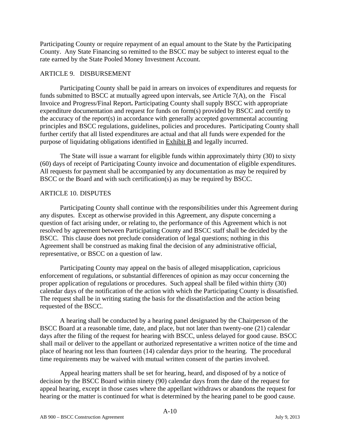Participating County or require repayment of an equal amount to the State by the Participating County. Any State Financing so remitted to the BSCC may be subject to interest equal to the rate earned by the State Pooled Money Investment Account.

# ARTICLE 9. DISBURSEMENT

Participating County shall be paid in arrears on invoices of expenditures and requests for funds submitted to BSCC at mutually agreed upon intervals, see Article 7(A), on the Fiscal Invoice and Progress/Final Report**.** Participating County shall supply BSCC with appropriate expenditure documentation and request for funds on form(s) provided by BSCC and certify to the accuracy of the report(s) in accordance with generally accepted governmental accounting principles and BSCC regulations, guidelines, policies and procedures. Participating County shall further certify that all listed expenditures are actual and that all funds were expended for the purpose of liquidating obligations identified in Exhibit B and legally incurred.

The State will issue a warrant for eligible funds within approximately thirty (30) to sixty (60) days of receipt of Participating County invoice and documentation of eligible expenditures. All requests for payment shall be accompanied by any documentation as may be required by BSCC or the Board and with such certification(s) as may be required by BSCC.

# ARTICLE 10. DISPUTES

Participating County shall continue with the responsibilities under this Agreement during any disputes. Except as otherwise provided in this Agreement, any dispute concerning a question of fact arising under, or relating to, the performance of this Agreement which is not resolved by agreement between Participating County and BSCC staff shall be decided by the BSCC. This clause does not preclude consideration of legal questions; nothing in this Agreement shall be construed as making final the decision of any administrative official, representative, or BSCC on a question of law.

Participating County may appeal on the basis of alleged misapplication, capricious enforcement of regulations, or substantial differences of opinion as may occur concerning the proper application of regulations or procedures. Such appeal shall be filed within thirty (30) calendar days of the notification of the action with which the Participating County is dissatisfied. The request shall be in writing stating the basis for the dissatisfaction and the action being requested of the BSCC.

A hearing shall be conducted by a hearing panel designated by the Chairperson of the BSCC Board at a reasonable time, date, and place, but not later than twenty-one (21) calendar days after the filing of the request for hearing with BSCC, unless delayed for good cause. BSCC shall mail or deliver to the appellant or authorized representative a written notice of the time and place of hearing not less than fourteen (14) calendar days prior to the hearing. The procedural time requirements may be waived with mutual written consent of the parties involved.

Appeal hearing matters shall be set for hearing, heard, and disposed of by a notice of decision by the BSCC Board within ninety (90) calendar days from the date of the request for appeal hearing, except in those cases where the appellant withdraws or abandons the request for hearing or the matter is continued for what is determined by the hearing panel to be good cause.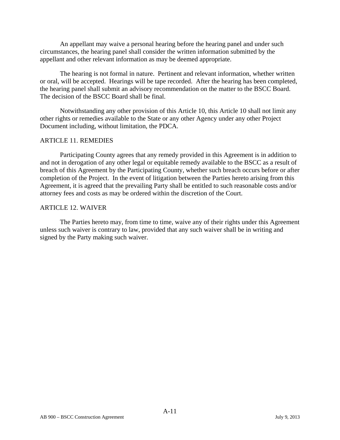An appellant may waive a personal hearing before the hearing panel and under such circumstances, the hearing panel shall consider the written information submitted by the appellant and other relevant information as may be deemed appropriate.

The hearing is not formal in nature. Pertinent and relevant information, whether written or oral, will be accepted. Hearings will be tape recorded. After the hearing has been completed, the hearing panel shall submit an advisory recommendation on the matter to the BSCC Board. The decision of the BSCC Board shall be final.

Notwithstanding any other provision of this Article 10, this Article 10 shall not limit any other rights or remedies available to the State or any other Agency under any other Project Document including, without limitation, the PDCA.

#### ARTICLE 11. REMEDIES

Participating County agrees that any remedy provided in this Agreement is in addition to and not in derogation of any other legal or equitable remedy available to the BSCC as a result of breach of this Agreement by the Participating County, whether such breach occurs before or after completion of the Project. In the event of litigation between the Parties hereto arising from this Agreement, it is agreed that the prevailing Party shall be entitled to such reasonable costs and/or attorney fees and costs as may be ordered within the discretion of the Court.

#### ARTICLE 12. WAIVER

The Parties hereto may, from time to time, waive any of their rights under this Agreement unless such waiver is contrary to law, provided that any such waiver shall be in writing and signed by the Party making such waiver.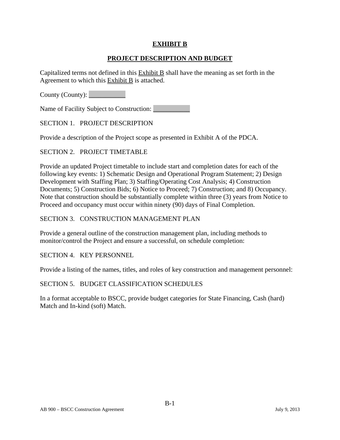# **EXHIBIT B**

# **PROJECT DESCRIPTION AND BUDGET**

Capitalized terms not defined in this  $Exhibit B$  shall have the meaning as set forth in the Agreement to which this Exhibit B is attached.

County (County):

Name of Facility Subject to Construction: \_\_\_\_\_\_\_\_\_\_\_

SECTION 1. PROJECT DESCRIPTION

Provide a description of the Project scope as presented in Exhibit A of the PDCA.

#### SECTION 2. PROJECT TIMETABLE

Provide an updated Project timetable to include start and completion dates for each of the following key events: 1) Schematic Design and Operational Program Statement; 2) Design Development with Staffing Plan; 3) Staffing/Operating Cost Analysis; 4) Construction Documents; 5) Construction Bids; 6) Notice to Proceed; 7) Construction; and 8) Occupancy. Note that construction should be substantially complete within three (3) years from Notice to Proceed and occupancy must occur within ninety (90) days of Final Completion.

#### SECTION 3. CONSTRUCTION MANAGEMENT PLAN

Provide a general outline of the construction management plan, including methods to monitor/control the Project and ensure a successful, on schedule completion:

SECTION 4. KEY PERSONNEL

Provide a listing of the names, titles, and roles of key construction and management personnel:

#### SECTION 5. BUDGET CLASSIFICATION SCHEDULES

In a format acceptable to BSCC, provide budget categories for State Financing, Cash (hard) Match and In-kind (soft) Match.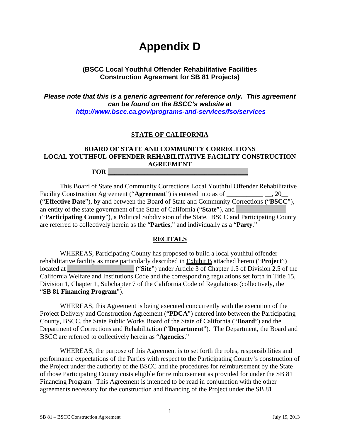# **Appendix D**

# **(BSCC Local Youthful Offender Rehabilitative Facilities Construction Agreement for SB 81 Projects)**

*Please note that this is a generic agreement for reference only. This agreement can be found on the BSCC's website at <http://www.bscc.ca.gov/programs-and-services/fso/services>*

# **STATE OF CALIFORNIA**

# **BOARD OF STATE AND COMMUNITY CORRECTIONS LOCAL YOUTHFUL OFFENDER REHABILITATIVE FACILITY CONSTRUCTION AGREEMENT FOR \_\_\_\_\_\_\_\_\_\_\_\_\_\_\_\_\_\_\_\_\_\_\_\_\_\_\_\_\_\_\_\_\_\_\_\_\_\_\_\_\_\_**

This Board of State and Community Corrections Local Youthful Offender Rehabilitative Facility Construction Agreement ("**Agreement**") is entered into as of \_\_\_\_\_\_\_\_\_\_\_ \_\_, 20\_\_ ("**Effective Date**"), by and between the Board of State and Community Corrections ("**BSCC**"), an entity of the state government of the State of California ("**State**"), and ("**Participating County**"), a Political Subdivision of the State. BSCC and Participating County are referred to collectively herein as the "**Parties**," and individually as a "**Party**."

#### **RECITALS**

WHEREAS, Participating County has proposed to build a local youthful offender rehabilitative facility as more particularly described in Exhibit B attached hereto ("**Project**") located at \_\_\_\_\_\_\_\_\_\_\_\_\_\_\_\_\_\_\_\_ ("**Site**") under Article 3 of Chapter 1.5 of Division 2.5 of the California Welfare and Institutions Code and the corresponding regulations set forth in Title 15, Division 1, Chapter 1, Subchapter 7 of the California Code of Regulations (collectively, the "**SB 81 Financing Program**").

WHEREAS, this Agreement is being executed concurrently with the execution of the Project Delivery and Construction Agreement ("**PDCA**") entered into between the Participating County, BSCC, the State Public Works Board of the State of California ("**Board**") and the Department of Corrections and Rehabilitation ("**Department**"). The Department, the Board and BSCC are referred to collectively herein as "**Agencies**."

WHEREAS, the purpose of this Agreement is to set forth the roles, responsibilities and performance expectations of the Parties with respect to the Participating County's construction of the Project under the authority of the BSCC and the procedures for reimbursement by the State of those Participating County costs eligible for reimbursement as provided for under the SB 81 Financing Program. This Agreement is intended to be read in conjunction with the other agreements necessary for the construction and financing of the Project under the SB 81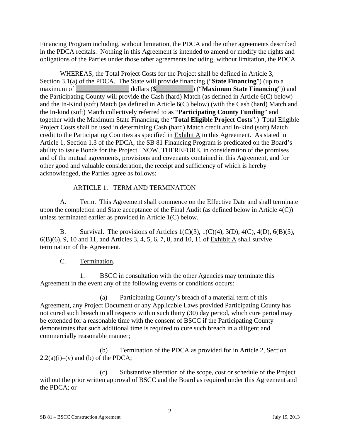Financing Program including, without limitation, the PDCA and the other agreements described in the PDCA recitals. Nothing in this Agreement is intended to amend or modify the rights and obligations of the Parties under those other agreements including, without limitation, the PDCA.

WHEREAS, the Total Project Costs for the Project shall be defined in Article 3, Section 3.1(a) of the PDCA. The State will provide financing ("**State Financing**") (up to a maximum of dollars (\$<sub>2</sub><sup>2</sup> dollars (\$<sub>2</sub><sup>2</sup> maximum State Financing<sup>"</sup>)) and the Participating County will provide the Cash (hard) Match (as defined in Article 6(C) below) and the In-Kind (soft) Match (as defined in Article 6(C) below) (with the Cash (hard) Match and the In-kind (soft) Match collectively referred to as "**Participating County Funding**" and together with the Maximum State Financing, the "**Total Eligible Project Costs**".) Total Eligible Project Costs shall be used in determining Cash (hard) Match credit and In-kind (soft) Match credit to the Participating Counties as specified in Exhibit A to this Agreement. As stated in Article 1, Section 1.3 of the PDCA, the SB 81 Financing Program is predicated on the Board's ability to issue Bonds for the Project. NOW, THEREFORE, in consideration of the promises and of the mutual agreements, provisions and covenants contained in this Agreement, and for other good and valuable consideration, the receipt and sufficiency of which is hereby acknowledged, the Parties agree as follows:

# ARTICLE 1. TERM AND TERMINATION

A. Term. This Agreement shall commence on the Effective Date and shall terminate upon the completion and State acceptance of the Final Audit (as defined below in Article 4(C)) unless terminated earlier as provided in Article 1(C) below.

B. Survival. The provisions of Articles 1(C)(3), 1(C)(4), 3(D), 4(C), 4(D), 6(B)(5), 6(B)(6), 9, 10 and 11, and Articles 3, 4, 5, 6, 7, 8, and 10, 11 of Exhibit A shall survive termination of the Agreement.

# C. Termination.

1. BSCC in consultation with the other Agencies may terminate this Agreement in the event any of the following events or conditions occurs:

(a) Participating County's breach of a material term of this Agreement, any Project Document or any Applicable Laws provided Participating County has not cured such breach in all respects within such thirty (30) day period, which cure period may be extended for a reasonable time with the consent of BSCC if the Participating County demonstrates that such additional time is required to cure such breach in a diligent and commercially reasonable manner;

(b) Termination of the PDCA as provided for in Article 2, Section  $2.2(a)(i)$ –(v) and (b) of the PDCA;

(c) Substantive alteration of the scope, cost or schedule of the Project without the prior written approval of BSCC and the Board as required under this Agreement and the PDCA; or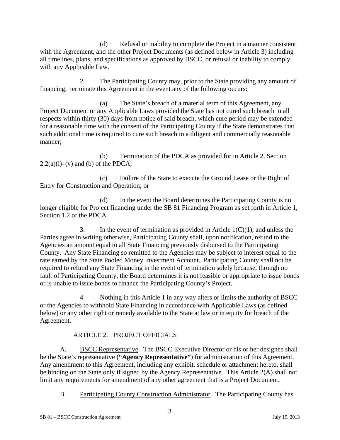(d) Refusal or inability to complete the Project in a manner consistent with the Agreement, and the other Project Documents (as defined below in Article 3) including all timelines, plans, and specifications as approved by BSCC, or refusal or inability to comply with any Applicable Law.

2. The Participating County may, prior to the State providing any amount of financing, terminate this Agreement in the event any of the following occurs:

(a) The State's breach of a material term of this Agreement, any Project Document or any Applicable Laws provided the State has not cured such breach in all respects within thirty (30) days from notice of said breach, which cure period may be extended for a reasonable time with the consent of the Participating County if the State demonstrates that such additional time is required to cure such breach in a diligent and commercially reasonable manner;

(b) Termination of the PDCA as provided for in Article 2, Section  $2.2(a)(i)$ –(v) and (b) of the PDCA;

(c) Failure of the State to execute the Ground Lease or the Right of Entry for Construction and Operation; or

(d) In the event the Board determines the Participating County is no longer eligible for Project financing under the SB 81 Financing Program as set forth in Article 1, Section 1.2 of the PDCA.

3. In the event of termination as provided in Article  $1(C)(1)$ , and unless the Parties agree in writing otherwise, Participating County shall, upon notification, refund to the Agencies an amount equal to all State Financing previously disbursed to the Participating County. Any State Financing so remitted to the Agencies may be subject to interest equal to the rate earned by the State Pooled Money Investment Account. Participating County shall not be required to refund any State Financing in the event of termination solely because, through no fault of Participating County, the Board determines it is not feasible or appropriate to issue bonds or is unable to issue bonds to finance the Participating County's Project.

4. Nothing in this Article 1 in any way alters or limits the authority of BSCC or the Agencies to withhold State Financing in accordance with Applicable Laws (as defined below) or any other right or remedy available to the State at law or in equity for breach of the Agreement.

# ARTICLE 2. PROJECT OFFICIALS

A. BSCC Representative. The BSCC Executive Director or his or her designee shall be the State's representative (**"Agency Representative"**) for administration of this Agreement. Any amendment to this Agreement, including any exhibit, schedule or attachment hereto, shall be binding on the State only if signed by the Agency Representative. This Article 2(A) shall not limit any requirements for amendment of any other agreement that is a Project Document.

B. Participating County Construction Administrator. The Participating County has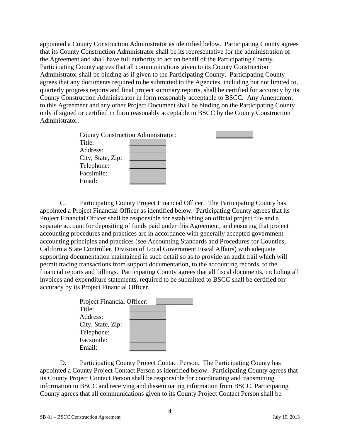appointed a County Construction Administrator as identified below. Participating County agrees that its County Construction Administrator shall be its representative for the administration of the Agreement and shall have full authority to act on behalf of the Participating County. Participating County agrees that all communications given to its County Construction Administrator shall be binding as if given to the Participating County. Participating County agrees that any documents required to be submitted to the Agencies, including but not limited to, quarterly progress reports and final project summary reports, shall be certified for accuracy by its County Construction Administrator in form reasonably acceptable to BSCC. Any Amendment to this Agreement and any other Project Document shall be binding on the Participating County only if signed or certified in form reasonably acceptable to BSCC by the County Construction Administrator.

| <b>County Construction Administrator:</b> |  |  |  |
|-------------------------------------------|--|--|--|
| Title:                                    |  |  |  |
| Address:                                  |  |  |  |
| City, State, Zip:                         |  |  |  |
| Telephone:                                |  |  |  |
| Facsimile:                                |  |  |  |
| Email:                                    |  |  |  |

C. Participating County Project Financial Officer. The Participating County has appointed a Project Financial Officer as identified below. Participating County agrees that its Project Financial Officer shall be responsible for establishing an official project file and a separate account for depositing of funds paid under this Agreement, and ensuring that project accounting procedures and practices are in accordance with generally accepted government accounting principles and practices (see Accounting Standards and Procedures for Counties, California State Controller, Division of Local Government Fiscal Affairs) with adequate supporting documentation maintained in such detail so as to provide an audit trail which will permit tracing transactions from support documentation, to the accounting records, to the financial reports and billings. Participating County agrees that all fiscal documents, including all invoices and expenditure statements, required to be submitted to BSCC shall be certified for accuracy by its Project Financial Officer.

| <b>Project Financial Officer:</b> |  |
|-----------------------------------|--|
| Title:                            |  |
| Address:                          |  |
| City, State, Zip:                 |  |
| Telephone:                        |  |
| Facsimile:                        |  |
| Email:                            |  |

D. Participating County Project Contact Person. The Participating County has appointed a County Project Contact Person as identified below. Participating County agrees that its County Project Contact Person shall be responsible for coordinating and transmitting information to BSCC and receiving and disseminating information from BSCC. Participating County agrees that all communications given to its County Project Contact Person shall be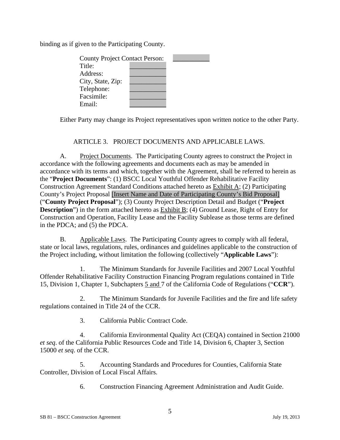binding as if given to the Participating County.

| <b>County Project Contact Person:</b> |  |
|---------------------------------------|--|
| Title:                                |  |
| Address:                              |  |
| City, State, Zip:                     |  |
| Telephone:                            |  |
| Facsimile:                            |  |
| Fmail:                                |  |

Either Party may change its Project representatives upon written notice to the other Party.

#### ARTICLE 3. PROJECT DOCUMENTS AND APPLICABLE LAWS.

A. Project Documents. The Participating County agrees to construct the Project in accordance with the following agreements and documents each as may be amended in accordance with its terms and which, together with the Agreement, shall be referred to herein as the "**Project Documents**": (1) BSCC Local Youthful Offender Rehabilitative Facility Construction Agreement Standard Conditions attached hereto as Exhibit A; (2) Participating County's Project Proposal [Insert Name and Date of Participating County's Bid Proposal] ("**County Project Proposal**"); (3) County Project Description Detail and Budget ("**Project Description**") in the form attached hereto as Exhibit B; (4) Ground Lease, Right of Entry for Construction and Operation, Facility Lease and the Facility Sublease as those terms are defined in the PDCA; and (5) the PDCA.

B. Applicable Laws. The Participating County agrees to comply with all federal, state or local laws, regulations, rules, ordinances and guidelines applicable to the construction of the Project including, without limitation the following (collectively "**Applicable Laws**"):

1. The Minimum Standards for Juvenile Facilities and 2007 Local Youthful Offender Rehabilitative Facility Construction Financing Program regulations contained in Title 15, Division 1, Chapter 1, Subchapters 5 and 7 of the California Code of Regulations ("**CCR**").

2. The Minimum Standards for Juvenile Facilities and the fire and life safety regulations contained in Title 24 of the CCR.

3. California Public Contract Code.

4. California Environmental Quality Act (CEQA) contained in Section 21000 *et seq*. of the California Public Resources Code and Title 14, Division 6, Chapter 3, Section 15000 *et seq*. of the CCR.

5. Accounting Standards and Procedures for Counties, California State Controller, Division of Local Fiscal Affairs.

6. Construction Financing Agreement Administration and Audit Guide.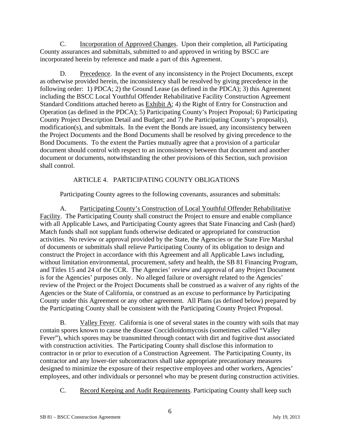C. Incorporation of Approved Changes. Upon their completion, all Participating County assurances and submittals, submitted to and approved in writing by BSCC are incorporated herein by reference and made a part of this Agreement.

D. Precedence. In the event of any inconsistency in the Project Documents, except as otherwise provided herein, the inconsistency shall be resolved by giving precedence in the following order: 1) PDCA; 2) the Ground Lease (as defined in the PDCA); 3) this Agreement including the BSCC Local Youthful Offender Rehabilitative Facility Construction Agreement Standard Conditions attached hereto as  $\overline{\text{Exhibit A}}$ ; 4) the Right of Entry for Construction and Operation (as defined in the PDCA); 5) Participating County's Project Proposal; 6) Participating County Project Description Detail and Budget; and 7) the Participating County's proposal(s), modification(s), and submittals. In the event the Bonds are issued, any inconsistency between the Project Documents and the Bond Documents shall be resolved by giving precedence to the Bond Documents. To the extent the Parties mutually agree that a provision of a particular document should control with respect to an inconsistency between that document and another document or documents, notwithstanding the other provisions of this Section, such provision shall control.

# ARTICLE 4. PARTICIPATING COUNTY OBLIGATIONS

Participating County agrees to the following covenants, assurances and submittals:

A. Participating County's Construction of Local Youthful Offender Rehabilitative Facility. The Participating County shall construct the Project to ensure and enable compliance with all Applicable Laws, and Participating County agrees that State Financing and Cash (hard) Match funds shall not supplant funds otherwise dedicated or appropriated for construction activities. No review or approval provided by the State, the Agencies or the State Fire Marshal of documents or submittals shall relieve Participating County of its obligation to design and construct the Project in accordance with this Agreement and all Applicable Laws including, without limitation environmental, procurement, safety and health, the SB 81 Financing Program, and Titles 15 and 24 of the CCR. The Agencies' review and approval of any Project Document is for the Agencies' purposes only. No alleged failure or oversight related to the Agencies' review of the Project or the Project Documents shall be construed as a waiver of any rights of the Agencies or the State of California, or construed as an excuse to performance by Participating County under this Agreement or any other agreement. All Plans (as defined below) prepared by the Participating County shall be consistent with the Participating County Project Proposal.

B. Valley Fever. California is one of several states in the country with soils that may contain spores known to cause the disease Coccidioidomycosis (sometimes called "Valley Fever"), which spores may be transmitted through contact with dirt and fugitive dust associated with construction activities. The Participating County shall disclose this information to contractor in or prior to execution of a Construction Agreement. The Participating County, its contractor and any lower-tier subcontractors shall take appropriate precautionary measures designed to minimize the exposure of their respective employees and other workers, Agencies' employees, and other individuals or personnel who may be present during construction activities.

C. Record Keeping and Audit Requirements. Participating County shall keep such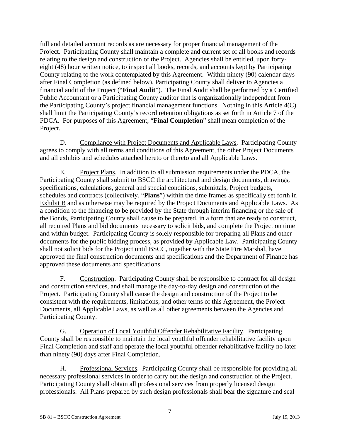full and detailed account records as are necessary for proper financial management of the Project. Participating County shall maintain a complete and current set of all books and records relating to the design and construction of the Project. Agencies shall be entitled, upon fortyeight (48) hour written notice, to inspect all books, records, and accounts kept by Participating County relating to the work contemplated by this Agreement. Within ninety (90) calendar days after Final Completion (as defined below), Participating County shall deliver to Agencies a financial audit of the Project ("**Final Audit**"). The Final Audit shall be performed by a Certified Public Accountant or a Participating County auditor that is organizationally independent from the Participating County's project financial management functions. Nothing in this Article 4(C) shall limit the Participating County's record retention obligations as set forth in Article 7 of the PDCA. For purposes of this Agreement, "**Final Completion**" shall mean completion of the Project.

D. Compliance with Project Documents and Applicable Laws. Participating County agrees to comply with all terms and conditions of this Agreement, the other Project Documents and all exhibits and schedules attached hereto or thereto and all Applicable Laws.

E. Project Plans. In addition to all submission requirements under the PDCA, the Participating County shall submit to BSCC the architectural and design documents, drawings, specifications, calculations, general and special conditions, submittals, Project budgets, schedules and contracts (collectively, "**Plans**") within the time frames as specifically set forth in Exhibit B and as otherwise may be required by the Project Documents and Applicable Laws. As a condition to the financing to be provided by the State through interim financing or the sale of the Bonds, Participating County shall cause to be prepared, in a form that are ready to construct, all required Plans and bid documents necessary to solicit bids, and complete the Project on time and within budget. Participating County is solely responsible for preparing all Plans and other documents for the public bidding process, as provided by Applicable Law. Participating County shall not solicit bids for the Project until BSCC, together with the State Fire Marshal, have approved the final construction documents and specifications and the Department of Finance has approved these documents and specifications.

F. Construction. Participating County shall be responsible to contract for all design and construction services, and shall manage the day-to-day design and construction of the Project. Participating County shall cause the design and construction of the Project to be consistent with the requirements, limitations, and other terms of this Agreement, the Project Documents, all Applicable Laws, as well as all other agreements between the Agencies and Participating County.

G. Operation of Local Youthful Offender Rehabilitative Facility. Participating County shall be responsible to maintain the local youthful offender rehabilitative facility upon Final Completion and staff and operate the local youthful offender rehabilitative facility no later than ninety (90) days after Final Completion.

H. Professional Services. Participating County shall be responsible for providing all necessary professional services in order to carry out the design and construction of the Project. Participating County shall obtain all professional services from properly licensed design professionals. All Plans prepared by such design professionals shall bear the signature and seal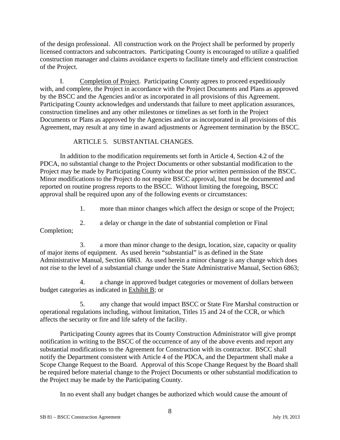of the design professional. All construction work on the Project shall be performed by properly licensed contractors and subcontractors. Participating County is encouraged to utilize a qualified construction manager and claims avoidance experts to facilitate timely and efficient construction of the Project.

I. Completion of Project. Participating County agrees to proceed expeditiously with, and complete, the Project in accordance with the Project Documents and Plans as approved by the BSCC and the Agencies and/or as incorporated in all provisions of this Agreement. Participating County acknowledges and understands that failure to meet application assurances, construction timelines and any other milestones or timelines as set forth in the Project Documents or Plans as approved by the Agencies and/or as incorporated in all provisions of this Agreement, may result at any time in award adjustments or Agreement termination by the BSCC.

#### ARTICLE 5. SUBSTANTIAL CHANGES.

In addition to the modification requirements set forth in Article 4, Section 4.2 of the PDCA, no substantial change to the Project Documents or other substantial modification to the Project may be made by Participating County without the prior written permission of the BSCC. Minor modifications to the Project do not require BSCC approval, but must be documented and reported on routine progress reports to the BSCC. Without limiting the foregoing, BSCC approval shall be required upon any of the following events or circumstances:

1. more than minor changes which affect the design or scope of the Project;

2. a delay or change in the date of substantial completion or Final

Completion;

3. a more than minor change to the design, location, size, capacity or quality of major items of equipment. As used herein "substantial" is as defined in the State Administrative Manual, Section 6863. As used herein a minor change is any change which does not rise to the level of a substantial change under the State Administrative Manual, Section 6863;

4. a change in approved budget categories or movement of dollars between budget categories as indicated in Exhibit B; or

5. any change that would impact BSCC or State Fire Marshal construction or operational regulations including, without limitation, Titles 15 and 24 of the CCR, or which affects the security or fire and life safety of the facility.

Participating County agrees that its County Construction Administrator will give prompt notification in writing to the BSCC of the occurrence of any of the above events and report any substantial modifications to the Agreement for Construction with its contractor. BSCC shall notify the Department consistent with Article 4 of the PDCA, and the Department shall make a Scope Change Request to the Board. Approval of this Scope Change Request by the Board shall be required before material change to the Project Documents or other substantial modification to the Project may be made by the Participating County.

In no event shall any budget changes be authorized which would cause the amount of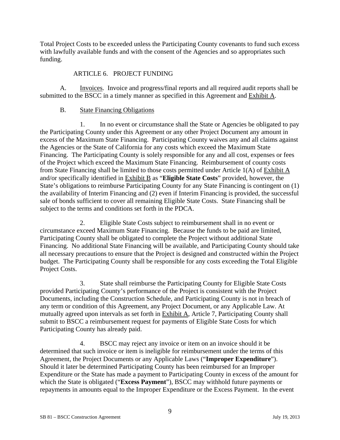Total Project Costs to be exceeded unless the Participating County covenants to fund such excess with lawfully available funds and with the consent of the Agencies and so appropriates such funding.

# ARTICLE 6. PROJECT FUNDING

A. Invoices. Invoice and progress/final reports and all required audit reports shall be submitted to the BSCC in a timely manner as specified in this Agreement and Exhibit A.

# B. State Financing Obligations

1. In no event or circumstance shall the State or Agencies be obligated to pay the Participating County under this Agreement or any other Project Document any amount in excess of the Maximum State Financing. Participating County waives any and all claims against the Agencies or the State of California for any costs which exceed the Maximum State Financing. The Participating County is solely responsible for any and all cost, expenses or fees of the Project which exceed the Maximum State Financing. Reimbursement of county costs from State Financing shall be limited to those costs permitted under Article 1(A) of Exhibit A and/or specifically identified in Exhibit B as "**Eligible State Costs**" provided, however, the State's obligations to reimburse Participating County for any State Financing is contingent on (1) the availability of Interim Financing and (2) even if Interim Financing is provided, the successful sale of bonds sufficient to cover all remaining Eligible State Costs. State Financing shall be subject to the terms and conditions set forth in the PDCA.

2. Eligible State Costs subject to reimbursement shall in no event or circumstance exceed Maximum State Financing. Because the funds to be paid are limited, Participating County shall be obligated to complete the Project without additional State Financing. No additional State Financing will be available, and Participating County should take all necessary precautions to ensure that the Project is designed and constructed within the Project budget. The Participating County shall be responsible for any costs exceeding the Total Eligible Project Costs.

3. State shall reimburse the Participating County for Eligible State Costs provided Participating County's performance of the Project is consistent with the Project Documents, including the Construction Schedule, and Participating County is not in breach of any term or condition of this Agreement, any Project Document, or any Applicable Law. At mutually agreed upon intervals as set forth in Exhibit A, Article 7, Participating County shall submit to BSCC a reimbursement request for payments of Eligible State Costs for which Participating County has already paid.

4. BSCC may reject any invoice or item on an invoice should it be determined that such invoice or item is ineligible for reimbursement under the terms of this Agreement, the Project Documents or any Applicable Laws ("**Improper Expenditure**"). Should it later be determined Participating County has been reimbursed for an Improper Expenditure or the State has made a payment to Participating County in excess of the amount for which the State is obligated ("**Excess Payment**"), BSCC may withhold future payments or repayments in amounts equal to the Improper Expenditure or the Excess Payment. In the event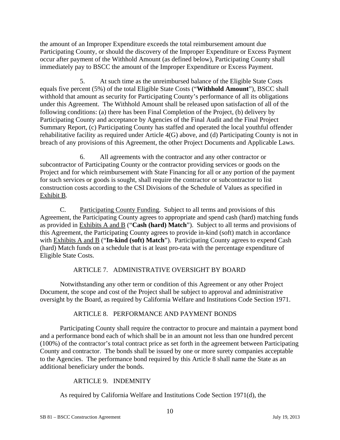the amount of an Improper Expenditure exceeds the total reimbursement amount due Participating County, or should the discovery of the Improper Expenditure or Excess Payment occur after payment of the Withhold Amount (as defined below), Participating County shall immediately pay to BSCC the amount of the Improper Expenditure or Excess Payment.

5. At such time as the unreimbursed balance of the Eligible State Costs equals five percent (5%) of the total Eligible State Costs ("**Withhold Amount**"), BSCC shall withhold that amount as security for Participating County's performance of all its obligations under this Agreement. The Withhold Amount shall be released upon satisfaction of all of the following conditions: (a) there has been Final Completion of the Project, (b) delivery by Participating County and acceptance by Agencies of the Final Audit and the Final Project Summary Report, (c) Participating County has staffed and operated the local youthful offender rehabilitative facility as required under Article 4(G) above, and (d) Participating County is not in breach of any provisions of this Agreement, the other Project Documents and Applicable Laws.

6. All agreements with the contractor and any other contractor or subcontractor of Participating County or the contractor providing services or goods on the Project and for which reimbursement with State Financing for all or any portion of the payment for such services or goods is sought, shall require the contractor or subcontractor to list construction costs according to the CSI Divisions of the Schedule of Values as specified in Exhibit B.

C. Participating County Funding. Subject to all terms and provisions of this Agreement, the Participating County agrees to appropriate and spend cash (hard) matching funds as provided in Exhibits A and B ("**Cash (hard) Match**"). Subject to all terms and provisions of this Agreement, the Participating County agrees to provide in-kind (soft) match in accordance with Exhibits A and B ("In-kind (soft) Match"). Participating County agrees to expend Cash (hard) Match funds on a schedule that is at least pro-rata with the percentage expenditure of Eligible State Costs.

# ARTICLE 7. ADMINISTRATIVE OVERSIGHT BY BOARD

Notwithstanding any other term or condition of this Agreement or any other Project Document, the scope and cost of the Project shall be subject to approval and administrative oversight by the Board, as required by California Welfare and Institutions Code Section 1971.

# ARTICLE 8. PERFORMANCE AND PAYMENT BONDS

Participating County shall require the contractor to procure and maintain a payment bond and a performance bond each of which shall be in an amount not less than one hundred percent (100%) of the contractor's total contract price as set forth in the agreement between Participating County and contractor. The bonds shall be issued by one or more surety companies acceptable to the Agencies. The performance bond required by this Article 8 shall name the State as an additional beneficiary under the bonds.

# ARTICLE 9. INDEMNITY

As required by California Welfare and Institutions Code Section 1971(d), the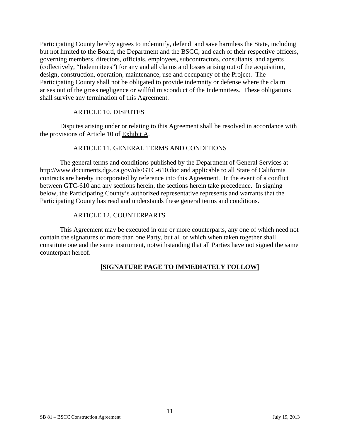Participating County hereby agrees to indemnify, defend and save harmless the State, including but not limited to the Board, the Department and the BSCC, and each of their respective officers, governing members, directors, officials, employees, subcontractors, consultants, and agents (collectively, "Indemnitees") for any and all claims and losses arising out of the acquisition, design, construction, operation, maintenance, use and occupancy of the Project. The Participating County shall not be obligated to provide indemnity or defense where the claim arises out of the gross negligence or willful misconduct of the Indemnitees. These obligations shall survive any termination of this Agreement.

#### ARTICLE 10. DISPUTES

Disputes arising under or relating to this Agreement shall be resolved in accordance with the provisions of Article 10 of Exhibit A.

#### ARTICLE 11. GENERAL TERMS AND CONDITIONS

The general terms and conditions published by the Department of General Services at http://www.documents.dgs.ca.gov/ols/GTC-610.doc and applicable to all State of California contracts are hereby incorporated by reference into this Agreement. In the event of a conflict between GTC-610 and any sections herein, the sections herein take precedence. In signing below, the Participating County's authorized representative represents and warrants that the Participating County has read and understands these general terms and conditions.

#### ARTICLE 12. COUNTERPARTS

This Agreement may be executed in one or more counterparts, any one of which need not contain the signatures of more than one Party, but all of which when taken together shall constitute one and the same instrument, notwithstanding that all Parties have not signed the same counterpart hereof.

#### **[SIGNATURE PAGE TO IMMEDIATELY FOLLOW]**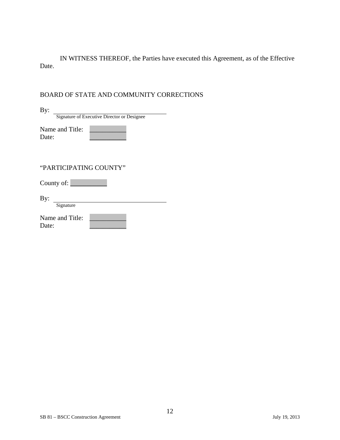IN WITNESS THEREOF, the Parties have executed this Agreement, as of the Effective Date.

# BOARD OF STATE AND COMMUNITY CORRECTIONS

| By:                                         |
|---------------------------------------------|
| Signature of Executive Director or Designee |
| Name and Title:<br>Date:                    |
|                                             |
| "PARTICIPATING COUNTY"                      |
| County of: $\_\_\_\_\_\_\_\_\_\_\_\_$       |
| By:<br>Signature                            |
| Name and Title:<br>Date:                    |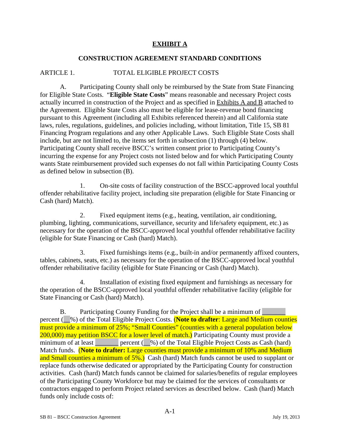# **EXHIBIT A**

### **CONSTRUCTION AGREEMENT STANDARD CONDITIONS**

### ARTICLE 1. TOTAL ELIGIBLE PROJECT COSTS

A. Participating County shall only be reimbursed by the State from State Financing for Eligible State Costs. "**Eligible State Costs**" means reasonable and necessary Project costs actually incurred in construction of the Project and as specified in Exhibits A and B attached to the Agreement. Eligible State Costs also must be eligible for lease-revenue bond financing pursuant to this Agreement (including all Exhibits referenced therein) and all California state laws, rules, regulations, guidelines, and policies including, without limitation, Title 15, SB 81 Financing Program regulations and any other Applicable Laws. Such Eligible State Costs shall include, but are not limited to, the items set forth in subsection (1) through (4) below. Participating County shall receive BSCC's written consent prior to Participating County's incurring the expense for any Project costs not listed below and for which Participating County wants State reimbursement provided such expenses do not fall within Participating County Costs as defined below in subsection (B).

1. On-site costs of facility construction of the BSCC-approved local youthful offender rehabilitative facility project, including site preparation (eligible for State Financing or Cash (hard) Match).

2. Fixed equipment items (e.g., heating, ventilation, air conditioning, plumbing, lighting, communications, surveillance, security and life/safety equipment, etc.) as necessary for the operation of the BSCC-approved local youthful offender rehabilitative facility (eligible for State Financing or Cash (hard) Match).

3. Fixed furnishings items (e.g., built-in and/or permanently affixed counters, tables, cabinets, seats, etc.) as necessary for the operation of the BSCC-approved local youthful offender rehabilitative facility (eligible for State Financing or Cash (hard) Match).

4. Installation of existing fixed equipment and furnishings as necessary for the operation of the BSCC-approved local youthful offender rehabilitative facility (eligible for State Financing or Cash (hard) Match).

B. Participating County Funding for the Project shall be a minimum of percent (\_\_%) of the Total Eligible Project Costs. (**Note to drafter**: Large and Medium counties must provide a minimum of 25%; "Small Counties" (counties with a general population below 200,000) may petition BSCC for a lower level of match.) Participating County must provide a minimum of at least  $\qquad$  percent ( $\frac{9}{0}$ ) of the Total Eligible Project Costs as Cash (hard) Match funds. (**Note to drafter:** Large counties must provide a minimum of 10% and Medium and Small counties a minimum of 5%.) Cash (hard) Match funds cannot be used to supplant or replace funds otherwise dedicated or appropriated by the Participating County for construction activities. Cash (hard) Match funds cannot be claimed for salaries/benefits of regular employees of the Participating County Workforce but may be claimed for the services of consultants or contractors engaged to perform Project related services as described below. Cash (hard) Match funds only include costs of: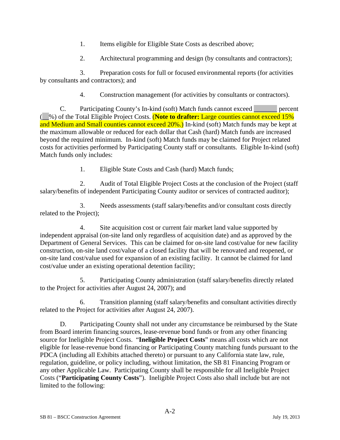- 1. Items eligible for Eligible State Costs as described above;
- 2. Architectural programming and design (by consultants and contractors);

3. Preparation costs for full or focused environmental reports (for activities by consultants and contractors); and

4. Construction management (for activities by consultants or contractors).

C. Participating County's In-kind (soft) Match funds cannot exceed \_\_\_\_\_\_\_ percent (\_\_%) of the Total Eligible Project Costs. (**Note to drafter:** Large counties cannot exceed 15% and Medium and Small counties cannot exceed 20%.) In-kind (soft) Match funds may be kept at the maximum allowable or reduced for each dollar that Cash (hard) Match funds are increased beyond the required minimum. In-kind (soft) Match funds may be claimed for Project related costs for activities performed by Participating County staff or consultants. Eligible In-kind (soft) Match funds only includes:

1. Eligible State Costs and Cash (hard) Match funds;

2. Audit of Total Eligible Project Costs at the conclusion of the Project (staff salary/benefits of independent Participating County auditor or services of contracted auditor);

3. Needs assessments (staff salary/benefits and/or consultant costs directly related to the Project);

4. Site acquisition cost or current fair market land value supported by independent appraisal (on-site land only regardless of acquisition date) and as approved by the Department of General Services. This can be claimed for on-site land cost/value for new facility construction, on-site land cost/value of a closed facility that will be renovated and reopened, or on-site land cost/value used for expansion of an existing facility. It cannot be claimed for land cost/value under an existing operational detention facility;

5. Participating County administration (staff salary/benefits directly related to the Project for activities after August 24, 2007); and

6. Transition planning (staff salary/benefits and consultant activities directly related to the Project for activities after August 24, 2007).

D. Participating County shall not under any circumstance be reimbursed by the State from Board interim financing sources, lease-revenue bond funds or from any other financing source for Ineligible Project Costs. "**Ineligible Project Costs**" means all costs which are not eligible for lease-revenue bond financing or Participating County matching funds pursuant to the PDCA (including all Exhibits attached thereto) or pursuant to any California state law, rule, regulation, guideline, or policy including, without limitation, the SB 81 Financing Program or any other Applicable Law. Participating County shall be responsible for all Ineligible Project Costs ("**Participating County Costs**"). Ineligible Project Costs also shall include but are not limited to the following: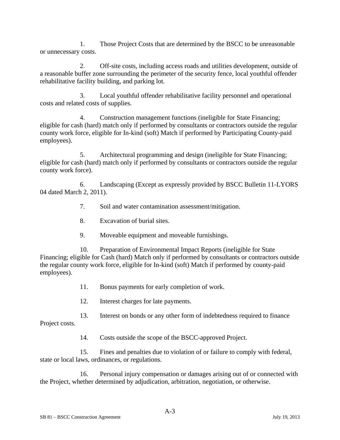1. Those Project Costs that are determined by the BSCC to be unreasonable or unnecessary costs.

2. Off-site costs, including access roads and utilities development, outside of a reasonable buffer zone surrounding the perimeter of the security fence, local youthful offender rehabilitative facility building, and parking lot.

3. Local youthful offender rehabilitative facility personnel and operational costs and related costs of supplies.

4. Construction management functions (ineligible for State Financing; eligible for cash (hard) match only if performed by consultants or contractors outside the regular county work force, eligible for In-kind (soft) Match if performed by Participating County-paid employees).

5. Architectural programming and design (ineligible for State Financing; eligible for cash (hard) match only if performed by consultants or contractors outside the regular county work force).

6. Landscaping (Except as expressly provided by BSCC Bulletin 11-LYORS 04 dated March 2, 2011).

7. Soil and water contamination assessment/mitigation.

- 8. Excavation of burial sites.
- 9. Moveable equipment and moveable furnishings.

10. Preparation of Environmental Impact Reports (ineligible for State Financing; eligible for Cash (hard) Match only if performed by consultants or contractors outside the regular county work force, eligible for In-kind (soft) Match if performed by county-paid employees).

11. Bonus payments for early completion of work.

12. Interest charges for late payments.

13. Interest on bonds or any other form of indebtedness required to finance Project costs.

14. Costs outside the scope of the BSCC-approved Project.

15. Fines and penalties due to violation of or failure to comply with federal, state or local laws, ordinances, or regulations.

16. Personal injury compensation or damages arising out of or connected with the Project, whether determined by adjudication, arbitration, negotiation, or otherwise.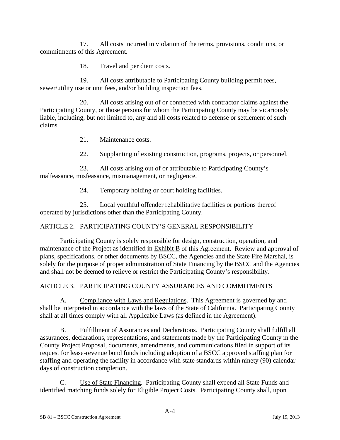17. All costs incurred in violation of the terms, provisions, conditions, or commitments of this Agreement.

18. Travel and per diem costs.

19. All costs attributable to Participating County building permit fees, sewer/utility use or unit fees, and/or building inspection fees.

20. All costs arising out of or connected with contractor claims against the Participating County, or those persons for whom the Participating County may be vicariously liable, including, but not limited to, any and all costs related to defense or settlement of such claims.

21. Maintenance costs.

22. Supplanting of existing construction, programs, projects, or personnel.

23. All costs arising out of or attributable to Participating County's malfeasance, misfeasance, mismanagement, or negligence.

24. Temporary holding or court holding facilities.

25. Local youthful offender rehabilitative facilities or portions thereof operated by jurisdictions other than the Participating County.

# ARTICLE 2. PARTICIPATING COUNTY'S GENERAL RESPONSIBILITY

Participating County is solely responsible for design, construction, operation, and maintenance of the Project as identified in Exhibit B of this Agreement. Review and approval of plans, specifications, or other documents by BSCC, the Agencies and the State Fire Marshal, is solely for the purpose of proper administration of State Financing by the BSCC and the Agencies and shall not be deemed to relieve or restrict the Participating County's responsibility.

ARTICLE 3. PARTICIPATING COUNTY ASSURANCES AND COMMITMENTS

A. Compliance with Laws and Regulations. This Agreement is governed by and shall be interpreted in accordance with the laws of the State of California. Participating County shall at all times comply with all Applicable Laws (as defined in the Agreement).

B. Fulfillment of Assurances and Declarations. Participating County shall fulfill all assurances, declarations, representations, and statements made by the Participating County in the County Project Proposal, documents, amendments, and communications filed in support of its request for lease-revenue bond funds including adoption of a BSCC approved staffing plan for staffing and operating the facility in accordance with state standards within ninety (90) calendar days of construction completion.

C. Use of State Financing. Participating County shall expend all State Funds and identified matching funds solely for Eligible Project Costs. Participating County shall, upon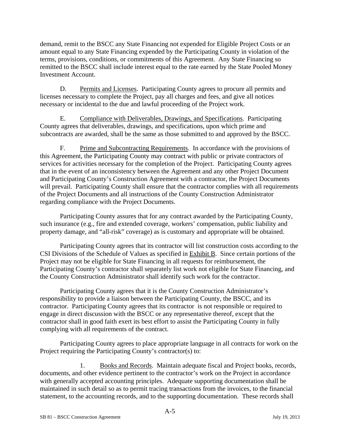demand, remit to the BSCC any State Financing not expended for Eligible Project Costs or an amount equal to any State Financing expended by the Participating County in violation of the terms, provisions, conditions, or commitments of this Agreement. Any State Financing so remitted to the BSCC shall include interest equal to the rate earned by the State Pooled Money Investment Account.

D. Permits and Licenses. Participating County agrees to procure all permits and licenses necessary to complete the Project, pay all charges and fees, and give all notices necessary or incidental to the due and lawful proceeding of the Project work.

E. Compliance with Deliverables, Drawings, and Specifications. Participating County agrees that deliverables, drawings, and specifications, upon which prime and subcontracts are awarded, shall be the same as those submitted to and approved by the BSCC.

F. Prime and Subcontracting Requirements. In accordance with the provisions of this Agreement, the Participating County may contract with public or private contractors of services for activities necessary for the completion of the Project. Participating County agrees that in the event of an inconsistency between the Agreement and any other Project Document and Participating County's Construction Agreement with a contractor, the Project Documents will prevail. Participating County shall ensure that the contractor complies with all requirements of the Project Documents and all instructions of the County Construction Administrator regarding compliance with the Project Documents.

Participating County assures that for any contract awarded by the Participating County, such insurance (e.g., fire and extended coverage, workers' compensation, public liability and property damage, and "all-risk" coverage) as is customary and appropriate will be obtained.

Participating County agrees that its contractor will list construction costs according to the CSI Divisions of the Schedule of Values as specified in Exhibit B. Since certain portions of the Project may not be eligible for State Financing in all requests for reimbursement, the Participating County's contractor shall separately list work not eligible for State Financing, and the County Construction Administrator shall identify such work for the contractor.

Participating County agrees that it is the County Construction Administrator's responsibility to provide a liaison between the Participating County, the BSCC, and its contractor. Participating County agrees that its contractor is not responsible or required to engage in direct discussion with the BSCC or any representative thereof, except that the contractor shall in good faith exert its best effort to assist the Participating County in fully complying with all requirements of the contract.

Participating County agrees to place appropriate language in all contracts for work on the Project requiring the Participating County's contractor(s) to:

1. Books and Records. Maintain adequate fiscal and Project books, records, documents, and other evidence pertinent to the contractor's work on the Project in accordance with generally accepted accounting principles. Adequate supporting documentation shall be maintained in such detail so as to permit tracing transactions from the invoices, to the financial statement, to the accounting records, and to the supporting documentation. These records shall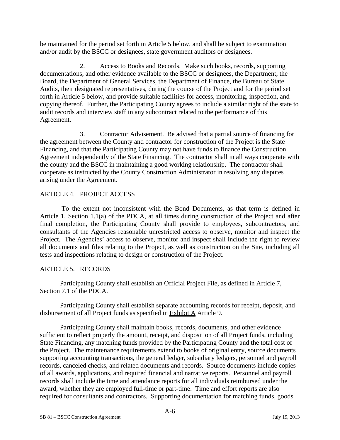be maintained for the period set forth in Article 5 below, and shall be subject to examination and/or audit by the BSCC or designees, state government auditors or designees.

2. Access to Books and Records. Make such books, records, supporting documentations, and other evidence available to the BSCC or designees, the Department, the Board, the Department of General Services, the Department of Finance, the Bureau of State Audits, their designated representatives, during the course of the Project and for the period set forth in Article 5 below, and provide suitable facilities for access, monitoring, inspection, and copying thereof. Further, the Participating County agrees to include a similar right of the state to audit records and interview staff in any subcontract related to the performance of this Agreement.

3. Contractor Advisement. Be advised that a partial source of financing for the agreement between the County and contractor for construction of the Project is the State Financing, and that the Participating County may not have funds to finance the Construction Agreement independently of the State Financing. The contractor shall in all ways cooperate with the county and the BSCC in maintaining a good working relationship. The contractor shall cooperate as instructed by the County Construction Administrator in resolving any disputes arising under the Agreement.

#### ARTICLE 4. PROJECT ACCESS

 To the extent not inconsistent with the Bond Documents, as that term is defined in Article 1, Section 1.1(a) of the PDCA, at all times during construction of the Project and after final completion, the Participating County shall provide to employees, subcontractors, and consultants of the Agencies reasonable unrestricted access to observe, monitor and inspect the Project. The Agencies' access to observe, monitor and inspect shall include the right to review all documents and files relating to the Project, as well as construction on the Site, including all tests and inspections relating to design or construction of the Project.

# ARTICLE 5. RECORDS

Participating County shall establish an Official Project File, as defined in Article 7, Section 7.1 of the PDCA.

Participating County shall establish separate accounting records for receipt, deposit, and disbursement of all Project funds as specified in Exhibit A Article 9.

Participating County shall maintain books, records, documents, and other evidence sufficient to reflect properly the amount, receipt, and disposition of all Project funds, including State Financing, any matching funds provided by the Participating County and the total cost of the Project. The maintenance requirements extend to books of original entry, source documents supporting accounting transactions, the general ledger, subsidiary ledgers, personnel and payroll records, canceled checks, and related documents and records. Source documents include copies of all awards, applications, and required financial and narrative reports. Personnel and payroll records shall include the time and attendance reports for all individuals reimbursed under the award, whether they are employed full-time or part-time. Time and effort reports are also required for consultants and contractors. Supporting documentation for matching funds, goods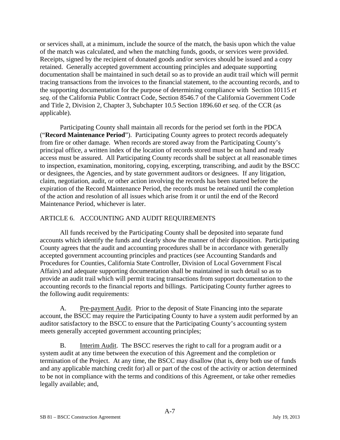or services shall, at a minimum, include the source of the match, the basis upon which the value of the match was calculated, and when the matching funds, goods, or services were provided. Receipts, signed by the recipient of donated goods and/or services should be issued and a copy retained. Generally accepted government accounting principles and adequate supporting documentation shall be maintained in such detail so as to provide an audit trail which will permit tracing transactions from the invoices to the financial statement, to the accounting records, and to the supporting documentation for the purpose of determining compliance with Section 10115 *et seq*. of the California Public Contract Code, Section 8546.7 of the California Government Code and Title 2, Division 2, Chapter 3, Subchapter 10.5 Section 1896.60 *et seq*. of the CCR (as applicable).

Participating County shall maintain all records for the period set forth in the PDCA ("**Record Maintenance Period**"). Participating County agrees to protect records adequately from fire or other damage. When records are stored away from the Participating County's principal office, a written index of the location of records stored must be on hand and ready access must be assured. All Participating County records shall be subject at all reasonable times to inspection, examination, monitoring, copying, excerpting, transcribing, and audit by the BSCC or designees, the Agencies, and by state government auditors or designees. If any litigation, claim, negotiation, audit, or other action involving the records has been started before the expiration of the Record Maintenance Period, the records must be retained until the completion of the action and resolution of all issues which arise from it or until the end of the Record Maintenance Period, whichever is later.

# ARTICLE 6. ACCOUNTING AND AUDIT REQUIREMENTS

All funds received by the Participating County shall be deposited into separate fund accounts which identify the funds and clearly show the manner of their disposition. Participating County agrees that the audit and accounting procedures shall be in accordance with generally accepted government accounting principles and practices (see Accounting Standards and Procedures for Counties, California State Controller, Division of Local Government Fiscal Affairs) and adequate supporting documentation shall be maintained in such detail so as to provide an audit trail which will permit tracing transactions from support documentation to the accounting records to the financial reports and billings. Participating County further agrees to the following audit requirements:

A. Pre-payment Audit. Prior to the deposit of State Financing into the separate account, the BSCC may require the Participating County to have a system audit performed by an auditor satisfactory to the BSCC to ensure that the Participating County's accounting system meets generally accepted government accounting principles;

B. Interim Audit. The BSCC reserves the right to call for a program audit or a system audit at any time between the execution of this Agreement and the completion or termination of the Project. At any time, the BSCC may disallow (that is, deny both use of funds and any applicable matching credit for) all or part of the cost of the activity or action determined to be not in compliance with the terms and conditions of this Agreement, or take other remedies legally available; and,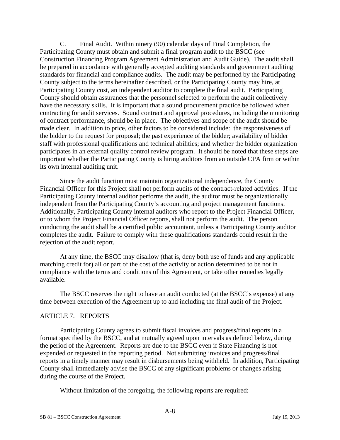C. Final Audit. Within ninety (90) calendar days of Final Completion, the Participating County must obtain and submit a final program audit to the BSCC (see Construction Financing Program Agreement Administration and Audit Guide). The audit shall be prepared in accordance with generally accepted auditing standards and government auditing standards for financial and compliance audits. The audit may be performed by the Participating County subject to the terms hereinafter described, or the Participating County may hire, at Participating County cost, an independent auditor to complete the final audit. Participating County should obtain assurances that the personnel selected to perform the audit collectively have the necessary skills. It is important that a sound procurement practice be followed when contracting for audit services. Sound contract and approval procedures, including the monitoring of contract performance, should be in place. The objectives and scope of the audit should be made clear. In addition to price, other factors to be considered include: the responsiveness of the bidder to the request for proposal; the past experience of the bidder; availability of bidder staff with professional qualifications and technical abilities; and whether the bidder organization participates in an external quality control review program. It should be noted that these steps are important whether the Participating County is hiring auditors from an outside CPA firm or within its own internal auditing unit.

Since the audit function must maintain organizational independence, the County Financial Officer for this Project shall not perform audits of the contract-related activities. If the Participating County internal auditor performs the audit, the auditor must be organizationally independent from the Participating County's accounting and project management functions. Additionally, Participating County internal auditors who report to the Project Financial Officer, or to whom the Project Financial Officer reports, shall not perform the audit. The person conducting the audit shall be a certified public accountant, unless a Participating County auditor completes the audit. Failure to comply with these qualifications standards could result in the rejection of the audit report.

At any time, the BSCC may disallow (that is, deny both use of funds and any applicable matching credit for) all or part of the cost of the activity or action determined to be not in compliance with the terms and conditions of this Agreement, or take other remedies legally available.

The BSCC reserves the right to have an audit conducted (at the BSCC's expense) at any time between execution of the Agreement up to and including the final audit of the Project.

#### ARTICLE 7. REPORTS

Participating County agrees to submit fiscal invoices and progress/final reports in a format specified by the BSCC, and at mutually agreed upon intervals as defined below, during the period of the Agreement. Reports are due to the BSCC even if State Financing is not expended or requested in the reporting period. Not submitting invoices and progress/final reports in a timely manner may result in disbursements being withheld. In addition, Participating County shall immediately advise the BSCC of any significant problems or changes arising during the course of the Project.

Without limitation of the foregoing, the following reports are required: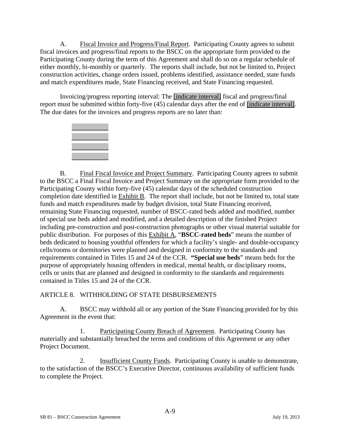A. Fiscal Invoice and Progress/Final Report. Participating County agrees to submit fiscal invoices and progress/final reports to the BSCC on the appropriate form provided to the Participating County during the term of this Agreement and shall do so on a regular schedule of either monthly, bi-monthly or quarterly. The reports shall include, but not be limited to, Project construction activities, change orders issued, problems identified, assistance needed, state funds and match expenditures made, State Financing received, and State Financing requested.

Invoicing/progress reporting interval: The [indicate interval] fiscal and progress/final report must be submitted within forty-five (45) calendar days after the end of [indicate interval]. The due dates for the invoices and progress reports are no later than:



B. Final Fiscal Invoice and Project Summary. Participating County agrees to submit to the BSCC a Final Fiscal Invoice and Project Summary on the appropriate form provided to the Participating County within forty-five (45) calendar days of the scheduled construction completion date identified in Exhibit B. The report shall include, but not be limited to, total state funds and match expenditures made by budget division, total State Financing received, remaining State Financing requested, number of BSCC-rated beds added and modified, number of special use beds added and modified, and a detailed description of the finished Project including pre-construction and post-construction photographs or other visual material suitable for public distribution. For purposes of this Exhibit A, "**BSCC**-**rated beds**" means the number of beds dedicated to housing youthful offenders for which a facility's single- and double-occupancy cells/rooms or dormitories were planned and designed in conformity to the standards and requirements contained in Titles 15 and 24 of the CCR. **"Special use beds**" means beds for the purpose of appropriately housing offenders in medical, mental health, or disciplinary rooms, cells or units that are planned and designed in conformity to the standards and requirements contained in Titles 15 and 24 of the CCR.

ARTICLE 8. WITHHOLDING OF STATE DISBURSEMENTS

A. BSCC may withhold all or any portion of the State Financing provided for by this Agreement in the event that:

1. Participating County Breach of Agreement. Participating County has materially and substantially breached the terms and conditions of this Agreement or any other Project Document.

2. Insufficient County Funds. Participating County is unable to demonstrate, to the satisfaction of the BSCC's Executive Director, continuous availability of sufficient funds to complete the Project.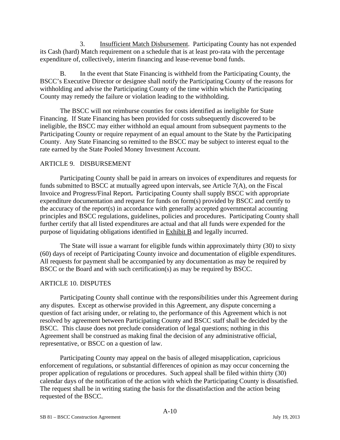3. Insufficient Match Disbursement. Participating County has not expended its Cash (hard) Match requirement on a schedule that is at least pro-rata with the percentage expenditure of, collectively, interim financing and lease-revenue bond funds.

B. In the event that State Financing is withheld from the Participating County, the BSCC's Executive Director or designee shall notify the Participating County of the reasons for withholding and advise the Participating County of the time within which the Participating County may remedy the failure or violation leading to the withholding.

The BSCC will not reimburse counties for costs identified as ineligible for State Financing. If State Financing has been provided for costs subsequently discovered to be ineligible, the BSCC may either withhold an equal amount from subsequent payments to the Participating County or require repayment of an equal amount to the State by the Participating County. Any State Financing so remitted to the BSCC may be subject to interest equal to the rate earned by the State Pooled Money Investment Account.

#### ARTICLE 9. DISBURSEMENT

Participating County shall be paid in arrears on invoices of expenditures and requests for funds submitted to BSCC at mutually agreed upon intervals, see Article 7(A), on the Fiscal Invoice and Progress/Final Report**.** Participating County shall supply BSCC with appropriate expenditure documentation and request for funds on form(s) provided by BSCC and certify to the accuracy of the report(s) in accordance with generally accepted governmental accounting principles and BSCC regulations, guidelines, policies and procedures. Participating County shall further certify that all listed expenditures are actual and that all funds were expended for the purpose of liquidating obligations identified in Exhibit B and legally incurred.

The State will issue a warrant for eligible funds within approximately thirty (30) to sixty (60) days of receipt of Participating County invoice and documentation of eligible expenditures. All requests for payment shall be accompanied by any documentation as may be required by BSCC or the Board and with such certification(s) as may be required by BSCC.

#### ARTICLE 10. DISPUTES

Participating County shall continue with the responsibilities under this Agreement during any disputes. Except as otherwise provided in this Agreement, any dispute concerning a question of fact arising under, or relating to, the performance of this Agreement which is not resolved by agreement between Participating County and BSCC staff shall be decided by the BSCC. This clause does not preclude consideration of legal questions; nothing in this Agreement shall be construed as making final the decision of any administrative official, representative, or BSCC on a question of law.

Participating County may appeal on the basis of alleged misapplication, capricious enforcement of regulations, or substantial differences of opinion as may occur concerning the proper application of regulations or procedures. Such appeal shall be filed within thirty (30) calendar days of the notification of the action with which the Participating County is dissatisfied. The request shall be in writing stating the basis for the dissatisfaction and the action being requested of the BSCC.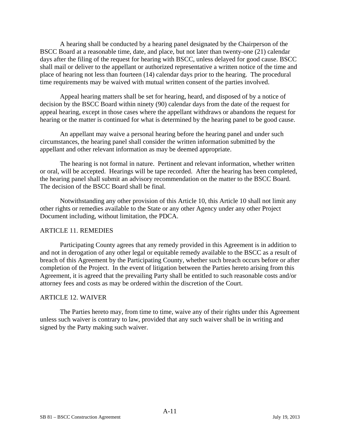A hearing shall be conducted by a hearing panel designated by the Chairperson of the BSCC Board at a reasonable time, date, and place, but not later than twenty-one (21) calendar days after the filing of the request for hearing with BSCC, unless delayed for good cause. BSCC shall mail or deliver to the appellant or authorized representative a written notice of the time and place of hearing not less than fourteen (14) calendar days prior to the hearing. The procedural time requirements may be waived with mutual written consent of the parties involved.

Appeal hearing matters shall be set for hearing, heard, and disposed of by a notice of decision by the BSCC Board within ninety (90) calendar days from the date of the request for appeal hearing, except in those cases where the appellant withdraws or abandons the request for hearing or the matter is continued for what is determined by the hearing panel to be good cause.

An appellant may waive a personal hearing before the hearing panel and under such circumstances, the hearing panel shall consider the written information submitted by the appellant and other relevant information as may be deemed appropriate.

The hearing is not formal in nature. Pertinent and relevant information, whether written or oral, will be accepted. Hearings will be tape recorded. After the hearing has been completed, the hearing panel shall submit an advisory recommendation on the matter to the BSCC Board. The decision of the BSCC Board shall be final.

Notwithstanding any other provision of this Article 10, this Article 10 shall not limit any other rights or remedies available to the State or any other Agency under any other Project Document including, without limitation, the PDCA.

#### ARTICLE 11. REMEDIES

Participating County agrees that any remedy provided in this Agreement is in addition to and not in derogation of any other legal or equitable remedy available to the BSCC as a result of breach of this Agreement by the Participating County, whether such breach occurs before or after completion of the Project. In the event of litigation between the Parties hereto arising from this Agreement, it is agreed that the prevailing Party shall be entitled to such reasonable costs and/or attorney fees and costs as may be ordered within the discretion of the Court.

#### ARTICLE 12. WAIVER

The Parties hereto may, from time to time, waive any of their rights under this Agreement unless such waiver is contrary to law, provided that any such waiver shall be in writing and signed by the Party making such waiver.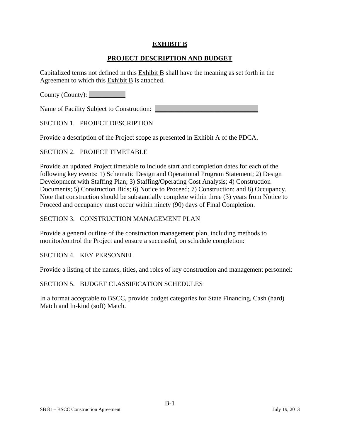### **EXHIBIT B**

### **PROJECT DESCRIPTION AND BUDGET**

Capitalized terms not defined in this  $Exhibit B$  shall have the meaning as set forth in the Agreement to which this Exhibit B is attached.

County (County):

Name of Facility Subject to Construction:

SECTION 1. PROJECT DESCRIPTION

Provide a description of the Project scope as presented in Exhibit A of the PDCA.

#### SECTION 2. PROJECT TIMETABLE

Provide an updated Project timetable to include start and completion dates for each of the following key events: 1) Schematic Design and Operational Program Statement; 2) Design Development with Staffing Plan; 3) Staffing/Operating Cost Analysis; 4) Construction Documents; 5) Construction Bids; 6) Notice to Proceed; 7) Construction; and 8) Occupancy. Note that construction should be substantially complete within three (3) years from Notice to Proceed and occupancy must occur within ninety (90) days of Final Completion.

#### SECTION 3. CONSTRUCTION MANAGEMENT PLAN

Provide a general outline of the construction management plan, including methods to monitor/control the Project and ensure a successful, on schedule completion:

SECTION 4. KEY PERSONNEL

Provide a listing of the names, titles, and roles of key construction and management personnel:

#### SECTION 5. BUDGET CLASSIFICATION SCHEDULES

In a format acceptable to BSCC, provide budget categories for State Financing, Cash (hard) Match and In-kind (soft) Match.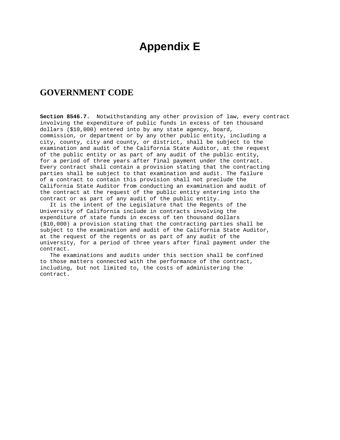# **Appendix E**

# **GOVERNMENT CODE**

**Section 8546.7.** Notwithstanding any other provision of law, every contract involving the expenditure of public funds in excess of ten thousand dollars (\$10,000) entered into by any state agency, board, commission, or department or by any other public entity, including a city, county, city and county, or district, shall be subject to the examination and audit of the California State Auditor, at the request of the public entity or as part of any audit of the public entity, for a period of three years after final payment under the contract. Every contract shall contain a provision stating that the contracting parties shall be subject to that examination and audit. The failure of a contract to contain this provision shall not preclude the California State Auditor from conducting an examination and audit of the contract at the request of the public entity entering into the contract or as part of any audit of the public entity.

 It is the intent of the Legislature that the Regents of the University of California include in contracts involving the expenditure of state funds in excess of ten thousand dollars (\$10,000) a provision stating that the contracting parties shall be subject to the examination and audit of the California State Auditor, at the request of the regents or as part of any audit of the university, for a period of three years after final payment under the contract.

 The examinations and audits under this section shall be confined to those matters connected with the performance of the contract, including, but not limited to, the costs of administering the contract.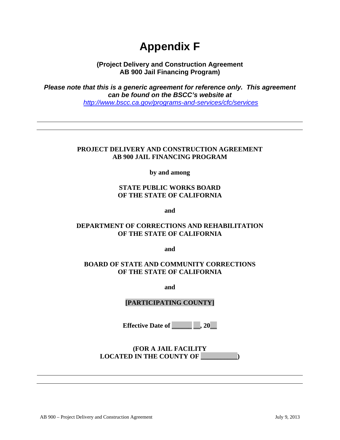# **Appendix F**

**(Project Delivery and Construction Agreement AB 900 Jail Financing Program)** 

*Please note that this is a generic agreement for reference only. This agreement can be found on the BSCC's website at <http://www.bscc.ca.gov/programs-and-services/cfc/services>*

#### **PROJECT DELIVERY AND CONSTRUCTION AGREEMENT AB 900 JAIL FINANCING PROGRAM**

**by and among** 

# **STATE PUBLIC WORKS BOARD OF THE STATE OF CALIFORNIA**

**and** 

# **DEPARTMENT OF CORRECTIONS AND REHABILITATION OF THE STATE OF CALIFORNIA**

**and** 

# **BOARD OF STATE AND COMMUNITY CORRECTIONS OF THE STATE OF CALIFORNIA**

**and** 

# **[PARTICIPATING COUNTY]**

**Effective Date of** , 20

**(FOR A JAIL FACILITY LOCATED IN THE COUNTY OF \_\_\_\_\_\_\_\_\_\_\_)**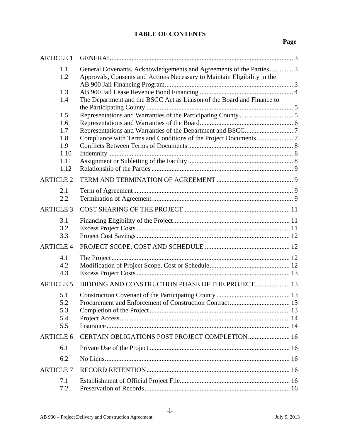# **TABLE OF CONTENTS**

# **Page**

| <b>ARTICLE 1</b> |                                                                                                                                                 |  |
|------------------|-------------------------------------------------------------------------------------------------------------------------------------------------|--|
| 1.1<br>1.2       | General Covenants, Acknowledgements and Agreements of the Parties 3<br>Approvals, Consents and Actions Necessary to Maintain Eligibility in the |  |
| 1.3              |                                                                                                                                                 |  |
| 1.4              | The Department and the BSCC Act as Liaison of the Board and Finance to                                                                          |  |
| 1.5              |                                                                                                                                                 |  |
| 1.6<br>1.7       |                                                                                                                                                 |  |
| 1.8              |                                                                                                                                                 |  |
| 1.9              |                                                                                                                                                 |  |
| 1.10             |                                                                                                                                                 |  |
| 1.11<br>1.12     |                                                                                                                                                 |  |
| <b>ARTICLE 2</b> |                                                                                                                                                 |  |
|                  |                                                                                                                                                 |  |
| 2.1<br>2.2       |                                                                                                                                                 |  |
| <b>ARTICLE 3</b> |                                                                                                                                                 |  |
| 3.1              |                                                                                                                                                 |  |
| 3.2              |                                                                                                                                                 |  |
| 3.3              |                                                                                                                                                 |  |
| <b>ARTICLE 4</b> |                                                                                                                                                 |  |
| 4.1              |                                                                                                                                                 |  |
| 4.2<br>4.3       |                                                                                                                                                 |  |
|                  |                                                                                                                                                 |  |
| <b>ARTICLE 5</b> | BIDDING AND CONSTRUCTION PHASE OF THE PROJECT 13                                                                                                |  |
| 5.1              |                                                                                                                                                 |  |
| 5.2<br>5.3       |                                                                                                                                                 |  |
| 5.4              |                                                                                                                                                 |  |
| 5.5              |                                                                                                                                                 |  |
| <b>ARTICLE 6</b> | CERTAIN OBLIGATIONS POST PROJECT COMPLETION 16                                                                                                  |  |
| 6.1              |                                                                                                                                                 |  |
| 6.2              |                                                                                                                                                 |  |
| <b>ARTICLE 7</b> |                                                                                                                                                 |  |
| 7.1              |                                                                                                                                                 |  |
| 7.2              |                                                                                                                                                 |  |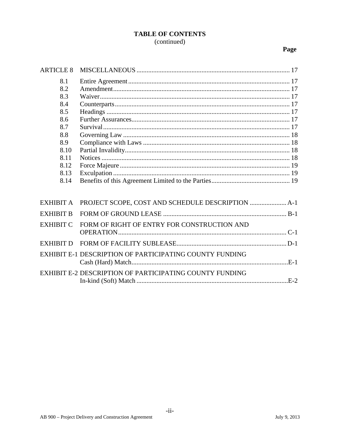# **TABLE OF CONTENTS** (continued)

# Page

| <b>ARTICLE 8</b> |                                                                |
|------------------|----------------------------------------------------------------|
| 8.1              |                                                                |
| 8.2              |                                                                |
| 8.3              |                                                                |
| 8.4              |                                                                |
| 8.5              |                                                                |
| 8.6              |                                                                |
| 8.7              |                                                                |
| 8.8              |                                                                |
| 8.9              |                                                                |
| 8.10             |                                                                |
| 8.11             |                                                                |
| 8.12             |                                                                |
| 8.13             |                                                                |
| 8.14             |                                                                |
|                  |                                                                |
| <b>EXHIBIT A</b> |                                                                |
| <b>EXHIBIT B</b> |                                                                |
| <b>EXHIBIT C</b> | FORM OF RIGHT OF ENTRY FOR CONSTRUCTION AND                    |
|                  |                                                                |
| <b>EXHIBIT D</b> |                                                                |
|                  | <b>EXHIBIT E-1 DESCRIPTION OF PARTICIPATING COUNTY FUNDING</b> |
|                  |                                                                |
|                  | <b>EXHIBIT E-2 DESCRIPTION OF PARTICIPATING COUNTY FUNDING</b> |
|                  |                                                                |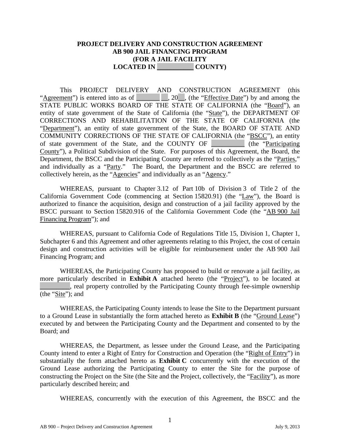#### **PROJECT DELIVERY AND CONSTRUCTION AGREEMENT AB 900 JAIL FINANCING PROGRAM (FOR A JAIL FACILITY LOCATED IN \_\_\_\_\_\_\_\_\_\_\_ COUNTY)**

This PROJECT DELIVERY AND CONSTRUCTION AGREEMENT (this "Agreement") is entered into as of \_\_\_\_\_\_\_\_\_\_\_\_\_\_, (the "Effective Date") by and among the STATE PUBLIC WORKS BOARD OF THE STATE OF CALIFORNIA (the "Board"), an entity of state government of the State of California (the "State"), the DEPARTMENT OF CORRECTIONS AND REHABILITATION OF THE STATE OF CALIFORNIA (the "Department"), an entity of state government of the State, the BOARD OF STATE AND COMMUNITY CORRECTIONS OF THE STATE OF CALIFORNIA (the "BSCC"), an entity of state government of the State, and the COUNTY OF \_\_\_\_\_\_\_\_\_\_ (the "Participating County"), a Political Subdivision of the State. For purposes of this Agreement, the Board, the Department, the BSCC and the Participating County are referred to collectively as the "Parties," and individually as a "Party." The Board, the Department and the BSCC are referred to collectively herein, as the "Agencies" and individually as an "Agency."

WHEREAS, pursuant to Chapter 3.12 of Part 10b of Division 3 of Title 2 of the California Government Code (commencing at Section 15820.91) (the "Law"), the Board is authorized to finance the acquisition, design and construction of a jail facility approved by the BSCC pursuant to Section 15820.916 of the California Government Code (the "AB 900 Jail Financing Program"); and

WHEREAS, pursuant to California Code of Regulations Title 15, Division 1, Chapter 1, Subchapter 6 and this Agreement and other agreements relating to this Project, the cost of certain design and construction activities will be eligible for reimbursement under the AB 900 Jail Financing Program; and

WHEREAS, the Participating County has proposed to build or renovate a jail facility, as more particularly described in **Exhibit A** attached hereto (the "Project"), to be located at **Example 2.1**, real property controlled by the Participating County through fee-simple ownership (the "Site"); and

WHEREAS, the Participating County intends to lease the Site to the Department pursuant to a Ground Lease in substantially the form attached hereto as **Exhibit B** (the "Ground Lease") executed by and between the Participating County and the Department and consented to by the Board; and

WHEREAS, the Department, as lessee under the Ground Lease, and the Participating County intend to enter a Right of Entry for Construction and Operation (the "Right of Entry") in substantially the form attached hereto as **Exhibit C** concurrently with the execution of the Ground Lease authorizing the Participating County to enter the Site for the purpose of constructing the Project on the Site (the Site and the Project, collectively, the "Facility"), as more particularly described herein; and

WHEREAS, concurrently with the execution of this Agreement, the BSCC and the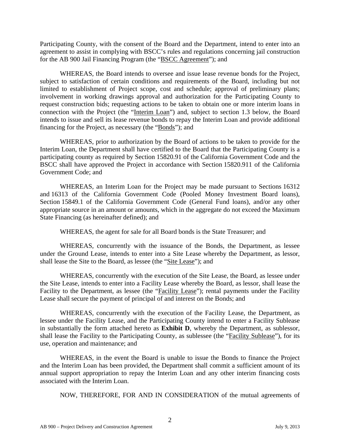Participating County, with the consent of the Board and the Department, intend to enter into an agreement to assist in complying with BSCC's rules and regulations concerning jail construction for the AB 900 Jail Financing Program (the "BSCC Agreement"); and

WHEREAS, the Board intends to oversee and issue lease revenue bonds for the Project, subject to satisfaction of certain conditions and requirements of the Board, including but not limited to establishment of Project scope, cost and schedule; approval of preliminary plans; involvement in working drawings approval and authorization for the Participating County to request construction bids; requesting actions to be taken to obtain one or more interim loans in connection with the Project (the "Interim Loan") and, subject to section 1.3 below, the Board intends to issue and sell its lease revenue bonds to repay the Interim Loan and provide additional financing for the Project, as necessary (the "Bonds"); and

WHEREAS, prior to authorization by the Board of actions to be taken to provide for the Interim Loan, the Department shall have certified to the Board that the Participating County is a participating county as required by Section 15820.91 of the California Government Code and the BSCC shall have approved the Project in accordance with Section 15820.911 of the California Government Code; and

WHEREAS, an Interim Loan for the Project may be made pursuant to Sections 16312 and 16313 of the California Government Code (Pooled Money Investment Board loans), Section 15849.1 of the California Government Code (General Fund loans), and/or any other appropriate source in an amount or amounts, which in the aggregate do not exceed the Maximum State Financing (as hereinafter defined); and

WHEREAS, the agent for sale for all Board bonds is the State Treasurer; and

WHEREAS, concurrently with the issuance of the Bonds, the Department, as lessee under the Ground Lease, intends to enter into a Site Lease whereby the Department, as lessor, shall lease the Site to the Board, as lessee (the "Site Lease"); and

WHEREAS, concurrently with the execution of the Site Lease, the Board, as lessee under the Site Lease, intends to enter into a Facility Lease whereby the Board, as lessor, shall lease the Facility to the Department, as lessee (the "Facility Lease"); rental payments under the Facility Lease shall secure the payment of principal of and interest on the Bonds; and

WHEREAS, concurrently with the execution of the Facility Lease, the Department, as lessee under the Facility Lease, and the Participating County intend to enter a Facility Sublease in substantially the form attached hereto as **Exhibit D**, whereby the Department, as sublessor, shall lease the Facility to the Participating County, as sublessee (the "Facility Sublease"), for its use, operation and maintenance; and

WHEREAS, in the event the Board is unable to issue the Bonds to finance the Project and the Interim Loan has been provided, the Department shall commit a sufficient amount of its annual support appropriation to repay the Interim Loan and any other interim financing costs associated with the Interim Loan.

NOW, THEREFORE, FOR AND IN CONSIDERATION of the mutual agreements of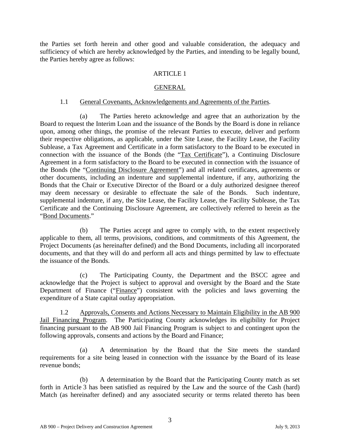the Parties set forth herein and other good and valuable consideration, the adequacy and sufficiency of which are hereby acknowledged by the Parties, and intending to be legally bound, the Parties hereby agree as follows:

#### ARTICLE 1

#### GENERAL

#### 1.1 General Covenants, Acknowledgements and Agreements of the Parties.

<span id="page-66-1"></span><span id="page-66-0"></span>(a) The Parties hereto acknowledge and agree that an authorization by the Board to request the Interim Loan and the issuance of the Bonds by the Board is done in reliance upon, among other things, the promise of the relevant Parties to execute, deliver and perform their respective obligations, as applicable, under the Site Lease, the Facility Lease, the Facility Sublease, a Tax Agreement and Certificate in a form satisfactory to the Board to be executed in connection with the issuance of the Bonds (the "Tax Certificate"), a Continuing Disclosure Agreement in a form satisfactory to the Board to be executed in connection with the issuance of the Bonds (the "Continuing Disclosure Agreement") and all related certificates, agreements or other documents, including an indenture and supplemental indenture, if any, authorizing the Bonds that the Chair or Executive Director of the Board or a duly authorized designee thereof may deem necessary or desirable to effectuate the sale of the Bonds. Such indenture, supplemental indenture, if any, the Site Lease, the Facility Lease, the Facility Sublease, the Tax Certificate and the Continuing Disclosure Agreement, are collectively referred to herein as the "Bond Documents."

(b) The Parties accept and agree to comply with, to the extent respectively applicable to them, all terms, provisions, conditions, and commitments of this Agreement, the Project Documents (as hereinafter defined) and the Bond Documents, including all incorporated documents, and that they will do and perform all acts and things permitted by law to effectuate the issuance of the Bonds.

(c) The Participating County, the Department and the BSCC agree and acknowledge that the Project is subject to approval and oversight by the Board and the State Department of Finance ("Finance") consistent with the policies and laws governing the expenditure of a State capital outlay appropriation.

<span id="page-66-2"></span>1.2 Approvals, Consents and Actions Necessary to Maintain Eligibility in the AB 900 Jail Financing Program. The Participating County acknowledges its eligibility for Project financing pursuant to the AB 900 Jail Financing Program is subject to and contingent upon the following approvals, consents and actions by the Board and Finance;

(a) A determination by the Board that the Site meets the standard requirements for a site being leased in connection with the issuance by the Board of its lease revenue bonds;

(b) A determination by the Board that the Participating County match as set forth in Article 3 has been satisfied as required by the Law and the source of the Cash (hard) Match (as hereinafter defined) and any associated security or terms related thereto has been

3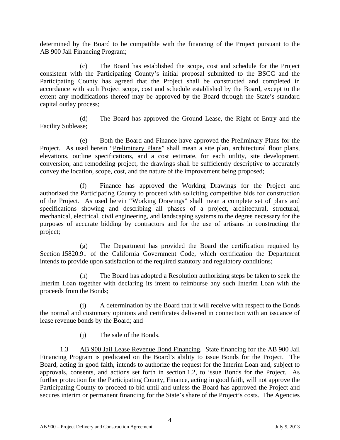determined by the Board to be compatible with the financing of the Project pursuant to the AB 900 Jail Financing Program;

(c) The Board has established the scope, cost and schedule for the Project consistent with the Participating County's initial proposal submitted to the BSCC and the Participating County has agreed that the Project shall be constructed and completed in accordance with such Project scope, cost and schedule established by the Board, except to the extent any modifications thereof may be approved by the Board through the State's standard capital outlay process;

(d) The Board has approved the Ground Lease, the Right of Entry and the Facility Sublease;

(e) Both the Board and Finance have approved the Preliminary Plans for the Project. As used herein "Preliminary Plans" shall mean a site plan, architectural floor plans, elevations, outline specifications, and a cost estimate, for each utility, site development, conversion, and remodeling project, the drawings shall be sufficiently descriptive to accurately convey the location, scope, cost, and the nature of the improvement being proposed;

Finance has approved the Working Drawings for the Project and authorized the Participating County to proceed with soliciting competitive bids for construction of the Project. As used herein "Working Drawings" shall mean a complete set of plans and specifications showing and describing all phases of a project, architectural, structural, mechanical, electrical, civil engineering, and landscaping systems to the degree necessary for the purposes of accurate bidding by contractors and for the use of artisans in constructing the project;

(g) The Department has provided the Board the certification required by Section 15820.91 of the California Government Code, which certification the Department intends to provide upon satisfaction of the required statutory and regulatory conditions;

(h) The Board has adopted a Resolution authorizing steps be taken to seek the Interim Loan together with declaring its intent to reimburse any such Interim Loan with the proceeds from the Bonds;

(i) A determination by the Board that it will receive with respect to the Bonds the normal and customary opinions and certificates delivered in connection with an issuance of lease revenue bonds by the Board; and

(j) The sale of the Bonds.

1.3 AB 900 Jail Lease Revenue Bond Financing. State financing for the AB 900 Jail Financing Program is predicated on the Board's ability to issue Bonds for the Project. The Board, acting in good faith, intends to authorize the request for the Interim Loan and, subject to approvals, consents, and actions set forth in section 1.2, to issue Bonds for the Project. As further protection for the Participating County, Finance, acting in good faith, will not approve the Participating County to proceed to bid until and unless the Board has approved the Project and secures interim or permanent financing for the State's share of the Project's costs. The Agencies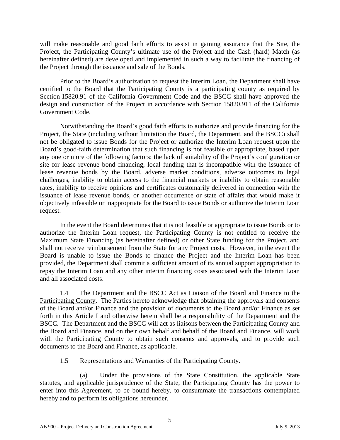will make reasonable and good faith efforts to assist in gaining assurance that the Site, the Project, the Participating County's ultimate use of the Project and the Cash (hard) Match (as hereinafter defined) are developed and implemented in such a way to facilitate the financing of the Project through the issuance and sale of the Bonds.

Prior to the Board's authorization to request the Interim Loan, the Department shall have certified to the Board that the Participating County is a participating county as required by Section 15820.91 of the California Government Code and the BSCC shall have approved the design and construction of the Project in accordance with Section 15820.911 of the California Government Code.

Notwithstanding the Board's good faith efforts to authorize and provide financing for the Project, the State (including without limitation the Board, the Department, and the BSCC) shall not be obligated to issue Bonds for the Project or authorize the Interim Loan request upon the Board's good-faith determination that such financing is not feasible or appropriate, based upon any one or more of the following factors: the lack of suitability of the Project's configuration or site for lease revenue bond financing, local funding that is incompatible with the issuance of lease revenue bonds by the Board, adverse market conditions, adverse outcomes to legal challenges, inability to obtain access to the financial markets or inability to obtain reasonable rates, inability to receive opinions and certificates customarily delivered in connection with the issuance of lease revenue bonds, or another occurrence or state of affairs that would make it objectively infeasible or inappropriate for the Board to issue Bonds or authorize the Interim Loan request.

In the event the Board determines that it is not feasible or appropriate to issue Bonds or to authorize the Interim Loan request, the Participating County is not entitled to receive the Maximum State Financing (as hereinafter defined) or other State funding for the Project, and shall not receive reimbursement from the State for any Project costs. However, in the event the Board is unable to issue the Bonds to finance the Project and the Interim Loan has been provided, the Department shall commit a sufficient amount of its annual support appropriation to repay the Interim Loan and any other interim financing costs associated with the Interim Loan and all associated costs.

<span id="page-68-1"></span>1.4 The Department and the BSCC Act as Liaison of the Board and Finance to the Participating County. The Parties hereto acknowledge that obtaining the approvals and consents of the Board and/or Finance and the provision of documents to the Board and/or Finance as set forth in this Article I and otherwise herein shall be a responsibility of the Department and the BSCC. The Department and the BSCC will act as liaisons between the Participating County and the Board and Finance, and on their own behalf and behalf of the Board and Finance, will work with the Participating County to obtain such consents and approvals, and to provide such documents to the Board and Finance, as applicable.

# 1.5 Representations and Warranties of the Participating County.

<span id="page-68-2"></span><span id="page-68-0"></span>(a) Under the provisions of the State Constitution, the applicable State statutes, and applicable jurisprudence of the State, the Participating County has the power to enter into this Agreement, to be bound hereby, to consummate the transactions contemplated hereby and to perform its obligations hereunder.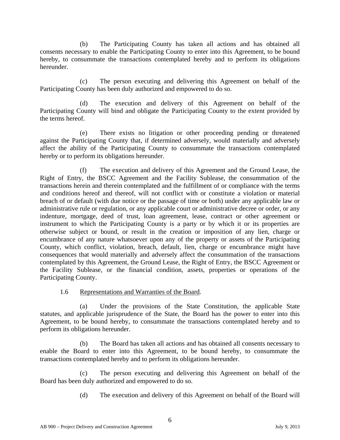(b) The Participating County has taken all actions and has obtained all consents necessary to enable the Participating County to enter into this Agreement, to be bound hereby, to consummate the transactions contemplated hereby and to perform its obligations hereunder.

(c) The person executing and delivering this Agreement on behalf of the Participating County has been duly authorized and empowered to do so.

(d) The execution and delivery of this Agreement on behalf of the Participating County will bind and obligate the Participating County to the extent provided by the terms hereof.

(e) There exists no litigation or other proceeding pending or threatened against the Participating County that, if determined adversely, would materially and adversely affect the ability of the Participating County to consummate the transactions contemplated hereby or to perform its obligations hereunder.

(f) The execution and delivery of this Agreement and the Ground Lease, the Right of Entry, the BSCC Agreement and the Facility Sublease, the consummation of the transactions herein and therein contemplated and the fulfillment of or compliance with the terms and conditions hereof and thereof, will not conflict with or constitute a violation or material breach of or default (with due notice or the passage of time or both) under any applicable law or administrative rule or regulation, or any applicable court or administrative decree or order, or any indenture, mortgage, deed of trust, loan agreement, lease, contract or other agreement or instrument to which the Participating County is a party or by which it or its properties are otherwise subject or bound, or result in the creation or imposition of any lien, charge or encumbrance of any nature whatsoever upon any of the property or assets of the Participating County, which conflict, violation, breach, default, lien, charge or encumbrance might have consequences that would materially and adversely affect the consummation of the transactions contemplated by this Agreement, the Ground Lease, the Right of Entry, the BSCC Agreement or the Facility Sublease, or the financial condition, assets, properties or operations of the Participating County.

# 1.6 Representations and Warranties of the Board.

<span id="page-69-0"></span>(a) Under the provisions of the State Constitution, the applicable State statutes, and applicable jurisprudence of the State, the Board has the power to enter into this Agreement, to be bound hereby, to consummate the transactions contemplated hereby and to perform its obligations hereunder.

(b) The Board has taken all actions and has obtained all consents necessary to enable the Board to enter into this Agreement, to be bound hereby, to consummate the transactions contemplated hereby and to perform its obligations hereunder.

The person executing and delivering this Agreement on behalf of the Board has been duly authorized and empowered to do so.

(d) The execution and delivery of this Agreement on behalf of the Board will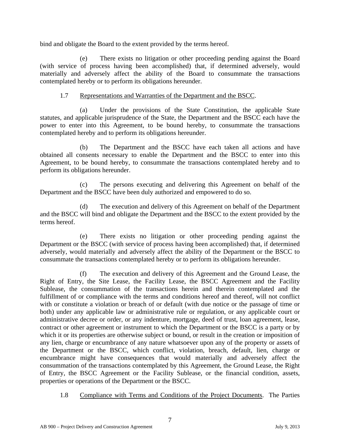bind and obligate the Board to the extent provided by the terms hereof.

(e) There exists no litigation or other proceeding pending against the Board (with service of process having been accomplished) that, if determined adversely, would materially and adversely affect the ability of the Board to consummate the transactions contemplated hereby or to perform its obligations hereunder.

# 1.7 Representations and Warranties of the Department and the BSCC.

<span id="page-70-0"></span>(a) Under the provisions of the State Constitution, the applicable State statutes, and applicable jurisprudence of the State, the Department and the BSCC each have the power to enter into this Agreement, to be bound hereby, to consummate the transactions contemplated hereby and to perform its obligations hereunder.

(b) The Department and the BSCC have each taken all actions and have obtained all consents necessary to enable the Department and the BSCC to enter into this Agreement, to be bound hereby, to consummate the transactions contemplated hereby and to perform its obligations hereunder.

(c) The persons executing and delivering this Agreement on behalf of the Department and the BSCC have been duly authorized and empowered to do so.

(d) The execution and delivery of this Agreement on behalf of the Department and the BSCC will bind and obligate the Department and the BSCC to the extent provided by the terms hereof.

(e) There exists no litigation or other proceeding pending against the Department or the BSCC (with service of process having been accomplished) that, if determined adversely, would materially and adversely affect the ability of the Department or the BSCC to consummate the transactions contemplated hereby or to perform its obligations hereunder.

(f) The execution and delivery of this Agreement and the Ground Lease, the Right of Entry, the Site Lease, the Facility Lease, the BSCC Agreement and the Facility Sublease, the consummation of the transactions herein and therein contemplated and the fulfillment of or compliance with the terms and conditions hereof and thereof, will not conflict with or constitute a violation or breach of or default (with due notice or the passage of time or both) under any applicable law or administrative rule or regulation, or any applicable court or administrative decree or order, or any indenture, mortgage, deed of trust, loan agreement, lease, contract or other agreement or instrument to which the Department or the BSCC is a party or by which it or its properties are otherwise subject or bound, or result in the creation or imposition of any lien, charge or encumbrance of any nature whatsoever upon any of the property or assets of the Department or the BSCC, which conflict, violation, breach, default, lien, charge or encumbrance might have consequences that would materially and adversely affect the consummation of the transactions contemplated by this Agreement, the Ground Lease, the Right of Entry, the BSCC Agreement or the Facility Sublease, or the financial condition, assets, properties or operations of the Department or the BSCC.

1.8 Compliance with Terms and Conditions of the Project Documents. The Parties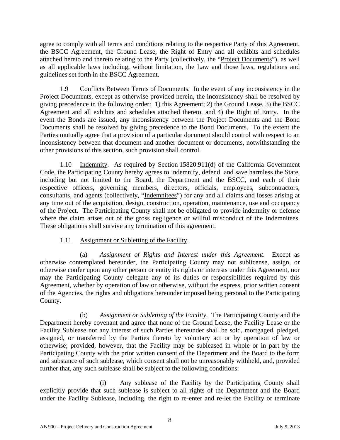agree to comply with all terms and conditions relating to the respective Party of this Agreement, the BSCC Agreement, the Ground Lease, the Right of Entry and all exhibits and schedules attached hereto and thereto relating to the Party (collectively, the "Project Documents"), as well as all applicable laws including, without limitation, the Law and those laws, regulations and guidelines set forth in the BSCC Agreement.

<span id="page-71-1"></span>1.9 Conflicts Between Terms of Documents. In the event of any inconsistency in the Project Documents, except as otherwise provided herein, the inconsistency shall be resolved by giving precedence in the following order: 1) this Agreement; 2) the Ground Lease, 3) the BSCC Agreement and all exhibits and schedules attached thereto, and 4) the Right of Entry. In the event the Bonds are issued, any inconsistency between the Project Documents and the Bond Documents shall be resolved by giving precedence to the Bond Documents. To the extent the Parties mutually agree that a provision of a particular document should control with respect to an inconsistency between that document and another document or documents, notwithstanding the other provisions of this section, such provision shall control.

<span id="page-71-2"></span>1.10 Indemnity. As required by Section 15820.911(d) of the California Government Code, the Participating County hereby agrees to indemnify, defend and save harmless the State, including but not limited to the Board, the Department and the BSCC, and each of their respective officers, governing members, directors, officials, employees, subcontractors, consultants, and agents (collectively, "Indemnitees") for any and all claims and losses arising at any time out of the acquisition, design, construction, operation, maintenance, use and occupancy of the Project. The Participating County shall not be obligated to provide indemnity or defense where the claim arises out of the gross negligence or willful misconduct of the Indemnitees. These obligations shall survive any termination of this agreement.

# 1.11 Assignment or Subletting of the Facility.

<span id="page-71-3"></span>(a) *Assignment of Rights and Interest under this Agreement*. Except as otherwise contemplated hereunder, the Participating County may not sublicense, assign, or otherwise confer upon any other person or entity its rights or interests under this Agreement, nor may the Participating County delegate any of its duties or responsibilities required by this Agreement, whether by operation of law or otherwise, without the express, prior written consent of the Agencies, the rights and obligations hereunder imposed being personal to the Participating County.

(b) *Assignment or Subletting of the Facility*. The Participating County and the Department hereby covenant and agree that none of the Ground Lease, the Facility Lease or the Facility Sublease nor any interest of such Parties thereunder shall be sold, mortgaged, pledged, assigned, or transferred by the Parties thereto by voluntary act or by operation of law or otherwise; provided, however, that the Facility may be subleased in whole or in part by the Participating County with the prior written consent of the Department and the Board to the form and substance of such sublease, which consent shall not be unreasonably withheld, and, provided further that, any such sublease shall be subject to the following conditions:

<span id="page-71-0"></span>(i) Any sublease of the Facility by the Participating County shall explicitly provide that such sublease is subject to all rights of the Department and the Board under the Facility Sublease, including, the right to re-enter and re-let the Facility or terminate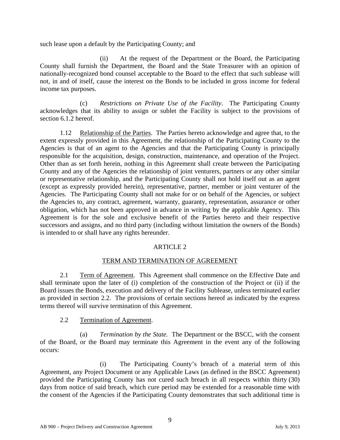such lease upon a default by the Participating County; and

(ii) At the request of the Department or the Board, the Participating County shall furnish the Department, the Board and the State Treasurer with an opinion of nationally-recognized bond counsel acceptable to the Board to the effect that such sublease will not, in and of itself, cause the interest on the Bonds to be included in gross income for federal income tax purposes.

(c) *Restrictions on Private Use of the Facility*. The Participating County acknowledges that its ability to assign or sublet the Facility is subject to the provisions of section 6.1.2 hereof.

1.12 Relationship of the Parties. The Parties hereto acknowledge and agree that, to the extent expressly provided in this Agreement, the relationship of the Participating County to the Agencies is that of an agent to the Agencies and that the Participating County is principally responsible for the acquisition, design, construction, maintenance, and operation of the Project. Other than as set forth herein, nothing in this Agreement shall create between the Participating County and any of the Agencies the relationship of joint venturers, partners or any other similar or representative relationship, and the Participating County shall not hold itself out as an agent (except as expressly provided herein), representative, partner, member or joint venturer of the Agencies. The Participating County shall not make for or on behalf of the Agencies, or subject the Agencies to, any contract, agreement, warranty, guaranty, representation, assurance or other obligation, which has not been approved in advance in writing by the applicable Agency. This Agreement is for the sole and exclusive benefit of the Parties hereto and their respective successors and assigns, and no third party (including without limitation the owners of the Bonds) is intended to or shall have any rights hereunder.

### ARTICLE 2

### TERM AND TERMINATION OF AGREEMENT

2.1 Term of Agreement. This Agreement shall commence on the Effective Date and shall terminate upon the later of (i) completion of the construction of the Project or (ii) if the Board issues the Bonds, execution and delivery of the Facility Sublease, unless terminated earlier as provided in section 2.2. The provisions of certain sections hereof as indicated by the express terms thereof will survive termination of this Agreement.

2.2 Termination of Agreement.

(a) *Termination by the State.* The Department or the BSCC, with the consent of the Board, or the Board may terminate this Agreement in the event any of the following occurs:

(i) The Participating County's breach of a material term of this Agreement, any Project Document or any Applicable Laws (as defined in the BSCC Agreement) provided the Participating County has not cured such breach in all respects within thirty (30) days from notice of said breach, which cure period may be extended for a reasonable time with the consent of the Agencies if the Participating County demonstrates that such additional time is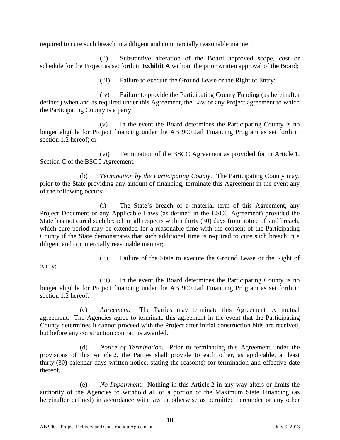required to cure such breach in a diligent and commercially reasonable manner;

(ii) Substantive alteration of the Board approved scope, cost or schedule for the Project as set forth in **Exhibit A** without the prior written approval of the Board;

(iii) Failure to execute the Ground Lease or the Right of Entry;

(iv) Failure to provide the Participating County Funding (as hereinafter defined) when and as required under this Agreement, the Law or any Project agreement to which the Participating County is a party;

(v) In the event the Board determines the Participating County is no longer eligible for Project financing under the AB 900 Jail Financing Program as set forth in section 1.2 hereof; or

(vi) Termination of the BSCC Agreement as provided for in Article 1, Section C of the BSCC Agreement.

(b) *Termination by the Participating County.* The Participating County may, prior to the State providing any amount of financing, terminate this Agreement in the event any of the following occurs:

(i) The State's breach of a material term of this Agreement, any Project Document or any Applicable Laws (as defined in the BSCC Agreement) provided the State has not cured such breach in all respects within thirty (30) days from notice of said breach, which cure period may be extended for a reasonable time with the consent of the Participating County if the State demonstrates that such additional time is required to cure such breach in a diligent and commercially reasonable manner;

Entry;

(ii) Failure of the State to execute the Ground Lease or the Right of

(iii) In the event the Board determines the Participating County is no longer eligible for Project financing under the AB 900 Jail Financing Program as set forth in section 1.2 hereof.

(c) *Agreement.* The Parties may terminate this Agreement by mutual agreement. The Agencies agree to terminate this agreement in the event that the Participating County determines it cannot proceed with the Project after initial construction bids are received, but before any construction contract is awarded.

(d) *Notice of Termination*. Prior to terminating this Agreement under the provisions of this Article 2, the Parties shall provide to each other, as applicable, at least thirty (30) calendar days written notice, stating the reason(s) for termination and effective date thereof.

(e) *No Impairment.* Nothing in this Article 2 in any way alters or limits the authority of the Agencies to withhold all or a portion of the Maximum State Financing (as hereinafter defined) in accordance with law or otherwise as permitted hereunder or any other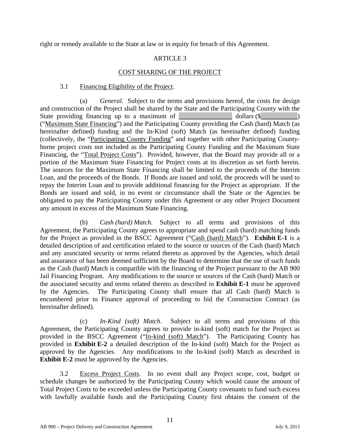right or remedy available to the State at law or in equity for breach of this Agreement.

### ARTICLE 3

### COST SHARING OF THE PROJECT

### 3.1 Financing Eligibility of the Project.

(a) *General.* Subject to the terms and provisions hereof, the costs for design and construction of the Project shall be shared by the State and the Participating County with the State providing financing up to a maximum of  $\qquad \qquad$  dollars (\$ ("Maximum State Financing") and the Participating County providing the Cash (hard) Match (as hereinafter defined) funding and the In-Kind (soft) Match (as hereinafter defined) funding (collectively, the "Participating County Funding" and together with other Participating Countyborne project costs not included as the Participating County Funding and the Maximum State Financing, the "Total Project Costs"). Provided, however, that the Board may provide all or a portion of the Maximum State Financing for Project costs at its discretion as set forth herein. The sources for the Maximum State Financing shall be limited to the proceeds of the Interim Loan, and the proceeds of the Bonds. If Bonds are issued and sold, the proceeds will be used to repay the Interim Loan and to provide additional financing for the Project as appropriate. If the Bonds are issued and sold, in no event or circumstance shall the State or the Agencies be obligated to pay the Participating County under this Agreement or any other Project Document any amount in excess of the Maximum State Financing.

(b) *Cash (hard) Match.* Subject to all terms and provisions of this Agreement, the Participating County agrees to appropriate and spend cash (hard) matching funds for the Project as provided in the BSCC Agreement ("Cash (hard) Match"). **Exhibit E-1** is a detailed description of and certification related to the source or sources of the Cash (hard) Match and any associated security or terms related thereto as approved by the Agencies, which detail and assurance of has been deemed sufficient by the Board to determine that the use of such funds as the Cash (hard) Match is compatible with the financing of the Project pursuant to the AB 900 Jail Financing Program. Any modifications to the source or sources of the Cash (hard) Match or the associated security and terms related thereto as described in **Exhibit E-1** must be approved by the Agencies. The Participating County shall ensure that all Cash (hard) Match is encumbered prior to Finance approval of proceeding to bid the Construction Contract (as hereinafter defined).

(c) *In-Kind (soft) Match*. Subject to all terms and provisions of this Agreement, the Participating County agrees to provide in-kind (soft) match for the Project as provided in the BSCC Agreement ("In-kind (soft) Match"). The Participating County has provided in **Exhibit E-2** a detailed description of the In-kind (soft) Match for the Project as approved by the Agencies. Any modifications to the In-kind (soft) Match as described in **Exhibit E-2** must be approved by the Agencies.

3.2 Excess Project Costs. In no event shall any Project scope, cost, budget or schedule changes be authorized by the Participating County which would cause the amount of Total Project Costs to be exceeded unless the Participating County covenants to fund such excess with lawfully available funds and the Participating County first obtains the consent of the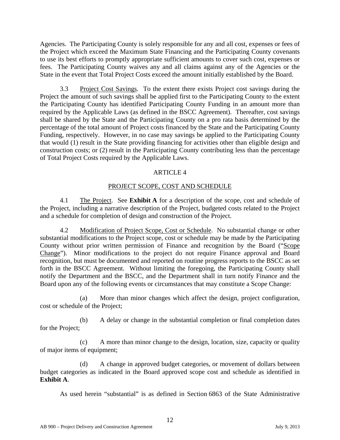Agencies. The Participating County is solely responsible for any and all cost, expenses or fees of the Project which exceed the Maximum State Financing and the Participating County covenants to use its best efforts to promptly appropriate sufficient amounts to cover such cost, expenses or fees. The Participating County waives any and all claims against any of the Agencies or the State in the event that Total Project Costs exceed the amount initially established by the Board.

3.3 Project Cost Savings. To the extent there exists Project cost savings during the Project the amount of such savings shall be applied first to the Participating County to the extent the Participating County has identified Participating County Funding in an amount more than required by the Applicable Laws (as defined in the BSCC Agreement). Thereafter, cost savings shall be shared by the State and the Participating County on a pro rata basis determined by the percentage of the total amount of Project costs financed by the State and the Participating County Funding, respectively. However, in no case may savings be applied to the Participating County that would (1) result in the State providing financing for activities other than eligible design and construction costs; or (2) result in the Participating County contributing less than the percentage of Total Project Costs required by the Applicable Laws.

### ARTICLE 4

## PROJECT SCOPE, COST AND SCHEDULE

4.1 The Project. See **Exhibit A** for a description of the scope, cost and schedule of the Project, including a narrative description of the Project, budgeted costs related to the Project and a schedule for completion of design and construction of the Project.

4.2 Modification of Project Scope, Cost or Schedule. No substantial change or other substantial modifications to the Project scope, cost or schedule may be made by the Participating County without prior written permission of Finance and recognition by the Board ("Scope Change"). Minor modifications to the project do not require Finance approval and Board recognition, but must be documented and reported on routine progress reports to the BSCC as set forth in the BSCC Agreement. Without limiting the foregoing, the Participating County shall notify the Department and the BSCC, and the Department shall in turn notify Finance and the Board upon any of the following events or circumstances that may constitute a Scope Change:

(a) More than minor changes which affect the design, project configuration, cost or schedule of the Project;

(b) A delay or change in the substantial completion or final completion dates for the Project;

(c) A more than minor change to the design, location, size, capacity or quality of major items of equipment;

(d) A change in approved budget categories, or movement of dollars between budget categories as indicated in the Board approved scope cost and schedule as identified in **Exhibit A**.

As used herein "substantial" is as defined in Section 6863 of the State Administrative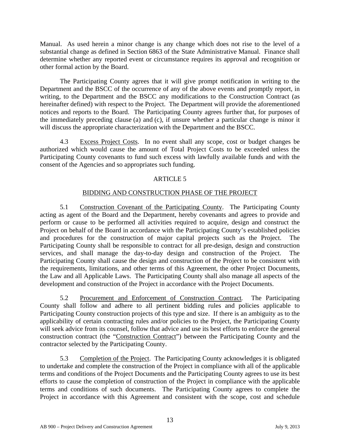Manual. As used herein a minor change is any change which does not rise to the level of a substantial change as defined in Section 6863 of the State Administrative Manual. Finance shall determine whether any reported event or circumstance requires its approval and recognition or other formal action by the Board.

The Participating County agrees that it will give prompt notification in writing to the Department and the BSCC of the occurrence of any of the above events and promptly report, in writing, to the Department and the BSCC any modifications to the Construction Contract (as hereinafter defined) with respect to the Project. The Department will provide the aforementioned notices and reports to the Board. The Participating County agrees further that, for purposes of the immediately preceding clause (a) and (c), if unsure whether a particular change is minor it will discuss the appropriate characterization with the Department and the BSCC.

4.3 Excess Project Costs. In no event shall any scope, cost or budget changes be authorized which would cause the amount of Total Project Costs to be exceeded unless the Participating County covenants to fund such excess with lawfully available funds and with the consent of the Agencies and so appropriates such funding.

## ARTICLE 5

## BIDDING AND CONSTRUCTION PHASE OF THE PROJECT

5.1 Construction Covenant of the Participating County. The Participating County acting as agent of the Board and the Department, hereby covenants and agrees to provide and perform or cause to be performed all activities required to acquire, design and construct the Project on behalf of the Board in accordance with the Participating County's established policies and procedures for the construction of major capital projects such as the Project. The Participating County shall be responsible to contract for all pre-design, design and construction services, and shall manage the day-to-day design and construction of the Project. The Participating County shall cause the design and construction of the Project to be consistent with the requirements, limitations, and other terms of this Agreement, the other Project Documents, the Law and all Applicable Laws. The Participating County shall also manage all aspects of the development and construction of the Project in accordance with the Project Documents.

5.2 Procurement and Enforcement of Construction Contract*.* The Participating County shall follow and adhere to all pertinent bidding rules and policies applicable to Participating County construction projects of this type and size. If there is an ambiguity as to the applicability of certain contracting rules and/or policies to the Project, the Participating County will seek advice from its counsel, follow that advice and use its best efforts to enforce the general construction contract (the "Construction Contract") between the Participating County and the contractor selected by the Participating County.

5.3 Completion of the Project. The Participating County acknowledges it is obligated to undertake and complete the construction of the Project in compliance with all of the applicable terms and conditions of the Project Documents and the Participating County agrees to use its best efforts to cause the completion of construction of the Project in compliance with the applicable terms and conditions of such documents. The Participating County agrees to complete the Project in accordance with this Agreement and consistent with the scope, cost and schedule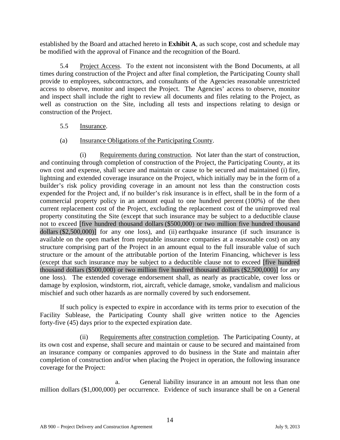established by the Board and attached hereto in **Exhibit A**, as such scope, cost and schedule may be modified with the approval of Finance and the recognition of the Board.

5.4 Project Access. To the extent not inconsistent with the Bond Documents, at all times during construction of the Project and after final completion, the Participating County shall provide to employees, subcontractors, and consultants of the Agencies reasonable unrestricted access to observe, monitor and inspect the Project. The Agencies' access to observe, monitor and inspect shall include the right to review all documents and files relating to the Project, as well as construction on the Site, including all tests and inspections relating to design or construction of the Project.

### 5.5 Insurance.

### (a) Insurance Obligations of the Participating County.

(i) Requirements during construction. Not later than the start of construction, and continuing through completion of construction of the Project, the Participating County, at its own cost and expense, shall secure and maintain or cause to be secured and maintained (i) fire, lightning and extended coverage insurance on the Project, which initially may be in the form of a builder's risk policy providing coverage in an amount not less than the construction costs expended for the Project and, if no builder's risk insurance is in effect, shall be in the form of a commercial property policy in an amount equal to one hundred percent (100%) of the then current replacement cost of the Project, excluding the replacement cost of the unimproved real property constituting the Site (except that such insurance may be subject to a deductible clause not to exceed [five hundred thousand dollars (\$500,000) or two million five hundred thousand dollars (\$2,500,000)] for any one loss), and (ii) earthquake insurance (if such insurance is available on the open market from reputable insurance companies at a reasonable cost) on any structure comprising part of the Project in an amount equal to the full insurable value of such structure or the amount of the attributable portion of the Interim Financing, whichever is less (except that such insurance may be subject to a deductible clause not to exceed [five hundred thousand dollars (\$500,000) or two million five hundred thousand dollars (\$2,500,000)] for any one loss). The extended coverage endorsement shall, as nearly as practicable, cover loss or damage by explosion, windstorm, riot, aircraft, vehicle damage, smoke, vandalism and malicious mischief and such other hazards as are normally covered by such endorsement.

If such policy is expected to expire in accordance with its terms prior to execution of the Facility Sublease, the Participating County shall give written notice to the Agencies forty-five (45) days prior to the expected expiration date.

(ii) Requirements after construction completion. The Participating County, at its own cost and expense, shall secure and maintain or cause to be secured and maintained from an insurance company or companies approved to do business in the State and maintain after completion of construction and/or when placing the Project in operation, the following insurance coverage for the Project:

a. General liability insurance in an amount not less than one million dollars (\$1,000,000) per occurrence. Evidence of such insurance shall be on a General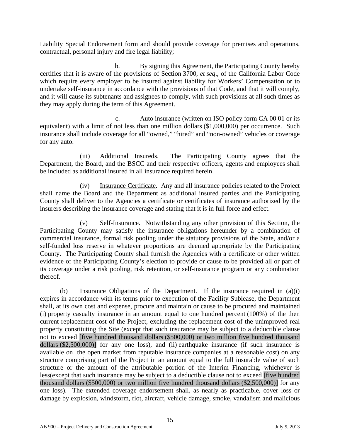Liability Special Endorsement form and should provide coverage for premises and operations, contractual, personal injury and fire legal liability;

b. By signing this Agreement, the Participating County hereby certifies that it is aware of the provisions of Section 3700, *et seq*., of the California Labor Code which require every employer to be insured against liability for Workers' Compensation or to undertake self-insurance in accordance with the provisions of that Code, and that it will comply, and it will cause its subtenants and assignees to comply, with such provisions at all such times as they may apply during the term of this Agreement.

c. Auto insurance (written on ISO policy form CA 00 01 or its equivalent) with a limit of not less than one million dollars (\$1,000,000) per occurrence. Such insurance shall include coverage for all "owned," "hired" and "non-owned" vehicles or coverage for any auto.

(iii) Additional Insureds. The Participating County agrees that the Department, the Board, and the BSCC and their respective officers, agents and employees shall be included as additional insured in all insurance required herein.

(iv) Insurance Certificate. Any and all insurance policies related to the Project shall name the Board and the Department as additional insured parties and the Participating County shall deliver to the Agencies a certificate or certificates of insurance authorized by the insurers describing the insurance coverage and stating that it is in full force and effect.

(v) Self-Insurance*.* Notwithstanding any other provision of this Section, the Participating County may satisfy the insurance obligations hereunder by a combination of commercial insurance, formal risk pooling under the statutory provisions of the State, and/or a self-funded loss reserve in whatever proportions are deemed appropriate by the Participating County. The Participating County shall furnish the Agencies with a certificate or other written evidence of the Participating County's election to provide or cause to be provided all or part of its coverage under a risk pooling, risk retention, or self-insurance program or any combination thereof.

(b) Insurance Obligations of the Department. If the insurance required in (a)(i) expires in accordance with its terms prior to execution of the Facility Sublease, the Department shall, at its own cost and expense, procure and maintain or cause to be procured and maintained (i) property casualty insurance in an amount equal to one hundred percent (100%) of the then current replacement cost of the Project, excluding the replacement cost of the unimproved real property constituting the Site (except that such insurance may be subject to a deductible clause not to exceed [five hundred thousand dollars (\$500,000) or two million five hundred thousand dollars (\$2,500,000)] for any one loss), and (ii) earthquake insurance (if such insurance is available on the open market from reputable insurance companies at a reasonable cost) on any structure comprising part of the Project in an amount equal to the full insurable value of such structure or the amount of the attributable portion of the Interim Financing, whichever is less(except that such insurance may be subject to a deductible clause not to exceed [five hundred thousand dollars (\$500,000) or two million five hundred thousand dollars (\$2,500,000)] for any one loss). The extended coverage endorsement shall, as nearly as practicable, cover loss or damage by explosion, windstorm, riot, aircraft, vehicle damage, smoke, vandalism and malicious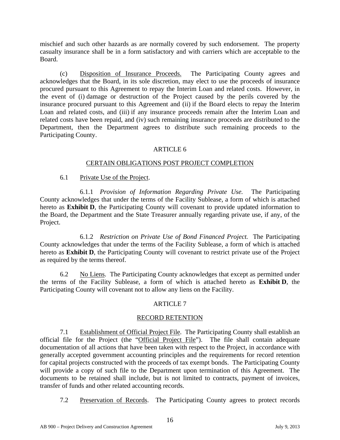mischief and such other hazards as are normally covered by such endorsement. The property casualty insurance shall be in a form satisfactory and with carriers which are acceptable to the Board.

(c) Disposition of Insurance Proceeds. The Participating County agrees and acknowledges that the Board, in its sole discretion, may elect to use the proceeds of insurance procured pursuant to this Agreement to repay the Interim Loan and related costs. However, in the event of (i) damage or destruction of the Project caused by the perils covered by the insurance procured pursuant to this Agreement and (ii) if the Board elects to repay the Interim Loan and related costs, and (iii) if any insurance proceeds remain after the Interim Loan and related costs have been repaid, and (iv) such remaining insurance proceeds are distributed to the Department, then the Department agrees to distribute such remaining proceeds to the Participating County.

### ARTICLE 6

### CERTAIN OBLIGATIONS POST PROJECT COMPLETION

### 6.1 Private Use of the Project.

6.1.1 *Provision of Information Regarding Private Use.* The Participating County acknowledges that under the terms of the Facility Sublease, a form of which is attached hereto as **Exhibit D**, the Participating County will covenant to provide updated information to the Board, the Department and the State Treasurer annually regarding private use, if any, of the Project.

6.1.2 *Restriction on Private Use of Bond Financed Project.* The Participating County acknowledges that under the terms of the Facility Sublease, a form of which is attached hereto as **Exhibit D**, the Participating County will covenant to restrict private use of the Project as required by the terms thereof.

6.2 No Liens. The Participating County acknowledges that except as permitted under the terms of the Facility Sublease, a form of which is attached hereto as **Exhibit D**, the Participating County will covenant not to allow any liens on the Facility.

### ARTICLE 7

### RECORD RETENTION

7.1 Establishment of Official Project File. The Participating County shall establish an official file for the Project (the "Official Project File"). The file shall contain adequate documentation of all actions that have been taken with respect to the Project, in accordance with generally accepted government accounting principles and the requirements for record retention for capital projects constructed with the proceeds of tax exempt bonds. The Participating County will provide a copy of such file to the Department upon termination of this Agreement. The documents to be retained shall include, but is not limited to contracts, payment of invoices, transfer of funds and other related accounting records.

7.2 Preservation of Records. The Participating County agrees to protect records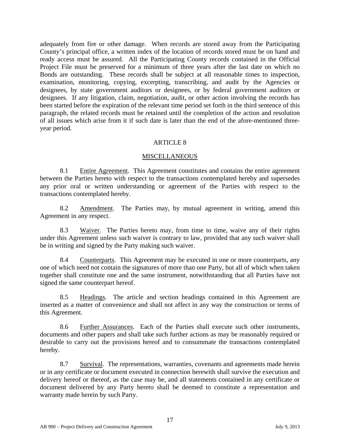adequately from fire or other damage. When records are stored away from the Participating County's principal office, a written index of the location of records stored must be on hand and ready access must be assured. All the Participating County records contained in the Official Project File must be preserved for a minimum of three years after the last date on which no Bonds are outstanding. These records shall be subject at all reasonable times to inspection, examination, monitoring, copying, excerpting, transcribing, and audit by the Agencies or designees, by state government auditors or designees, or by federal government auditors or designees. If any litigation, claim, negotiation, audit, or other action involving the records has been started before the expiration of the relevant time period set forth in the third sentence of this paragraph, the related records must be retained until the completion of the action and resolution of all issues which arise from it if such date is later than the end of the afore-mentioned threeyear period.

### ARTICLE 8

### **MISCELLANEOUS**

8.1 Entire Agreement. This Agreement constitutes and contains the entire agreement between the Parties hereto with respect to the transactions contemplated hereby and supersedes any prior oral or written understanding or agreement of the Parties with respect to the transactions contemplated hereby.

8.2 Amendment. The Parties may, by mutual agreement in writing, amend this Agreement in any respect.

8.3 Waiver. The Parties hereto may, from time to time, waive any of their rights under this Agreement unless such waiver is contrary to law, provided that any such waiver shall be in writing and signed by the Party making such waiver.

8.4 Counterparts. This Agreement may be executed in one or more counterparts, any one of which need not contain the signatures of more than one Party, but all of which when taken together shall constitute one and the same instrument, notwithstanding that all Parties have not signed the same counterpart hereof.

8.5 Headings. The article and section headings contained in this Agreement are inserted as a matter of convenience and shall not affect in any way the construction or terms of this Agreement.

8.6 Further Assurances. Each of the Parties shall execute such other instruments, documents and other papers and shall take such further actions as may be reasonably required or desirable to carry out the provisions hereof and to consummate the transactions contemplated hereby.

8.7 Survival. The representations, warranties, covenants and agreements made herein or in any certificate or document executed in connection herewith shall survive the execution and delivery hereof or thereof, as the case may be, and all statements contained in any certificate or document delivered by any Party hereto shall be deemed to constitute a representation and warranty made herein by such Party.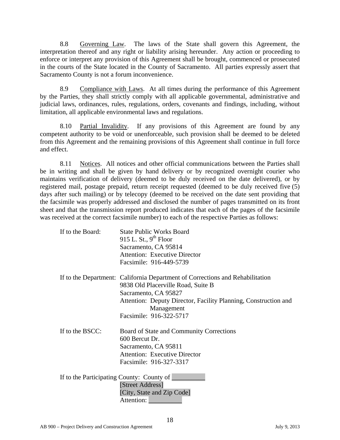8.8 Governing Law. The laws of the State shall govern this Agreement, the interpretation thereof and any right or liability arising hereunder. Any action or proceeding to enforce or interpret any provision of this Agreement shall be brought, commenced or prosecuted in the courts of the State located in the County of Sacramento. All parties expressly assert that Sacramento County is not a forum inconvenience.

8.9 Compliance with Laws. At all times during the performance of this Agreement by the Parties, they shall strictly comply with all applicable governmental, administrative and judicial laws, ordinances, rules, regulations, orders, covenants and findings, including, without limitation, all applicable environmental laws and regulations.

8.10 Partial Invalidity. If any provisions of this Agreement are found by any competent authority to be void or unenforceable, such provision shall be deemed to be deleted from this Agreement and the remaining provisions of this Agreement shall continue in full force and effect.

8.11 Notices. All notices and other official communications between the Parties shall be in writing and shall be given by hand delivery or by recognized overnight courier who maintains verification of delivery (deemed to be duly received on the date delivered), or by registered mail, postage prepaid, return receipt requested (deemed to be duly received five (5) days after such mailing) or by telecopy (deemed to be received on the date sent providing that the facsimile was properly addressed and disclosed the number of pages transmitted on its front sheet and that the transmission report produced indicates that each of the pages of the facsimile was received at the correct facsimile number) to each of the respective Parties as follows:

| If to the Board:                          | <b>State Public Works Board</b>                                               |
|-------------------------------------------|-------------------------------------------------------------------------------|
|                                           | 915 L. St., $9th$ Floor                                                       |
|                                           | Sacramento, CA 95814                                                          |
|                                           | <b>Attention: Executive Director</b>                                          |
|                                           | Facsimile: 916-449-5739                                                       |
|                                           | If to the Department: California Department of Corrections and Rehabilitation |
|                                           | 9838 Old Placerville Road, Suite B                                            |
|                                           | Sacramento, CA 95827                                                          |
|                                           | Attention: Deputy Director, Facility Planning, Construction and               |
|                                           | Management                                                                    |
|                                           | Facsimile: 916-322-5717                                                       |
| If to the BSCC:                           | Board of State and Community Corrections                                      |
|                                           | 600 Bercut Dr.                                                                |
|                                           | Sacramento, CA 95811                                                          |
|                                           | <b>Attention: Executive Director</b>                                          |
|                                           | Facsimile: 916-327-3317                                                       |
| If to the Participating County: County of |                                                                               |
|                                           | [Street Address]                                                              |
|                                           | [City, State and Zip Code]                                                    |
|                                           | Attention:                                                                    |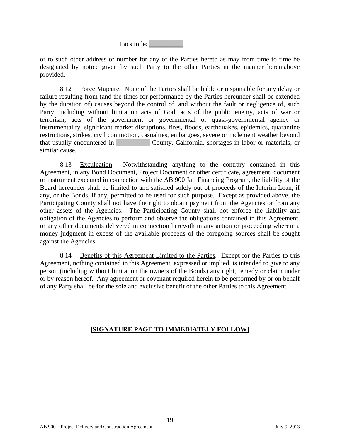Facsimile: \_\_\_\_\_\_\_\_\_\_

or to such other address or number for any of the Parties hereto as may from time to time be designated by notice given by such Party to the other Parties in the manner hereinabove provided.

8.12 Force Majeure. None of the Parties shall be liable or responsible for any delay or failure resulting from (and the times for performance by the Parties hereunder shall be extended by the duration of) causes beyond the control of, and without the fault or negligence of, such Party, including without limitation acts of God, acts of the public enemy, acts of war or terrorism, acts of the government or governmental or quasi-governmental agency or instrumentality, significant market disruptions, fires, floods, earthquakes, epidemics, quarantine restrictions, strikes, civil commotion, casualties, embargoes, severe or inclement weather beyond that usually encountered in \_\_\_\_\_\_\_\_\_\_ County, California, shortages in labor or materials, or similar cause.

8.13 Exculpation. Notwithstanding anything to the contrary contained in this Agreement, in any Bond Document, Project Document or other certificate, agreement, document or instrument executed in connection with the AB 900 Jail Financing Program, the liability of the Board hereunder shall be limited to and satisfied solely out of proceeds of the Interim Loan, if any, or the Bonds, if any, permitted to be used for such purpose. Except as provided above, the Participating County shall not have the right to obtain payment from the Agencies or from any other assets of the Agencies. The Participating County shall not enforce the liability and obligation of the Agencies to perform and observe the obligations contained in this Agreement, or any other documents delivered in connection herewith in any action or proceeding wherein a money judgment in excess of the available proceeds of the foregoing sources shall be sought against the Agencies.

8.14 Benefits of this Agreement Limited to the Parties. Except for the Parties to this Agreement, nothing contained in this Agreement, expressed or implied, is intended to give to any person (including without limitation the owners of the Bonds) any right, remedy or claim under or by reason hereof. Any agreement or covenant required herein to be performed by or on behalf of any Party shall be for the sole and exclusive benefit of the other Parties to this Agreement.

### **[SIGNATURE PAGE TO IMMEDIATELY FOLLOW]**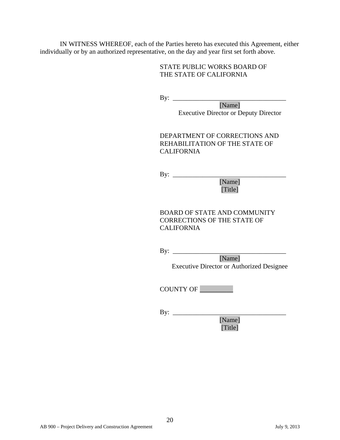IN WITNESS WHEREOF, each of the Parties hereto has executed this Agreement, either individually or by an authorized representative, on the day and year first set forth above.

### STATE PUBLIC WORKS BOARD OF THE STATE OF CALIFORNIA

By: \_\_\_\_\_\_\_\_\_\_\_\_\_\_\_\_\_\_\_\_\_\_\_\_\_\_\_\_\_\_\_\_\_\_

[Name] Executive Director or Deputy Director

DEPARTMENT OF CORRECTIONS AND REHABILITATION OF THE STATE OF CALIFORNIA

By: \_\_\_\_\_\_\_\_\_\_\_\_\_\_\_\_\_\_\_\_\_\_\_\_\_\_\_\_\_\_\_\_\_\_ [Name]

[Title]

BOARD OF STATE AND COMMUNITY CORRECTIONS OF THE STATE OF CALIFORNIA

By: \_\_\_\_\_\_\_\_\_\_\_\_\_\_\_\_\_\_\_\_\_\_\_\_\_\_\_\_\_\_\_\_\_\_ [Name] Executive Director or Authorized Designee

COUNTY OF \_\_\_\_\_\_\_\_\_\_

By: \_\_\_\_\_\_\_\_\_\_\_\_\_\_\_\_\_\_\_\_\_\_\_\_\_\_\_\_\_\_\_\_\_\_ [Name] [Title]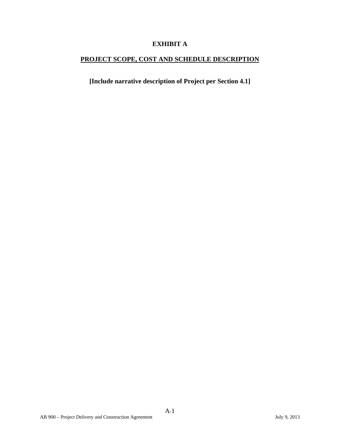## **EXHIBIT A**

## **PROJECT SCOPE, COST AND SCHEDULE DESCRIPTION**

**[Include narrative description of Project per Section 4.1]**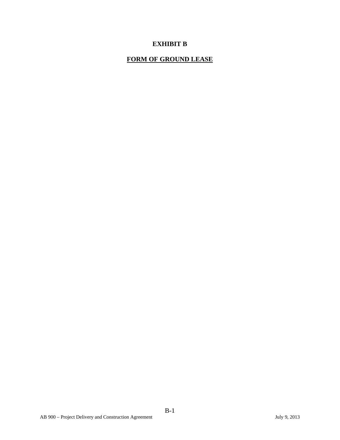## **EXHIBIT B**

## **FORM OF GROUND LEASE**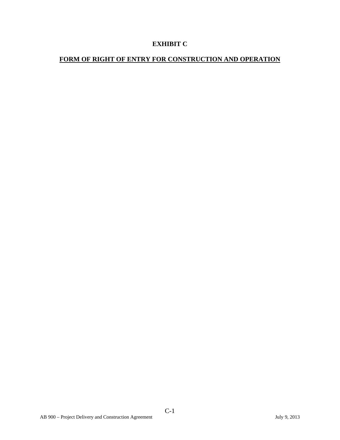## **EXHIBIT C**

## **FORM OF RIGHT OF ENTRY FOR CONSTRUCTION AND OPERATION**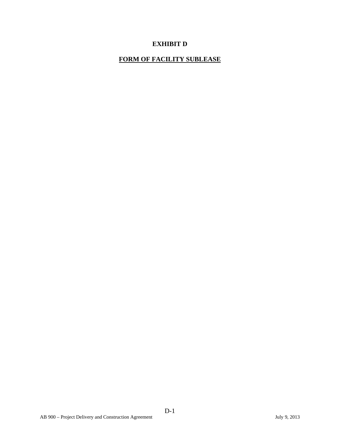## **EXHIBIT D**

## **FORM OF FACILITY SUBLEASE**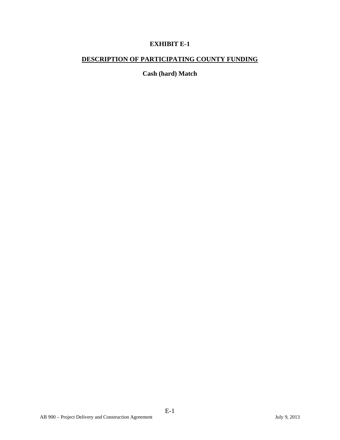## **EXHIBIT E-1**

## **DESCRIPTION OF PARTICIPATING COUNTY FUNDING**

**Cash (hard) Match**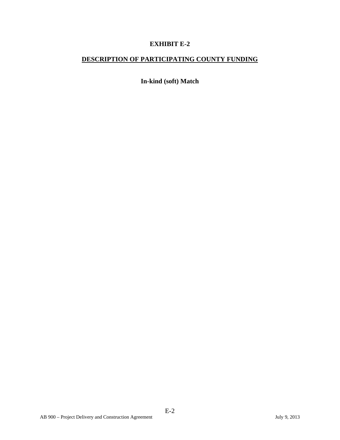## **EXHIBIT E-2**

## **DESCRIPTION OF PARTICIPATING COUNTY FUNDING**

**In-kind (soft) Match**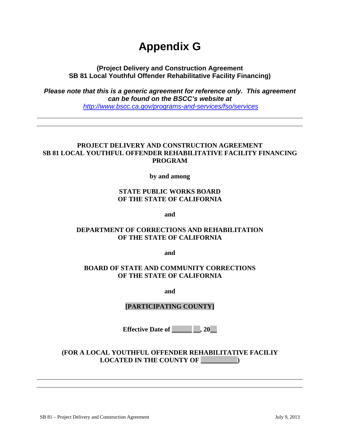# **Appendix G**

**(Project Delivery and Construction Agreement SB 81 Local Youthful Offender Rehabilitative Facility Financing)** 

*Please note that this is a generic agreement for reference only. This agreement can be found on the BSCC's website at <http://www.bscc.ca.gov/programs-and-services/fso/services>*

### **PROJECT DELIVERY AND CONSTRUCTION AGREEMENT SB 81 LOCAL YOUTHFUL OFFENDER REHABILITATIVE FACILITY FINANCING PROGRAM**

**by and among** 

### **STATE PUBLIC WORKS BOARD OF THE STATE OF CALIFORNIA**

**and** 

### **DEPARTMENT OF CORRECTIONS AND REHABILITATION OF THE STATE OF CALIFORNIA**

**and** 

### **BOARD OF STATE AND COMMUNITY CORRECTIONS OF THE STATE OF CALIFORNIA**

**and** 

### **[PARTICIPATING COUNTY]**

**Effective Date of** , 20

**(FOR A LOCAL YOUTHFUL OFFENDER REHABILITATIVE FACILIY LOCATED IN THE COUNTY OF \_\_\_\_\_\_\_\_\_\_\_)**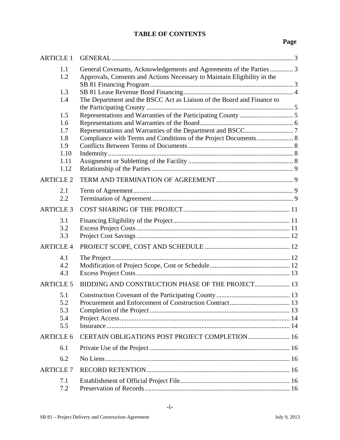## **TABLE OF CONTENTS**

## **Page**

| <b>ARTICLE 1</b> |                                                                                                                                                 |  |
|------------------|-------------------------------------------------------------------------------------------------------------------------------------------------|--|
| 1.1<br>1.2       | General Covenants, Acknowledgements and Agreements of the Parties 3<br>Approvals, Consents and Actions Necessary to Maintain Eligibility in the |  |
| 1.3              |                                                                                                                                                 |  |
| 1.4              | The Department and the BSCC Act as Liaison of the Board and Finance to                                                                          |  |
| 1.5              |                                                                                                                                                 |  |
| 1.6              |                                                                                                                                                 |  |
| 1.7<br>1.8       |                                                                                                                                                 |  |
| 1.9              | Compliance with Terms and Conditions of the Project Documents 8                                                                                 |  |
| 1.10             |                                                                                                                                                 |  |
| 1.11             |                                                                                                                                                 |  |
| 1.12             |                                                                                                                                                 |  |
| <b>ARTICLE 2</b> |                                                                                                                                                 |  |
| 2.1<br>2.2       |                                                                                                                                                 |  |
| <b>ARTICLE 3</b> |                                                                                                                                                 |  |
| 3.1              |                                                                                                                                                 |  |
| 3.2              |                                                                                                                                                 |  |
| 3.3              |                                                                                                                                                 |  |
| <b>ARTICLE 4</b> |                                                                                                                                                 |  |
| 4.1              |                                                                                                                                                 |  |
| 4.2              |                                                                                                                                                 |  |
| 4.3              |                                                                                                                                                 |  |
| <b>ARTICLE 5</b> | BIDDING AND CONSTRUCTION PHASE OF THE PROJECT 13                                                                                                |  |
| 5.1              |                                                                                                                                                 |  |
| 5.2              |                                                                                                                                                 |  |
| 5.3              |                                                                                                                                                 |  |
| 5.4<br>5.5       |                                                                                                                                                 |  |
|                  |                                                                                                                                                 |  |
| <b>ARTICLE 6</b> | CERTAIN OBLIGATIONS POST PROJECT COMPLETION 16                                                                                                  |  |
| 6.1              |                                                                                                                                                 |  |
| 6.2              |                                                                                                                                                 |  |
| <b>ARTICLE 7</b> |                                                                                                                                                 |  |
| 7.1              |                                                                                                                                                 |  |
| 7.2              |                                                                                                                                                 |  |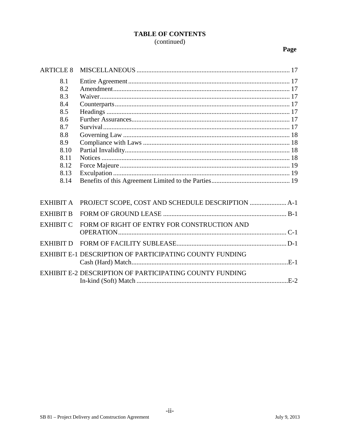### **TABLE OF CONTENTS** (continued)

## Page

| <b>ARTICLE 8</b> |                                                         |
|------------------|---------------------------------------------------------|
| 8.1              |                                                         |
| 8.2              |                                                         |
| 8.3              |                                                         |
| 8.4              |                                                         |
| 8.5              |                                                         |
| 8.6              |                                                         |
| 8.7              |                                                         |
| 8.8              |                                                         |
| 8.9              |                                                         |
| 8.10             |                                                         |
| 8.11             |                                                         |
| 8.12             |                                                         |
| 8.13             |                                                         |
| 8.14             |                                                         |
|                  |                                                         |
| <b>EXHIBIT A</b> |                                                         |
| <b>EXHIBIT B</b> |                                                         |
| <b>EXHIBIT C</b> | FORM OF RIGHT OF ENTRY FOR CONSTRUCTION AND             |
|                  |                                                         |
| <b>EXHIBIT D</b> |                                                         |
|                  | EXHIBIT E-1 DESCRIPTION OF PARTICIPATING COUNTY FUNDING |
|                  |                                                         |
|                  | EXHIBIT E-2 DESCRIPTION OF PARTICIPATING COUNTY FUNDING |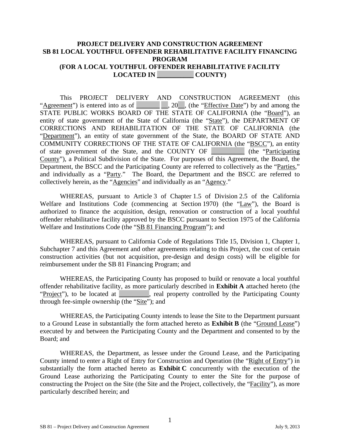### **PROJECT DELIVERY AND CONSTRUCTION AGREEMENT SB 81 LOCAL YOUTHFUL OFFENDER REHABILITATIVE FACILITY FINANCING PROGRAM (FOR A LOCAL YOUTHFUL OFFENDER REHABILITATIVE FACILITY LOCATED IN \_\_\_\_\_\_\_\_\_\_\_ COUNTY)**

This PROJECT DELIVERY AND CONSTRUCTION AGREEMENT (this "Agreement") is entered into as of  $\Box$ , 20, (the "*Effective Date*") by and among the STATE PUBLIC WORKS BOARD OF THE STATE OF CALIFORNIA (the "Board"), an entity of state government of the State of California (the "State"), the DEPARTMENT OF CORRECTIONS AND REHABILITATION OF THE STATE OF CALIFORNIA (the "Department"), an entity of state government of the State, the BOARD OF STATE AND COMMUNITY CORRECTIONS OF THE STATE OF CALIFORNIA (the "BSCC"), an entity of state government of the State, and the COUNTY OF \_\_\_\_\_\_\_\_\_\_ (the "Participating County"), a Political Subdivision of the State. For purposes of this Agreement, the Board, the Department, the BSCC and the Participating County are referred to collectively as the "Parties," and individually as a "Party." The Board, the Department and the BSCC are referred to collectively herein, as the "Agencies" and individually as an "Agency."

WHEREAS, pursuant to Article 3 of Chapter 1.5 of Division 2.5 of the California Welfare and Institutions Code (commencing at Section 1970) (the "Law"), the Board is authorized to finance the acquisition, design, renovation or construction of a local youthful offender rehabilitative facility approved by the BSCC pursuant to Section 1975 of the California Welfare and Institutions Code (the "SB 81 Financing Program"); and

WHEREAS, pursuant to California Code of Regulations Title 15, Division 1, Chapter 1, Subchapter 7 and this Agreement and other agreements relating to this Project, the cost of certain construction activities (but not acquisition, pre-design and design costs) will be eligible for reimbursement under the SB 81 Financing Program; and

WHEREAS, the Participating County has proposed to build or renovate a local youthful offender rehabilitative facility, as more particularly described in **Exhibit A** attached hereto (the "Project"), to be located at \_\_\_\_\_\_\_\_\_, real property controlled by the Participating County through fee-simple ownership (the "Site"); and

WHEREAS, the Participating County intends to lease the Site to the Department pursuant to a Ground Lease in substantially the form attached hereto as **Exhibit B** (the "Ground Lease") executed by and between the Participating County and the Department and consented to by the Board; and

WHEREAS, the Department, as lessee under the Ground Lease, and the Participating County intend to enter a Right of Entry for Construction and Operation (the "Right of Entry") in substantially the form attached hereto as **Exhibit C** concurrently with the execution of the Ground Lease authorizing the Participating County to enter the Site for the purpose of constructing the Project on the Site (the Site and the Project, collectively, the "Facility"), as more particularly described herein; and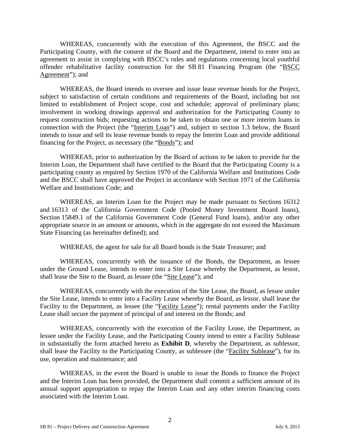WHEREAS, concurrently with the execution of this Agreement, the BSCC and the Participating County, with the consent of the Board and the Department, intend to enter into an agreement to assist in complying with BSCC's rules and regulations concerning local youthful offender rehabilitative facility construction for the SB 81 Financing Program (the "BSCC Agreement"); and

WHEREAS, the Board intends to oversee and issue lease revenue bonds for the Project, subject to satisfaction of certain conditions and requirements of the Board, including but not limited to establishment of Project scope, cost and schedule; approval of preliminary plans; involvement in working drawings approval and authorization for the Participating County to request construction bids; requesting actions to be taken to obtain one or more interim loans in connection with the Project (the "Interim Loan") and, subject to section 1.3 below, the Board intends to issue and sell its lease revenue bonds to repay the Interim Loan and provide additional financing for the Project, as necessary (the "Bonds"); and

WHEREAS, prior to authorization by the Board of actions to be taken to provide for the Interim Loan, the Department shall have certified to the Board that the Participating County is a participating county as required by Section 1970 of the California Welfare and Institutions Code and the BSCC shall have approved the Project in accordance with Section 1971 of the California Welfare and Institutions Code; and

WHEREAS, an Interim Loan for the Project may be made pursuant to Sections 16312 and 16313 of the California Government Code (Pooled Money Investment Board loans), Section 15849.1 of the California Government Code (General Fund loans), and/or any other appropriate source in an amount or amounts, which in the aggregate do not exceed the Maximum State Financing (as hereinafter defined); and

WHEREAS, the agent for sale for all Board bonds is the State Treasurer; and

WHEREAS, concurrently with the issuance of the Bonds, the Department, as lessee under the Ground Lease, intends to enter into a Site Lease whereby the Department, as lessor, shall lease the Site to the Board, as lessee (the "Site Lease"); and

WHEREAS, concurrently with the execution of the Site Lease, the Board, as lessee under the Site Lease, intends to enter into a Facility Lease whereby the Board, as lessor, shall lease the Facility to the Department, as lessee (the "Facility Lease"); rental payments under the Facility Lease shall secure the payment of principal of and interest on the Bonds; and

WHEREAS, concurrently with the execution of the Facility Lease, the Department, as lessee under the Facility Lease, and the Participating County intend to enter a Facility Sublease in substantially the form attached hereto as **Exhibit D**, whereby the Department, as sublessor, shall lease the Facility to the Participating County, as sublessee (the "Facility Sublease"), for its use, operation and maintenance; and

WHEREAS, in the event the Board is unable to issue the Bonds to finance the Project and the Interim Loan has been provided, the Department shall commit a sufficient amount of its annual support appropriation to repay the Interim Loan and any other interim financing costs associated with the Interim Loan.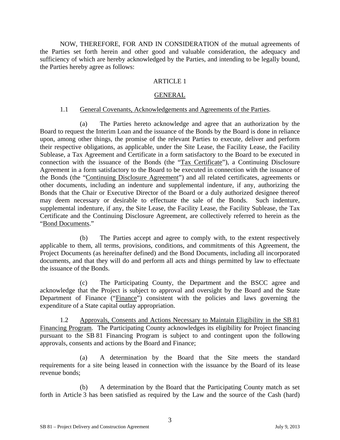NOW, THEREFORE, FOR AND IN CONSIDERATION of the mutual agreements of the Parties set forth herein and other good and valuable consideration, the adequacy and sufficiency of which are hereby acknowledged by the Parties, and intending to be legally bound, the Parties hereby agree as follows:

### **ARTICLE 1**

### GENERAL

### 1.1 General Covenants, Acknowledgements and Agreements of the Parties.

<span id="page-95-1"></span><span id="page-95-0"></span>(a) The Parties hereto acknowledge and agree that an authorization by the Board to request the Interim Loan and the issuance of the Bonds by the Board is done in reliance upon, among other things, the promise of the relevant Parties to execute, deliver and perform their respective obligations, as applicable, under the Site Lease, the Facility Lease, the Facility Sublease, a Tax Agreement and Certificate in a form satisfactory to the Board to be executed in connection with the issuance of the Bonds (the "Tax Certificate"), a Continuing Disclosure Agreement in a form satisfactory to the Board to be executed in connection with the issuance of the Bonds (the "Continuing Disclosure Agreement") and all related certificates, agreements or other documents, including an indenture and supplemental indenture, if any, authorizing the Bonds that the Chair or Executive Director of the Board or a duly authorized designee thereof may deem necessary or desirable to effectuate the sale of the Bonds. Such indenture, supplemental indenture, if any, the Site Lease, the Facility Lease, the Facility Sublease, the Tax Certificate and the Continuing Disclosure Agreement, are collectively referred to herein as the "Bond Documents."

(b) The Parties accept and agree to comply with, to the extent respectively applicable to them, all terms, provisions, conditions, and commitments of this Agreement, the Project Documents (as hereinafter defined) and the Bond Documents, including all incorporated documents, and that they will do and perform all acts and things permitted by law to effectuate the issuance of the Bonds.

(c) The Participating County, the Department and the BSCC agree and acknowledge that the Project is subject to approval and oversight by the Board and the State Department of Finance ("Finance") consistent with the policies and laws governing the expenditure of a State capital outlay appropriation.

<span id="page-95-2"></span>1.2 Approvals, Consents and Actions Necessary to Maintain Eligibility in the SB 81 Financing Program. The Participating County acknowledges its eligibility for Project financing pursuant to the SB 81 Financing Program is subject to and contingent upon the following approvals, consents and actions by the Board and Finance;

(a) A determination by the Board that the Site meets the standard requirements for a site being leased in connection with the issuance by the Board of its lease revenue bonds;

(b) A determination by the Board that the Participating County match as set forth in Article 3 has been satisfied as required by the Law and the source of the Cash (hard)

3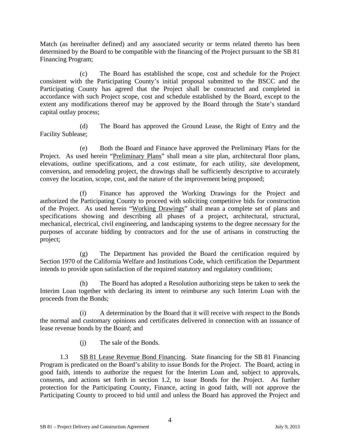Match (as hereinafter defined) and any associated security or terms related thereto has been determined by the Board to be compatible with the financing of the Project pursuant to the SB 81 Financing Program;

(c) The Board has established the scope, cost and schedule for the Project consistent with the Participating County's initial proposal submitted to the BSCC and the Participating County has agreed that the Project shall be constructed and completed in accordance with such Project scope, cost and schedule established by the Board, except to the extent any modifications thereof may be approved by the Board through the State's standard capital outlay process;

(d) The Board has approved the Ground Lease, the Right of Entry and the Facility Sublease;

(e) Both the Board and Finance have approved the Preliminary Plans for the Project. As used herein "Preliminary Plans" shall mean a site plan, architectural floor plans, elevations, outline specifications, and a cost estimate, for each utility, site development, conversion, and remodeling project, the drawings shall be sufficiently descriptive to accurately convey the location, scope, cost, and the nature of the improvement being proposed;

(f) Finance has approved the Working Drawings for the Project and authorized the Participating County to proceed with soliciting competitive bids for construction of the Project. As used herein "Working Drawings" shall mean a complete set of plans and specifications showing and describing all phases of a project, architectural, structural, mechanical, electrical, civil engineering, and landscaping systems to the degree necessary for the purposes of accurate bidding by contractors and for the use of artisans in constructing the project;

(g) The Department has provided the Board the certification required by Section 1970 of the California Welfare and Institutions Code, which certification the Department intends to provide upon satisfaction of the required statutory and regulatory conditions;

(h) The Board has adopted a Resolution authorizing steps be taken to seek the Interim Loan together with declaring its intent to reimburse any such Interim Loan with the proceeds from the Bonds;

(i) A determination by the Board that it will receive with respect to the Bonds the normal and customary opinions and certificates delivered in connection with an issuance of lease revenue bonds by the Board; and

(j) The sale of the Bonds.

1.3 SB 81 Lease Revenue Bond Financing. State financing for the SB 81 Financing Program is predicated on the Board's ability to issue Bonds for the Project. The Board, acting in good faith, intends to authorize the request for the Interim Loan and, subject to approvals, consents, and actions set forth in section 1.2, to issue Bonds for the Project. As further protection for the Participating County, Finance, acting in good faith, will not approve the Participating County to proceed to bid until and unless the Board has approved the Project and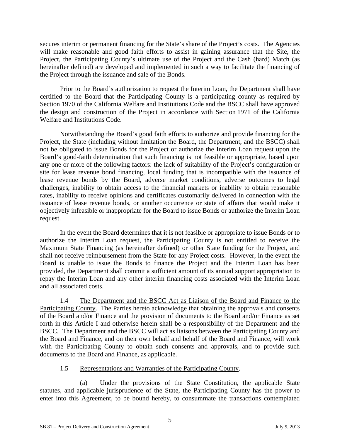secures interim or permanent financing for the State's share of the Project's costs. The Agencies will make reasonable and good faith efforts to assist in gaining assurance that the Site, the Project, the Participating County's ultimate use of the Project and the Cash (hard) Match (as hereinafter defined) are developed and implemented in such a way to facilitate the financing of the Project through the issuance and sale of the Bonds.

Prior to the Board's authorization to request the Interim Loan, the Department shall have certified to the Board that the Participating County is a participating county as required by Section 1970 of the California Welfare and Institutions Code and the BSCC shall have approved the design and construction of the Project in accordance with Section 1971 of the California Welfare and Institutions Code.

Notwithstanding the Board's good faith efforts to authorize and provide financing for the Project, the State (including without limitation the Board, the Department, and the BSCC) shall not be obligated to issue Bonds for the Project or authorize the Interim Loan request upon the Board's good-faith determination that such financing is not feasible or appropriate, based upon any one or more of the following factors: the lack of suitability of the Project's configuration or site for lease revenue bond financing, local funding that is incompatible with the issuance of lease revenue bonds by the Board, adverse market conditions, adverse outcomes to legal challenges, inability to obtain access to the financial markets or inability to obtain reasonable rates, inability to receive opinions and certificates customarily delivered in connection with the issuance of lease revenue bonds, or another occurrence or state of affairs that would make it objectively infeasible or inappropriate for the Board to issue Bonds or authorize the Interim Loan request.

In the event the Board determines that it is not feasible or appropriate to issue Bonds or to authorize the Interim Loan request, the Participating County is not entitled to receive the Maximum State Financing (as hereinafter defined) or other State funding for the Project, and shall not receive reimbursement from the State for any Project costs. However, in the event the Board is unable to issue the Bonds to finance the Project and the Interim Loan has been provided, the Department shall commit a sufficient amount of its annual support appropriation to repay the Interim Loan and any other interim financing costs associated with the Interim Loan and all associated costs.

<span id="page-97-1"></span>1.4 The Department and the BSCC Act as Liaison of the Board and Finance to the Participating County. The Parties hereto acknowledge that obtaining the approvals and consents of the Board and/or Finance and the provision of documents to the Board and/or Finance as set forth in this Article I and otherwise herein shall be a responsibility of the Department and the BSCC. The Department and the BSCC will act as liaisons between the Participating County and the Board and Finance, and on their own behalf and behalf of the Board and Finance, will work with the Participating County to obtain such consents and approvals, and to provide such documents to the Board and Finance, as applicable.

### 1.5 Representations and Warranties of the Participating County.

<span id="page-97-2"></span><span id="page-97-0"></span>(a) Under the provisions of the State Constitution, the applicable State statutes, and applicable jurisprudence of the State, the Participating County has the power to enter into this Agreement, to be bound hereby, to consummate the transactions contemplated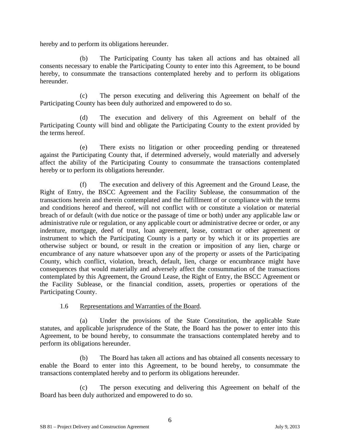hereby and to perform its obligations hereunder.

(b) The Participating County has taken all actions and has obtained all consents necessary to enable the Participating County to enter into this Agreement, to be bound hereby, to consummate the transactions contemplated hereby and to perform its obligations hereunder.

(c) The person executing and delivering this Agreement on behalf of the Participating County has been duly authorized and empowered to do so.

(d) The execution and delivery of this Agreement on behalf of the Participating County will bind and obligate the Participating County to the extent provided by the terms hereof.

(e) There exists no litigation or other proceeding pending or threatened against the Participating County that, if determined adversely, would materially and adversely affect the ability of the Participating County to consummate the transactions contemplated hereby or to perform its obligations hereunder.

The execution and delivery of this Agreement and the Ground Lease, the Right of Entry, the BSCC Agreement and the Facility Sublease, the consummation of the transactions herein and therein contemplated and the fulfillment of or compliance with the terms and conditions hereof and thereof, will not conflict with or constitute a violation or material breach of or default (with due notice or the passage of time or both) under any applicable law or administrative rule or regulation, or any applicable court or administrative decree or order, or any indenture, mortgage, deed of trust, loan agreement, lease, contract or other agreement or instrument to which the Participating County is a party or by which it or its properties are otherwise subject or bound, or result in the creation or imposition of any lien, charge or encumbrance of any nature whatsoever upon any of the property or assets of the Participating County, which conflict, violation, breach, default, lien, charge or encumbrance might have consequences that would materially and adversely affect the consummation of the transactions contemplated by this Agreement, the Ground Lease, the Right of Entry, the BSCC Agreement or the Facility Sublease, or the financial condition, assets, properties or operations of the Participating County.

1.6 Representations and Warranties of the Board.

<span id="page-98-0"></span>(a) Under the provisions of the State Constitution, the applicable State statutes, and applicable jurisprudence of the State, the Board has the power to enter into this Agreement, to be bound hereby, to consummate the transactions contemplated hereby and to perform its obligations hereunder.

(b) The Board has taken all actions and has obtained all consents necessary to enable the Board to enter into this Agreement, to be bound hereby, to consummate the transactions contemplated hereby and to perform its obligations hereunder.

(c) The person executing and delivering this Agreement on behalf of the Board has been duly authorized and empowered to do so.

6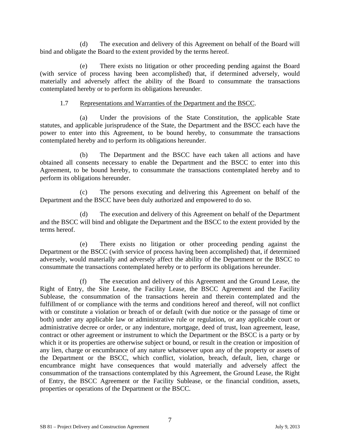(d) The execution and delivery of this Agreement on behalf of the Board will bind and obligate the Board to the extent provided by the terms hereof.

(e) There exists no litigation or other proceeding pending against the Board (with service of process having been accomplished) that, if determined adversely, would materially and adversely affect the ability of the Board to consummate the transactions contemplated hereby or to perform its obligations hereunder.

### 1.7 Representations and Warranties of the Department and the BSCC.

<span id="page-99-0"></span>(a) Under the provisions of the State Constitution, the applicable State statutes, and applicable jurisprudence of the State, the Department and the BSCC each have the power to enter into this Agreement, to be bound hereby, to consummate the transactions contemplated hereby and to perform its obligations hereunder.

(b) The Department and the BSCC have each taken all actions and have obtained all consents necessary to enable the Department and the BSCC to enter into this Agreement, to be bound hereby, to consummate the transactions contemplated hereby and to perform its obligations hereunder.

(c) The persons executing and delivering this Agreement on behalf of the Department and the BSCC have been duly authorized and empowered to do so.

(d) The execution and delivery of this Agreement on behalf of the Department and the BSCC will bind and obligate the Department and the BSCC to the extent provided by the terms hereof.

(e) There exists no litigation or other proceeding pending against the Department or the BSCC (with service of process having been accomplished) that, if determined adversely, would materially and adversely affect the ability of the Department or the BSCC to consummate the transactions contemplated hereby or to perform its obligations hereunder.

(f) The execution and delivery of this Agreement and the Ground Lease, the Right of Entry, the Site Lease, the Facility Lease, the BSCC Agreement and the Facility Sublease, the consummation of the transactions herein and therein contemplated and the fulfillment of or compliance with the terms and conditions hereof and thereof, will not conflict with or constitute a violation or breach of or default (with due notice or the passage of time or both) under any applicable law or administrative rule or regulation, or any applicable court or administrative decree or order, or any indenture, mortgage, deed of trust, loan agreement, lease, contract or other agreement or instrument to which the Department or the BSCC is a party or by which it or its properties are otherwise subject or bound, or result in the creation or imposition of any lien, charge or encumbrance of any nature whatsoever upon any of the property or assets of the Department or the BSCC, which conflict, violation, breach, default, lien, charge or encumbrance might have consequences that would materially and adversely affect the consummation of the transactions contemplated by this Agreement, the Ground Lease, the Right of Entry, the BSCC Agreement or the Facility Sublease, or the financial condition, assets, properties or operations of the Department or the BSCC.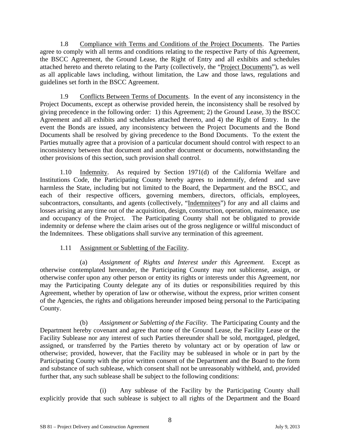<span id="page-100-0"></span>1.8 Compliance with Terms and Conditions of the Project Documents. The Parties agree to comply with all terms and conditions relating to the respective Party of this Agreement, the BSCC Agreement, the Ground Lease, the Right of Entry and all exhibits and schedules attached hereto and thereto relating to the Party (collectively, the "Project Documents"), as well as all applicable laws including, without limitation, the Law and those laws, regulations and guidelines set forth in the BSCC Agreement.

<span id="page-100-1"></span>1.9 Conflicts Between Terms of Documents. In the event of any inconsistency in the Project Documents, except as otherwise provided herein, the inconsistency shall be resolved by giving precedence in the following order: 1) this Agreement; 2) the Ground Lease, 3) the BSCC Agreement and all exhibits and schedules attached thereto, and 4) the Right of Entry. In the event the Bonds are issued, any inconsistency between the Project Documents and the Bond Documents shall be resolved by giving precedence to the Bond Documents. To the extent the Parties mutually agree that a provision of a particular document should control with respect to an inconsistency between that document and another document or documents, notwithstanding the other provisions of this section, such provision shall control.

<span id="page-100-2"></span>1.10 Indemnity. As required by Section 1971(d) of the California Welfare and Institutions Code, the Participating County hereby agrees to indemnify, defend and save harmless the State, including but not limited to the Board, the Department and the BSCC, and each of their respective officers, governing members, directors, officials, employees, subcontractors, consultants, and agents (collectively, "Indemnitees") for any and all claims and losses arising at any time out of the acquisition, design, construction, operation, maintenance, use and occupancy of the Project. The Participating County shall not be obligated to provide indemnity or defense where the claim arises out of the gross negligence or willful misconduct of the Indemnitees. These obligations shall survive any termination of this agreement.

### 1.11 Assignment or Subletting of the Facility.

<span id="page-100-3"></span>(a) *Assignment of Rights and Interest under this Agreement*. Except as otherwise contemplated hereunder, the Participating County may not sublicense, assign, or otherwise confer upon any other person or entity its rights or interests under this Agreement, nor may the Participating County delegate any of its duties or responsibilities required by this Agreement, whether by operation of law or otherwise, without the express, prior written consent of the Agencies, the rights and obligations hereunder imposed being personal to the Participating County.

(b) *Assignment or Subletting of the Facility*. The Participating County and the Department hereby covenant and agree that none of the Ground Lease, the Facility Lease or the Facility Sublease nor any interest of such Parties thereunder shall be sold, mortgaged, pledged, assigned, or transferred by the Parties thereto by voluntary act or by operation of law or otherwise; provided, however, that the Facility may be subleased in whole or in part by the Participating County with the prior written consent of the Department and the Board to the form and substance of such sublease, which consent shall not be unreasonably withheld, and, provided further that, any such sublease shall be subject to the following conditions:

(i) Any sublease of the Facility by the Participating County shall explicitly provide that such sublease is subject to all rights of the Department and the Board

8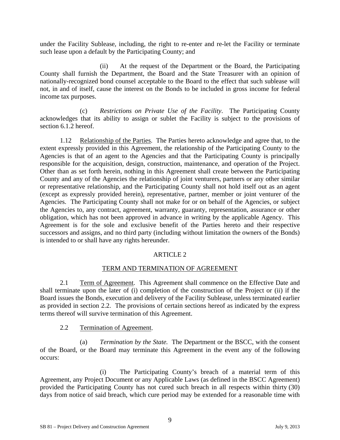under the Facility Sublease, including, the right to re-enter and re-let the Facility or terminate such lease upon a default by the Participating County; and

(ii) At the request of the Department or the Board, the Participating County shall furnish the Department, the Board and the State Treasurer with an opinion of nationally-recognized bond counsel acceptable to the Board to the effect that such sublease will not, in and of itself, cause the interest on the Bonds to be included in gross income for federal income tax purposes.

(c) *Restrictions on Private Use of the Facility*. The Participating County acknowledges that its ability to assign or sublet the Facility is subject to the provisions of section 6.1.2 hereof.

<span id="page-101-0"></span>1.12 Relationship of the Parties. The Parties hereto acknowledge and agree that, to the extent expressly provided in this Agreement, the relationship of the Participating County to the Agencies is that of an agent to the Agencies and that the Participating County is principally responsible for the acquisition, design, construction, maintenance, and operation of the Project. Other than as set forth herein, nothing in this Agreement shall create between the Participating County and any of the Agencies the relationship of joint venturers, partners or any other similar or representative relationship, and the Participating County shall not hold itself out as an agent (except as expressly provided herein), representative, partner, member or joint venturer of the Agencies. The Participating County shall not make for or on behalf of the Agencies, or subject the Agencies to, any contract, agreement, warranty, guaranty, representation, assurance or other obligation, which has not been approved in advance in writing by the applicable Agency. This Agreement is for the sole and exclusive benefit of the Parties hereto and their respective successors and assigns, and no third party (including without limitation the owners of the Bonds) is intended to or shall have any rights hereunder.

### ARTICLE 2

### TERM AND TERMINATION OF AGREEMENT

<span id="page-101-2"></span><span id="page-101-1"></span>2.1 Term of Agreement. This Agreement shall commence on the Effective Date and shall terminate upon the later of (i) completion of the construction of the Project or (ii) if the Board issues the Bonds, execution and delivery of the Facility Sublease, unless terminated earlier as provided in section 2.2. The provisions of certain sections hereof as indicated by the express terms thereof will survive termination of this Agreement.

2.2 Termination of Agreement.

<span id="page-101-3"></span>(a) *Termination by the State.* The Department or the BSCC, with the consent of the Board, or the Board may terminate this Agreement in the event any of the following occurs:

(i) The Participating County's breach of a material term of this Agreement, any Project Document or any Applicable Laws (as defined in the BSCC Agreement) provided the Participating County has not cured such breach in all respects within thirty (30) days from notice of said breach, which cure period may be extended for a reasonable time with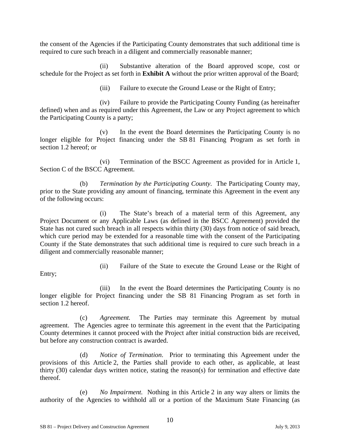the consent of the Agencies if the Participating County demonstrates that such additional time is required to cure such breach in a diligent and commercially reasonable manner;

(ii) Substantive alteration of the Board approved scope, cost or schedule for the Project as set forth in **Exhibit A** without the prior written approval of the Board;

(iii) Failure to execute the Ground Lease or the Right of Entry;

(iv) Failure to provide the Participating County Funding (as hereinafter defined) when and as required under this Agreement, the Law or any Project agreement to which the Participating County is a party;

(v) In the event the Board determines the Participating County is no longer eligible for Project financing under the SB 81 Financing Program as set forth in section 1.2 hereof; or

(vi) Termination of the BSCC Agreement as provided for in Article 1, Section C of the BSCC Agreement.

(b) *Termination by the Participating County.* The Participating County may, prior to the State providing any amount of financing, terminate this Agreement in the event any of the following occurs:

(i) The State's breach of a material term of this Agreement, any Project Document or any Applicable Laws (as defined in the BSCC Agreement) provided the State has not cured such breach in all respects within thirty (30) days from notice of said breach, which cure period may be extended for a reasonable time with the consent of the Participating County if the State demonstrates that such additional time is required to cure such breach in a diligent and commercially reasonable manner;

Entry;

(ii) Failure of the State to execute the Ground Lease or the Right of

(iii) In the event the Board determines the Participating County is no longer eligible for Project financing under the SB 81 Financing Program as set forth in section 1.2 hereof.

(c) *Agreement.* The Parties may terminate this Agreement by mutual agreement. The Agencies agree to terminate this agreement in the event that the Participating County determines it cannot proceed with the Project after initial construction bids are received, but before any construction contract is awarded.

(d) *Notice of Termination*. Prior to terminating this Agreement under the provisions of this Article 2, the Parties shall provide to each other, as applicable, at least thirty (30) calendar days written notice, stating the reason(s) for termination and effective date thereof.

(e) *No Impairment.* Nothing in this Article 2 in any way alters or limits the authority of the Agencies to withhold all or a portion of the Maximum State Financing (as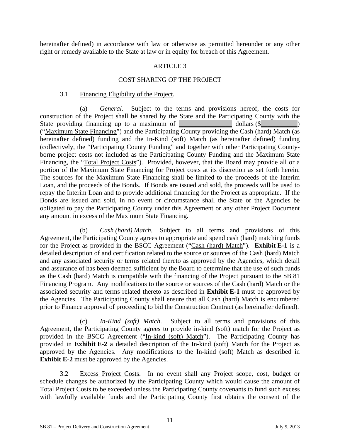hereinafter defined) in accordance with law or otherwise as permitted hereunder or any other right or remedy available to the State at law or in equity for breach of this Agreement.

### ARTICLE 3

### COST SHARING OF THE PROJECT

#### 3.1 Financing Eligibility of the Project.

<span id="page-103-1"></span><span id="page-103-0"></span>(a) *General.* Subject to the terms and provisions hereof, the costs for construction of the Project shall be shared by the State and the Participating County with the State providing financing up to a maximum of  $\Box$  dollars (\$ ("Maximum State Financing") and the Participating County providing the Cash (hard) Match (as hereinafter defined) funding and the In-Kind (soft) Match (as hereinafter defined) funding (collectively, the "Participating County Funding" and together with other Participating Countyborne project costs not included as the Participating County Funding and the Maximum State Financing, the "Total Project Costs"). Provided, however, that the Board may provide all or a portion of the Maximum State Financing for Project costs at its discretion as set forth herein. The sources for the Maximum State Financing shall be limited to the proceeds of the Interim Loan, and the proceeds of the Bonds. If Bonds are issued and sold, the proceeds will be used to repay the Interim Loan and to provide additional financing for the Project as appropriate. If the Bonds are issued and sold, in no event or circumstance shall the State or the Agencies be obligated to pay the Participating County under this Agreement or any other Project Document any amount in excess of the Maximum State Financing.

(b) *Cash (hard) Match.* Subject to all terms and provisions of this Agreement, the Participating County agrees to appropriate and spend cash (hard) matching funds for the Project as provided in the BSCC Agreement ("Cash (hard) Match"). **Exhibit E-1** is a detailed description of and certification related to the source or sources of the Cash (hard) Match and any associated security or terms related thereto as approved by the Agencies, which detail and assurance of has been deemed sufficient by the Board to determine that the use of such funds as the Cash (hard) Match is compatible with the financing of the Project pursuant to the SB 81 Financing Program. Any modifications to the source or sources of the Cash (hard) Match or the associated security and terms related thereto as described in **Exhibit E-1** must be approved by the Agencies. The Participating County shall ensure that all Cash (hard) Match is encumbered prior to Finance approval of proceeding to bid the Construction Contract (as hereinafter defined).

(c) *In-Kind (soft) Match*. Subject to all terms and provisions of this Agreement, the Participating County agrees to provide in-kind (soft) match for the Project as provided in the BSCC Agreement ("In-kind (soft) Match"). The Participating County has provided in **Exhibit E-2** a detailed description of the In-kind (soft) Match for the Project as approved by the Agencies. Any modifications to the In-kind (soft) Match as described in **Exhibit E-2** must be approved by the Agencies.

3.2 Excess Project Costs. In no event shall any Project scope, cost, budget or schedule changes be authorized by the Participating County which would cause the amount of Total Project Costs to be exceeded unless the Participating County covenants to fund such excess with lawfully available funds and the Participating County first obtains the consent of the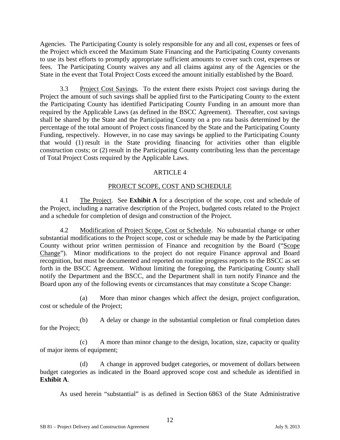Agencies. The Participating County is solely responsible for any and all cost, expenses or fees of the Project which exceed the Maximum State Financing and the Participating County covenants to use its best efforts to promptly appropriate sufficient amounts to cover such cost, expenses or fees. The Participating County waives any and all claims against any of the Agencies or the State in the event that Total Project Costs exceed the amount initially established by the Board.

<span id="page-104-1"></span>3.3 Project Cost Savings. To the extent there exists Project cost savings during the Project the amount of such savings shall be applied first to the Participating County to the extent the Participating County has identified Participating County Funding in an amount more than required by the Applicable Laws (as defined in the BSCC Agreement). Thereafter, cost savings shall be shared by the State and the Participating County on a pro rata basis determined by the percentage of the total amount of Project costs financed by the State and the Participating County Funding, respectively. However, in no case may savings be applied to the Participating County that would (1) result in the State providing financing for activities other than eligible construction costs; or (2) result in the Participating County contributing less than the percentage of Total Project Costs required by the Applicable Laws.

### ARTICLE 4

### PROJECT SCOPE, COST AND SCHEDULE

<span id="page-104-3"></span><span id="page-104-2"></span>4.1 The Project. See **Exhibit A** for a description of the scope, cost and schedule of the Project, including a narrative description of the Project, budgeted costs related to the Project and a schedule for completion of design and construction of the Project.

<span id="page-104-4"></span>4.2 Modification of Project Scope, Cost or Schedule. No substantial change or other substantial modifications to the Project scope, cost or schedule may be made by the Participating County without prior written permission of Finance and recognition by the Board ("Scope Change"). Minor modifications to the project do not require Finance approval and Board recognition, but must be documented and reported on routine progress reports to the BSCC as set forth in the BSCC Agreement. Without limiting the foregoing, the Participating County shall notify the Department and the BSCC, and the Department shall in turn notify Finance and the Board upon any of the following events or circumstances that may constitute a Scope Change:

(a) More than minor changes which affect the design, project configuration, cost or schedule of the Project;

(b) A delay or change in the substantial completion or final completion dates for the Project;

(c) A more than minor change to the design, location, size, capacity or quality of major items of equipment;

<span id="page-104-0"></span>(d) A change in approved budget categories, or movement of dollars between budget categories as indicated in the Board approved scope cost and schedule as identified in **Exhibit A**.

As used herein "substantial" is as defined in Section 6863 of the State Administrative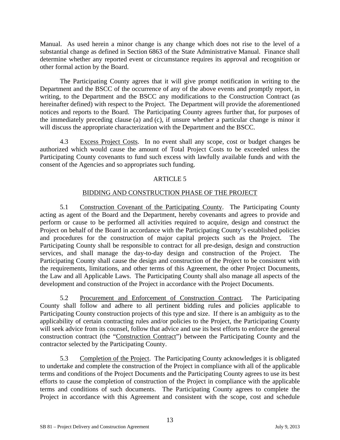Manual. As used herein a minor change is any change which does not rise to the level of a substantial change as defined in Section 6863 of the State Administrative Manual. Finance shall determine whether any reported event or circumstance requires its approval and recognition or other formal action by the Board.

The Participating County agrees that it will give prompt notification in writing to the Department and the BSCC of the occurrence of any of the above events and promptly report, in writing, to the Department and the BSCC any modifications to the Construction Contract (as hereinafter defined) with respect to the Project. The Department will provide the aforementioned notices and reports to the Board. The Participating County agrees further that, for purposes of the immediately preceding clause (a) and (c), if unsure whether a particular change is minor it will discuss the appropriate characterization with the Department and the BSCC.

<span id="page-105-0"></span>4.3 Excess Project Costs. In no event shall any scope, cost or budget changes be authorized which would cause the amount of Total Project Costs to be exceeded unless the Participating County covenants to fund such excess with lawfully available funds and with the consent of the Agencies and so appropriates such funding.

### ARTICLE 5

### BIDDING AND CONSTRUCTION PHASE OF THE PROJECT

<span id="page-105-2"></span><span id="page-105-1"></span>5.1 Construction Covenant of the Participating County. The Participating County acting as agent of the Board and the Department, hereby covenants and agrees to provide and perform or cause to be performed all activities required to acquire, design and construct the Project on behalf of the Board in accordance with the Participating County's established policies and procedures for the construction of major capital projects such as the Project. The Participating County shall be responsible to contract for all pre-design, design and construction services, and shall manage the day-to-day design and construction of the Project. The Participating County shall cause the design and construction of the Project to be consistent with the requirements, limitations, and other terms of this Agreement, the other Project Documents, the Law and all Applicable Laws. The Participating County shall also manage all aspects of the development and construction of the Project in accordance with the Project Documents.

<span id="page-105-3"></span>5.2 Procurement and Enforcement of Construction Contract*.* The Participating County shall follow and adhere to all pertinent bidding rules and policies applicable to Participating County construction projects of this type and size. If there is an ambiguity as to the applicability of certain contracting rules and/or policies to the Project, the Participating County will seek advice from its counsel, follow that advice and use its best efforts to enforce the general construction contract (the "Construction Contract") between the Participating County and the contractor selected by the Participating County.

5.3 Completion of the Project. The Participating County acknowledges it is obligated to undertake and complete the construction of the Project in compliance with all of the applicable terms and conditions of the Project Documents and the Participating County agrees to use its best efforts to cause the completion of construction of the Project in compliance with the applicable terms and conditions of such documents. The Participating County agrees to complete the Project in accordance with this Agreement and consistent with the scope, cost and schedule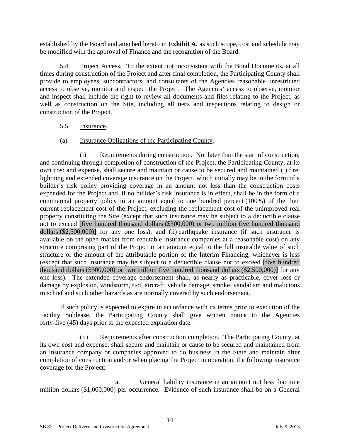established by the Board and attached hereto in **Exhibit A**, as such scope, cost and schedule may be modified with the approval of Finance and the recognition of the Board.

<span id="page-106-1"></span>5.4 Project Access. To the extent not inconsistent with the Bond Documents, at all times during construction of the Project and after final completion, the Participating County shall provide to employees, subcontractors, and consultants of the Agencies reasonable unrestricted access to observe, monitor and inspect the Project. The Agencies' access to observe, monitor and inspect shall include the right to review all documents and files relating to the Project, as well as construction on the Site, including all tests and inspections relating to design or construction of the Project.

### 5.5 Insurance.

### (a) Insurance Obligations of the Participating County.

<span id="page-106-2"></span>(i) Requirements during construction. Not later than the start of construction, and continuing through completion of construction of the Project, the Participating County, at its own cost and expense, shall secure and maintain or cause to be secured and maintained (i) fire, lightning and extended coverage insurance on the Project, which initially may be in the form of a builder's risk policy providing coverage in an amount not less than the construction costs expended for the Project and, if no builder's risk insurance is in effect, shall be in the form of a commercial property policy in an amount equal to one hundred percent (100%) of the then current replacement cost of the Project, excluding the replacement cost of the unimproved real property constituting the Site (except that such insurance may be subject to a deductible clause not to exceed [five hundred thousand dollars (\$500,000) or two million five hundred thousand dollars (\$2,500,000)] for any one loss), and (ii) earthquake insurance (if such insurance is available on the open market from reputable insurance companies at a reasonable cost) on any structure comprising part of the Project in an amount equal to the full insurable value of such structure or the amount of the attributable portion of the Interim Financing, whichever is less (except that such insurance may be subject to a deductible clause not to exceed [five hundred thousand dollars (\$500,000) or two million five hundred thousand dollars (\$2,500,000)] for any one loss). The extended coverage endorsement shall, as nearly as practicable, cover loss or damage by explosion, windstorm, riot, aircraft, vehicle damage, smoke, vandalism and malicious mischief and such other hazards as are normally covered by such endorsement.

If such policy is expected to expire in accordance with its terms prior to execution of the Facility Sublease, the Participating County shall give written notice to the Agencies forty-five (45) days prior to the expected expiration date.

<span id="page-106-0"></span>(ii) Requirements after construction completion. The Participating County, at its own cost and expense, shall secure and maintain or cause to be secured and maintained from an insurance company or companies approved to do business in the State and maintain after completion of construction and/or when placing the Project in operation, the following insurance coverage for the Project:

a. General liability insurance in an amount not less than one million dollars (\$1,000,000) per occurrence. Evidence of such insurance shall be on a General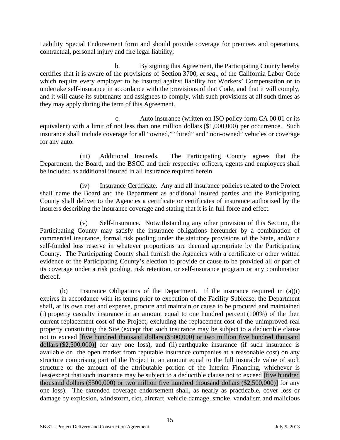Liability Special Endorsement form and should provide coverage for premises and operations, contractual, personal injury and fire legal liability;

b. By signing this Agreement, the Participating County hereby certifies that it is aware of the provisions of Section 3700, *et seq*., of the California Labor Code which require every employer to be insured against liability for Workers' Compensation or to undertake self-insurance in accordance with the provisions of that Code, and that it will comply, and it will cause its subtenants and assignees to comply, with such provisions at all such times as they may apply during the term of this Agreement.

c. Auto insurance (written on ISO policy form CA 00 01 or its equivalent) with a limit of not less than one million dollars (\$1,000,000) per occurrence. Such insurance shall include coverage for all "owned," "hired" and "non-owned" vehicles or coverage for any auto.

(iii) Additional Insureds. The Participating County agrees that the Department, the Board, and the BSCC and their respective officers, agents and employees shall be included as additional insured in all insurance required herein.

(iv) Insurance Certificate. Any and all insurance policies related to the Project shall name the Board and the Department as additional insured parties and the Participating County shall deliver to the Agencies a certificate or certificates of insurance authorized by the insurers describing the insurance coverage and stating that it is in full force and effect.

(v) Self-Insurance*.* Notwithstanding any other provision of this Section, the Participating County may satisfy the insurance obligations hereunder by a combination of commercial insurance, formal risk pooling under the statutory provisions of the State, and/or a self-funded loss reserve in whatever proportions are deemed appropriate by the Participating County. The Participating County shall furnish the Agencies with a certificate or other written evidence of the Participating County's election to provide or cause to be provided all or part of its coverage under a risk pooling, risk retention, or self-insurance program or any combination thereof.

(b) Insurance Obligations of the Department. If the insurance required in (a)(i) expires in accordance with its terms prior to execution of the Facility Sublease, the Department shall, at its own cost and expense, procure and maintain or cause to be procured and maintained (i) property casualty insurance in an amount equal to one hundred percent (100%) of the then current replacement cost of the Project, excluding the replacement cost of the unimproved real property constituting the Site (except that such insurance may be subject to a deductible clause not to exceed [five hundred thousand dollars (\$500,000) or two million five hundred thousand dollars (\$2,500,000)] for any one loss), and (ii) earthquake insurance (if such insurance is available on the open market from reputable insurance companies at a reasonable cost) on any structure comprising part of the Project in an amount equal to the full insurable value of such structure or the amount of the attributable portion of the Interim Financing, whichever is less(except that such insurance may be subject to a deductible clause not to exceed [five hundred thousand dollars (\$500,000) or two million five hundred thousand dollars (\$2,500,000)] for any one loss). The extended coverage endorsement shall, as nearly as practicable, cover loss or damage by explosion, windstorm, riot, aircraft, vehicle damage, smoke, vandalism and malicious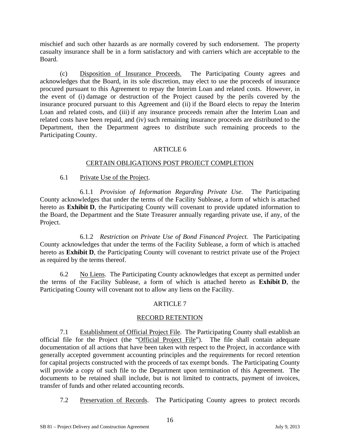mischief and such other hazards as are normally covered by such endorsement. The property casualty insurance shall be in a form satisfactory and with carriers which are acceptable to the Board.

(c) Disposition of Insurance Proceeds. The Participating County agrees and acknowledges that the Board, in its sole discretion, may elect to use the proceeds of insurance procured pursuant to this Agreement to repay the Interim Loan and related costs. However, in the event of (i) damage or destruction of the Project caused by the perils covered by the insurance procured pursuant to this Agreement and (ii) if the Board elects to repay the Interim Loan and related costs, and (iii) if any insurance proceeds remain after the Interim Loan and related costs have been repaid, and (iv) such remaining insurance proceeds are distributed to the Department, then the Department agrees to distribute such remaining proceeds to the Participating County.

## ARTICLE 6

#### CERTAIN OBLIGATIONS POST PROJECT COMPLETION

#### 6.1 Private Use of the Project.

6.1.1 *Provision of Information Regarding Private Use.* The Participating County acknowledges that under the terms of the Facility Sublease, a form of which is attached hereto as **Exhibit D**, the Participating County will covenant to provide updated information to the Board, the Department and the State Treasurer annually regarding private use, if any, of the Project.

6.1.2 *Restriction on Private Use of Bond Financed Project.* The Participating County acknowledges that under the terms of the Facility Sublease, a form of which is attached hereto as **Exhibit D**, the Participating County will covenant to restrict private use of the Project as required by the terms thereof.

6.2 No Liens. The Participating County acknowledges that except as permitted under the terms of the Facility Sublease, a form of which is attached hereto as **Exhibit D**, the Participating County will covenant not to allow any liens on the Facility.

## ARTICLE 7

## RECORD RETENTION

7.1 Establishment of Official Project File. The Participating County shall establish an official file for the Project (the "Official Project File"). The file shall contain adequate documentation of all actions that have been taken with respect to the Project, in accordance with generally accepted government accounting principles and the requirements for record retention for capital projects constructed with the proceeds of tax exempt bonds. The Participating County will provide a copy of such file to the Department upon termination of this Agreement. The documents to be retained shall include, but is not limited to contracts, payment of invoices, transfer of funds and other related accounting records.

7.2 Preservation of Records. The Participating County agrees to protect records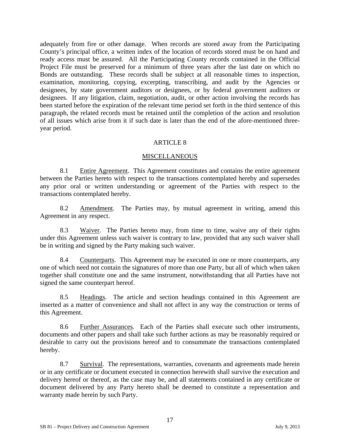adequately from fire or other damage. When records are stored away from the Participating County's principal office, a written index of the location of records stored must be on hand and ready access must be assured. All the Participating County records contained in the Official Project File must be preserved for a minimum of three years after the last date on which no Bonds are outstanding. These records shall be subject at all reasonable times to inspection, examination, monitoring, copying, excerpting, transcribing, and audit by the Agencies or designees, by state government auditors or designees, or by federal government auditors or designees. If any litigation, claim, negotiation, audit, or other action involving the records has been started before the expiration of the relevant time period set forth in the third sentence of this paragraph, the related records must be retained until the completion of the action and resolution of all issues which arise from it if such date is later than the end of the afore-mentioned threeyear period.

#### ARTICLE 8

#### **MISCELLANEOUS**

8.1 Entire Agreement. This Agreement constitutes and contains the entire agreement between the Parties hereto with respect to the transactions contemplated hereby and supersedes any prior oral or written understanding or agreement of the Parties with respect to the transactions contemplated hereby.

8.2 Amendment. The Parties may, by mutual agreement in writing, amend this Agreement in any respect.

8.3 Waiver. The Parties hereto may, from time to time, waive any of their rights under this Agreement unless such waiver is contrary to law, provided that any such waiver shall be in writing and signed by the Party making such waiver.

8.4 Counterparts. This Agreement may be executed in one or more counterparts, any one of which need not contain the signatures of more than one Party, but all of which when taken together shall constitute one and the same instrument, notwithstanding that all Parties have not signed the same counterpart hereof.

8.5 Headings. The article and section headings contained in this Agreement are inserted as a matter of convenience and shall not affect in any way the construction or terms of this Agreement.

8.6 Further Assurances. Each of the Parties shall execute such other instruments, documents and other papers and shall take such further actions as may be reasonably required or desirable to carry out the provisions hereof and to consummate the transactions contemplated hereby.

8.7 Survival. The representations, warranties, covenants and agreements made herein or in any certificate or document executed in connection herewith shall survive the execution and delivery hereof or thereof, as the case may be, and all statements contained in any certificate or document delivered by any Party hereto shall be deemed to constitute a representation and warranty made herein by such Party.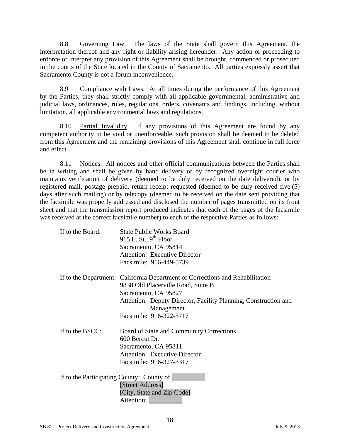8.8 Governing Law. The laws of the State shall govern this Agreement, the interpretation thereof and any right or liability arising hereunder. Any action or proceeding to enforce or interpret any provision of this Agreement shall be brought, commenced or prosecuted in the courts of the State located in the County of Sacramento. All parties expressly assert that Sacramento County is not a forum inconvenience.

8.9 Compliance with Laws. At all times during the performance of this Agreement by the Parties, they shall strictly comply with all applicable governmental, administrative and judicial laws, ordinances, rules, regulations, orders, covenants and findings, including, without limitation, all applicable environmental laws and regulations.

8.10 Partial Invalidity. If any provisions of this Agreement are found by any competent authority to be void or unenforceable, such provision shall be deemed to be deleted from this Agreement and the remaining provisions of this Agreement shall continue in full force and effect.

8.11 Notices. All notices and other official communications between the Parties shall be in writing and shall be given by hand delivery or by recognized overnight courier who maintains verification of delivery (deemed to be duly received on the date delivered), or by registered mail, postage prepaid, return receipt requested (deemed to be duly received five (5) days after such mailing) or by telecopy (deemed to be received on the date sent providing that the facsimile was properly addressed and disclosed the number of pages transmitted on its front sheet and that the transmission report produced indicates that each of the pages of the facsimile was received at the correct facsimile number) to each of the respective Parties as follows:

| If to the Board: | <b>State Public Works Board</b>                                               |
|------------------|-------------------------------------------------------------------------------|
|                  | 915 L. St., $9th$ Floor                                                       |
|                  | Sacramento, CA 95814                                                          |
|                  | <b>Attention: Executive Director</b>                                          |
|                  | Facsimile: 916-449-5739                                                       |
|                  | If to the Department: California Department of Corrections and Rehabilitation |
|                  | 9838 Old Placerville Road, Suite B                                            |
|                  | Sacramento, CA 95827                                                          |
|                  | Attention: Deputy Director, Facility Planning, Construction and               |
|                  | Management                                                                    |
|                  | Facsimile: 916-322-5717                                                       |
| If to the BSCC:  | Board of State and Community Corrections                                      |
|                  | 600 Bercut Dr.                                                                |
|                  | Sacramento, CA 95811                                                          |
|                  | <b>Attention: Executive Director</b>                                          |
|                  | Facsimile: 916-327-3317                                                       |
|                  |                                                                               |
|                  | [Street Address]                                                              |
|                  | [City, State and Zip Code]                                                    |
|                  |                                                                               |
|                  | If to the Participating County: County of                                     |

18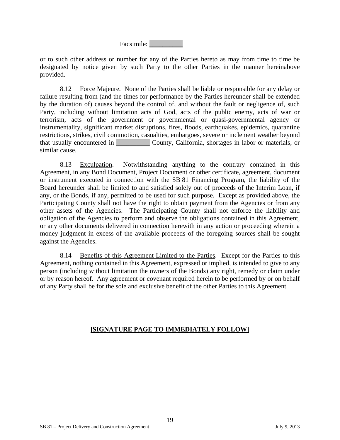Facsimile: \_\_\_\_\_\_\_\_\_\_

or to such other address or number for any of the Parties hereto as may from time to time be designated by notice given by such Party to the other Parties in the manner hereinabove provided.

8.12 Force Majeure. None of the Parties shall be liable or responsible for any delay or failure resulting from (and the times for performance by the Parties hereunder shall be extended by the duration of) causes beyond the control of, and without the fault or negligence of, such Party, including without limitation acts of God, acts of the public enemy, acts of war or terrorism, acts of the government or governmental or quasi-governmental agency or instrumentality, significant market disruptions, fires, floods, earthquakes, epidemics, quarantine restrictions, strikes, civil commotion, casualties, embargoes, severe or inclement weather beyond that usually encountered in \_\_\_\_\_\_\_\_\_\_ County, California, shortages in labor or materials, or similar cause.

8.13 Exculpation. Notwithstanding anything to the contrary contained in this Agreement, in any Bond Document, Project Document or other certificate, agreement, document or instrument executed in connection with the SB 81 Financing Program, the liability of the Board hereunder shall be limited to and satisfied solely out of proceeds of the Interim Loan, if any, or the Bonds, if any, permitted to be used for such purpose. Except as provided above, the Participating County shall not have the right to obtain payment from the Agencies or from any other assets of the Agencies. The Participating County shall not enforce the liability and obligation of the Agencies to perform and observe the obligations contained in this Agreement, or any other documents delivered in connection herewith in any action or proceeding wherein a money judgment in excess of the available proceeds of the foregoing sources shall be sought against the Agencies.

8.14 Benefits of this Agreement Limited to the Parties. Except for the Parties to this Agreement, nothing contained in this Agreement, expressed or implied, is intended to give to any person (including without limitation the owners of the Bonds) any right, remedy or claim under or by reason hereof. Any agreement or covenant required herein to be performed by or on behalf of any Party shall be for the sole and exclusive benefit of the other Parties to this Agreement.

## **[SIGNATURE PAGE TO IMMEDIATELY FOLLOW]**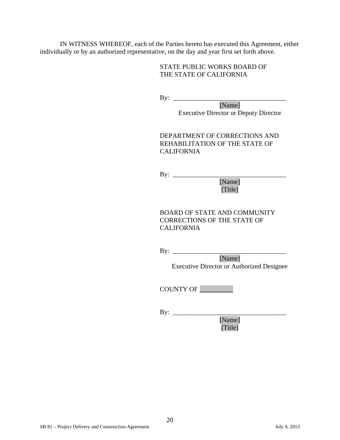IN WITNESS WHEREOF, each of the Parties hereto has executed this Agreement, either individually or by an authorized representative, on the day and year first set forth above.

#### STATE PUBLIC WORKS BOARD OF THE STATE OF CALIFORNIA

By:  $\qquad$ 

[Name] Executive Director or Deputy Director

DEPARTMENT OF CORRECTIONS AND REHABILITATION OF THE STATE OF CALIFORNIA

By: \_\_\_\_\_\_\_\_\_\_\_\_\_\_\_\_\_\_\_\_\_\_\_\_\_\_\_\_\_\_\_\_\_\_ [Name]

[Title]

BOARD OF STATE AND COMMUNITY CORRECTIONS OF THE STATE OF CALIFORNIA

By: \_\_\_\_\_\_\_\_\_\_\_\_\_\_\_\_\_\_\_\_\_\_\_\_\_\_\_\_\_\_\_\_\_\_ [Name] Executive Director or Authorized Designee

COUNTY OF \_\_\_\_\_\_\_\_\_\_

By: \_\_\_\_\_\_\_\_\_\_\_\_\_\_\_\_\_\_\_\_\_\_\_\_\_\_\_\_\_\_\_\_\_\_ [Name] [Title]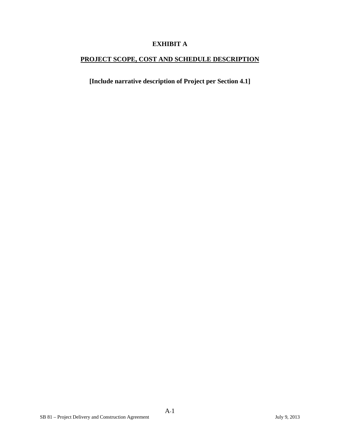## **EXHIBIT A**

# **PROJECT SCOPE, COST AND SCHEDULE DESCRIPTION**

**[Include narrative description of Project per Section 4.1]**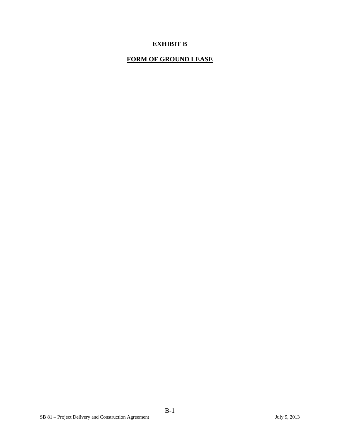## **EXHIBIT B**

# **FORM OF GROUND LEASE**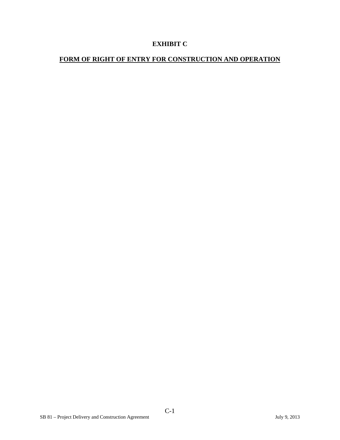## **EXHIBIT C**

# **FORM OF RIGHT OF ENTRY FOR CONSTRUCTION AND OPERATION**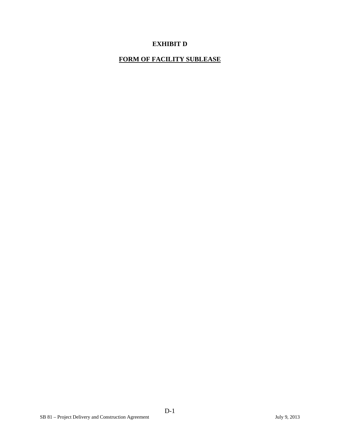## **EXHIBIT D**

# **FORM OF FACILITY SUBLEASE**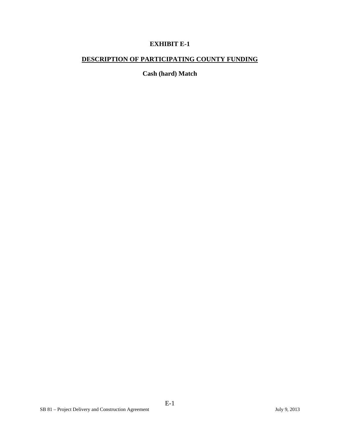## **EXHIBIT E-1**

# **DESCRIPTION OF PARTICIPATING COUNTY FUNDING**

**Cash (hard) Match**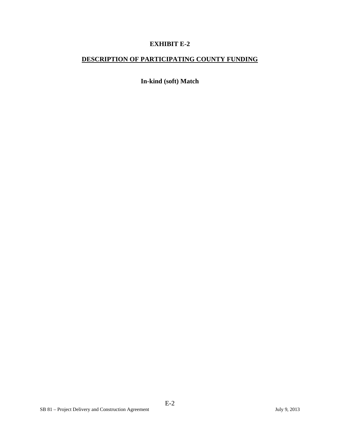## **EXHIBIT E-2**

# **DESCRIPTION OF PARTICIPATING COUNTY FUNDING**

**In-kind (soft) Match**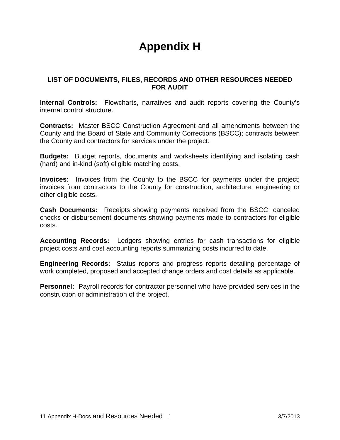# **Appendix H**

## **LIST OF DOCUMENTS, FILES, RECORDS AND OTHER RESOURCES NEEDED FOR AUDIT**

**Internal Controls:** Flowcharts, narratives and audit reports covering the County's internal control structure.

**Contracts:** Master BSCC Construction Agreement and all amendments between the County and the Board of State and Community Corrections (BSCC); contracts between the County and contractors for services under the project.

**Budgets:** Budget reports, documents and worksheets identifying and isolating cash (hard) and in-kind (soft) eligible matching costs.

**Invoices:** Invoices from the County to the BSCC for payments under the project; invoices from contractors to the County for construction, architecture, engineering or other eligible costs.

**Cash Documents:** Receipts showing payments received from the BSCC; canceled checks or disbursement documents showing payments made to contractors for eligible costs.

**Accounting Records:** Ledgers showing entries for cash transactions for eligible project costs and cost accounting reports summarizing costs incurred to date.

**Engineering Records:** Status reports and progress reports detailing percentage of work completed, proposed and accepted change orders and cost details as applicable.

**Personnel:** Payroll records for contractor personnel who have provided services in the construction or administration of the project.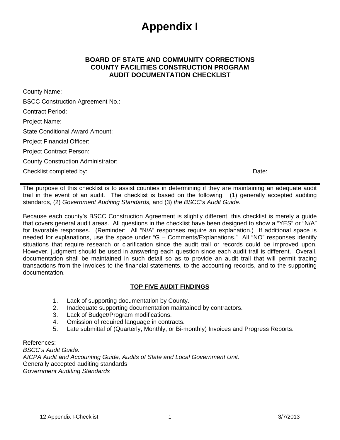# **Appendix I**

## **BOARD OF STATE AND COMMUNITY CORRECTIONS COUNTY FACILITIES CONSTRUCTION PROGRAM AUDIT DOCUMENTATION CHECKLIST**

County Name: BSCC Construction Agreement No.: Contract Period: Project Name: State Conditional Award Amount: Project Financial Officer: Project Contract Person: County Construction Administrator: Checklist completed by: **Date:** Date: **Date:** Date: **Date: Date: Date: Date: Date: Date: Date: Date: Date: Date: Date: Date: Date: Date: Date: Date: Date: Date: Date: Date: Date: D** 

The purpose of this checklist is to assist counties in determining if they are maintaining an adequate audit trail in the event of an audit. The checklist is based on the following: (1) generally accepted auditing standards, (2) *Government Auditing Standards,* and (3) *the BSCC's Audit Guide.* 

Because each county's BSCC Construction Agreement is slightly different, this checklist is merely a guide that covers general audit areas. All questions in the checklist have been designed to show a "YES" or "N/A" for favorable responses. (Reminder: All "N/A" responses require an explanation.) If additional space is needed for explanations, use the space under "G – Comments/Explanations." All "NO" responses identify situations that require research or clarification since the audit trail or records could be improved upon. However, judgment should be used in answering each question since each audit trail is different. Overall, documentation shall be maintained in such detail so as to provide an audit trail that will permit tracing transactions from the invoices to the financial statements, to the accounting records, and to the supporting documentation.

## **TOP FIVE AUDIT FINDINGS**

- 1. Lack of supporting documentation by County.
- 2. Inadequate supporting documentation maintained by contractors.
- 3. Lack of Budget/Program modifications.
- 4. Omission of required language in contracts.
- 5. Late submittal of (Quarterly, Monthly, or Bi-monthly) Invoices and Progress Reports.

References:

*BSCC's Audit Guide. AICPA Audit and Accounting Guide, Audits of State and Local Government Unit.*  Generally accepted auditing standards *Government Auditing Standards*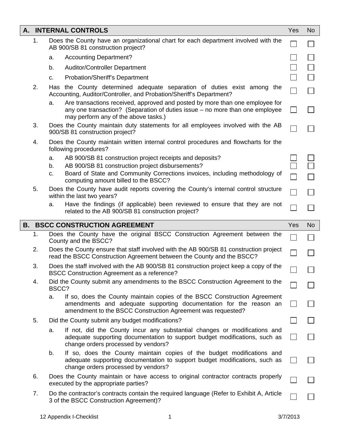|                                       |    | A. INTERNAL CONTROLS                                                                                                                                                                                                 | Yes          | <b>No</b> |
|---------------------------------------|----|----------------------------------------------------------------------------------------------------------------------------------------------------------------------------------------------------------------------|--------------|-----------|
|                                       | 1. | Does the County have an organizational chart for each department involved with the<br>AB 900/SB 81 construction project?                                                                                             |              |           |
|                                       |    | <b>Accounting Department?</b><br>a.                                                                                                                                                                                  |              |           |
|                                       |    | <b>Auditor/Controller Department</b><br>b.                                                                                                                                                                           |              |           |
|                                       |    | <b>Probation/Sheriff's Department</b><br>C.                                                                                                                                                                          |              |           |
|                                       | 2. | Has the County determined adequate separation of duties exist among the<br>Accounting, Auditor/Controller, and Probation/Sheriff's Department?                                                                       | $\Box$       |           |
|                                       |    | Are transactions received, approved and posted by more than one employee for<br>a.<br>any one transaction? (Separation of duties issue – no more than one employee<br>may perform any of the above tasks.)           |              |           |
|                                       | 3. | Does the County maintain duty statements for all employees involved with the AB<br>900/SB 81 construction project?                                                                                                   |              |           |
|                                       | 4. | Does the County maintain written internal control procedures and flowcharts for the<br>following procedures?                                                                                                         |              |           |
|                                       |    | AB 900/SB 81 construction project receipts and deposits?<br>a.                                                                                                                                                       |              |           |
|                                       |    | AB 900/SB 81 construction project disbursements?<br>b.                                                                                                                                                               |              |           |
|                                       |    | Board of State and Community Corrections invoices, including methodology of<br>C.<br>computing amount billed to the BSCC?                                                                                            | П            |           |
|                                       | 5. | Does the County have audit reports covering the County's internal control structure<br>within the last two years?                                                                                                    | $\Box$       |           |
|                                       |    | Have the findings (if applicable) been reviewed to ensure that they are not<br>a.<br>related to the AB 900/SB 81 construction project?                                                                               |              |           |
| <b>B. BSCC CONSTRUCTION AGREEMENT</b> |    |                                                                                                                                                                                                                      |              |           |
|                                       |    |                                                                                                                                                                                                                      | Yes          | <b>No</b> |
|                                       | 1. | Does the County have the original BSCC Construction Agreement between the<br>County and the BSCC?                                                                                                                    |              |           |
|                                       | 2. | Does the County ensure that staff involved with the AB 900/SB 81 construction project<br>read the BSCC Construction Agreement between the County and the BSCC?                                                       |              |           |
|                                       | 3. | Does the staff involved with the AB 900/SB 81 construction project keep a copy of the<br><b>BSCC Construction Agreement as a reference?</b>                                                                          |              |           |
|                                       | 4. | Did the County submit any amendments to the BSCC Construction Agreement to the<br>BSCC?                                                                                                                              |              |           |
|                                       |    | If so, does the County maintain copies of the BSCC Construction Agreement<br>a.<br>amendments and adequate supporting documentation for the reason an<br>amendment to the BSCC Construction Agreement was requested? |              |           |
|                                       | 5. | Did the County submit any budget modifications?                                                                                                                                                                      |              |           |
|                                       |    | If not, did the County incur any substantial changes or modifications and<br>a.<br>adequate supporting documentation to support budget modifications, such as<br>change orders processed by vendors?                 |              |           |
|                                       |    | If so, does the County maintain copies of the budget modifications and<br>b.<br>adequate supporting documentation to support budget modifications, such as<br>change orders processed by vendors?                    | $\mathsf{L}$ |           |
|                                       | 6. | Does the County maintain or have access to original contractor contracts properly<br>executed by the appropriate parties?                                                                                            | $\Box$       |           |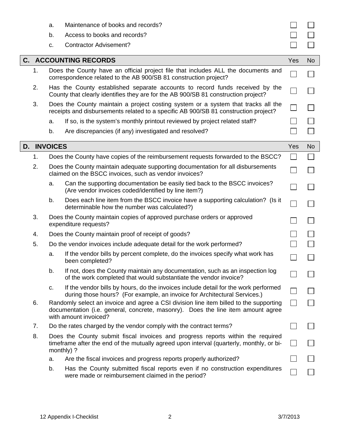|    |                        | a.<br>b.<br>c.                                                                                                                                                                                      | Maintenance of books and records?<br>Access to books and records?<br><b>Contractor Advisement?</b>                                                               |     |           |
|----|------------------------|-----------------------------------------------------------------------------------------------------------------------------------------------------------------------------------------------------|------------------------------------------------------------------------------------------------------------------------------------------------------------------|-----|-----------|
|    |                        |                                                                                                                                                                                                     | <b>C. ACCOUNTING RECORDS</b>                                                                                                                                     | Yes | No.       |
|    | 1.                     | Does the County have an official project file that includes ALL the documents and<br>correspondence related to the AB 900/SB 81 construction project?                                               |                                                                                                                                                                  |     |           |
|    | 2.                     | Has the County established separate accounts to record funds received by the<br>County that clearly identifies they are for the AB 900/SB 81 construction project?                                  |                                                                                                                                                                  |     |           |
|    | 3.                     | Does the County maintain a project costing system or a system that tracks all the<br>receipts and disbursements related to a specific AB 900/SB 81 construction project?                            |                                                                                                                                                                  |     |           |
|    |                        | a.                                                                                                                                                                                                  | If so, is the system's monthly printout reviewed by project related staff?                                                                                       |     |           |
|    |                        | b.                                                                                                                                                                                                  | Are discrepancies (if any) investigated and resolved?                                                                                                            |     |           |
| D. | <b>INVOICES</b><br>Yes |                                                                                                                                                                                                     |                                                                                                                                                                  |     | <b>No</b> |
|    | 1.                     |                                                                                                                                                                                                     | Does the County have copies of the reimbursement requests forwarded to the BSCC?                                                                                 |     |           |
|    | 2.                     |                                                                                                                                                                                                     | Does the County maintain adequate supporting documentation for all disbursements<br>claimed on the BSCC invoices, such as vendor invoices?                       |     |           |
|    |                        | a.                                                                                                                                                                                                  | Can the supporting documentation be easily tied back to the BSCC invoices?<br>(Are vendor invoices coded/identified by line item?)                               |     |           |
|    |                        | b.                                                                                                                                                                                                  | Does each line item from the BSCC invoice have a supporting calculation? (Is it<br>determinable how the number was calculated?)                                  |     |           |
|    | 3.                     | Does the County maintain copies of approved purchase orders or approved<br>expenditure requests?                                                                                                    |                                                                                                                                                                  |     |           |
|    | 4.                     | Does the County maintain proof of receipt of goods?                                                                                                                                                 |                                                                                                                                                                  |     |           |
|    | 5.                     |                                                                                                                                                                                                     | Do the vendor invoices include adequate detail for the work performed?                                                                                           |     |           |
|    |                        | a.                                                                                                                                                                                                  | If the vendor bills by percent complete, do the invoices specify what work has<br>been completed?                                                                |     |           |
|    |                        | b.                                                                                                                                                                                                  | If not, does the County maintain any documentation, such as an inspection log<br>of the work completed that would substantiate the vendor invoice?               |     |           |
|    |                        | c.                                                                                                                                                                                                  | If the vendor bills by hours, do the invoices include detail for the work performed<br>during those hours? (For example, an invoice for Architectural Services.) |     |           |
|    | 6.                     | Randomly select an invoice and agree a CSI division line item billed to the supporting<br>documentation (i.e. general, concrete, masonry). Does the line item amount agree<br>with amount invoiced? |                                                                                                                                                                  |     |           |
|    | 7.                     |                                                                                                                                                                                                     | Do the rates charged by the vendor comply with the contract terms?                                                                                               |     |           |
|    | 8.                     | Does the County submit fiscal invoices and progress reports within the required<br>timeframe after the end of the mutually agreed upon interval (quarterly, monthly, or bi-<br>monthly) ?           |                                                                                                                                                                  |     |           |
|    |                        | a.                                                                                                                                                                                                  | Are the fiscal invoices and progress reports properly authorized?                                                                                                |     |           |
|    |                        | b.                                                                                                                                                                                                  | Has the County submitted fiscal reports even if no construction expenditures<br>were made or reimbursement claimed in the period?                                |     |           |